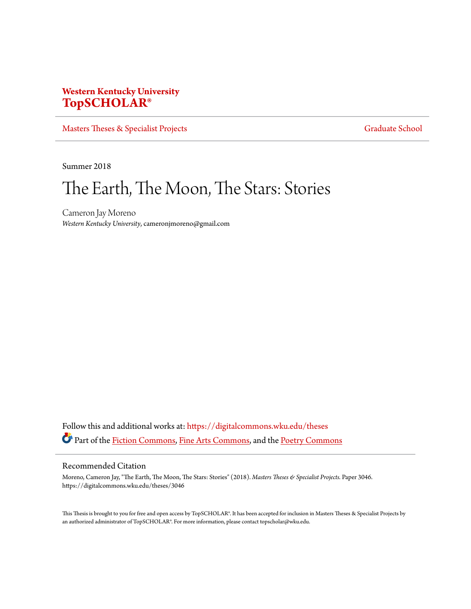# **Western Kentucky University [TopSCHOLAR®](https://digitalcommons.wku.edu?utm_source=digitalcommons.wku.edu%2Ftheses%2F3046&utm_medium=PDF&utm_campaign=PDFCoverPages)**

[Masters Theses & Specialist Projects](https://digitalcommons.wku.edu/theses?utm_source=digitalcommons.wku.edu%2Ftheses%2F3046&utm_medium=PDF&utm_campaign=PDFCoverPages) [Graduate School](https://digitalcommons.wku.edu/Graduate?utm_source=digitalcommons.wku.edu%2Ftheses%2F3046&utm_medium=PDF&utm_campaign=PDFCoverPages) Graduate School

Summer 2018

# The Earth, The Moon, The Stars: Stories

Cameron Jay Moreno *Western Kentucky University*, cameronjmoreno@gmail.com

Follow this and additional works at: [https://digitalcommons.wku.edu/theses](https://digitalcommons.wku.edu/theses?utm_source=digitalcommons.wku.edu%2Ftheses%2F3046&utm_medium=PDF&utm_campaign=PDFCoverPages) Part of the [Fiction Commons](http://network.bepress.com/hgg/discipline/1151?utm_source=digitalcommons.wku.edu%2Ftheses%2F3046&utm_medium=PDF&utm_campaign=PDFCoverPages), [Fine Arts Commons](http://network.bepress.com/hgg/discipline/1141?utm_source=digitalcommons.wku.edu%2Ftheses%2F3046&utm_medium=PDF&utm_campaign=PDFCoverPages), and the [Poetry Commons](http://network.bepress.com/hgg/discipline/1153?utm_source=digitalcommons.wku.edu%2Ftheses%2F3046&utm_medium=PDF&utm_campaign=PDFCoverPages)

#### Recommended Citation

Moreno, Cameron Jay, "The Earth, The Moon, The Stars: Stories" (2018). *Masters Theses & Specialist Projects.* Paper 3046. https://digitalcommons.wku.edu/theses/3046

This Thesis is brought to you for free and open access by TopSCHOLAR®. It has been accepted for inclusion in Masters Theses & Specialist Projects by an authorized administrator of TopSCHOLAR®. For more information, please contact topscholar@wku.edu.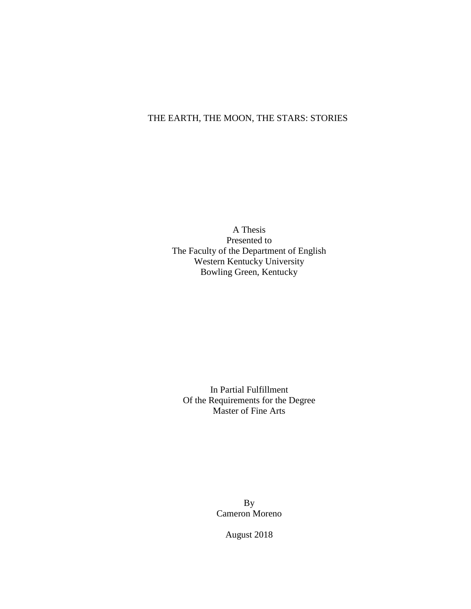## THE EARTH, THE MOON, THE STARS: STORIES

A Thesis Presented to The Faculty of the Department of English Western Kentucky University Bowling Green, Kentucky

In Partial Fulfillment Of the Requirements for the Degree Master of Fine Arts

> By Cameron Moreno

> > August 2018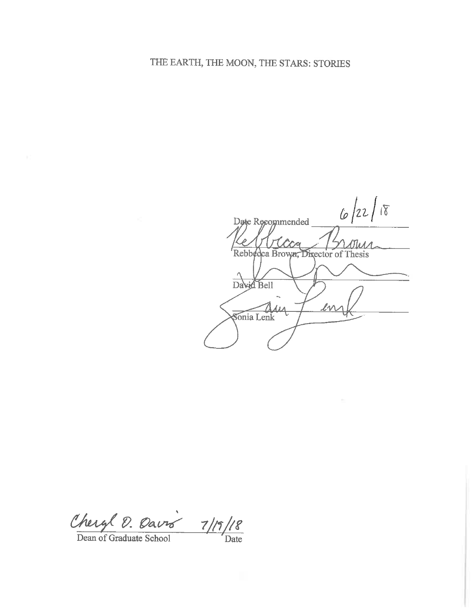$6/22/18$ Date Recommended Sroms ł. Tra Rebbedca Brown, Director of Thesis David Bell Sonia Lenk

Cheryl D. David 7/1  $\mathscr{E}$ 

Date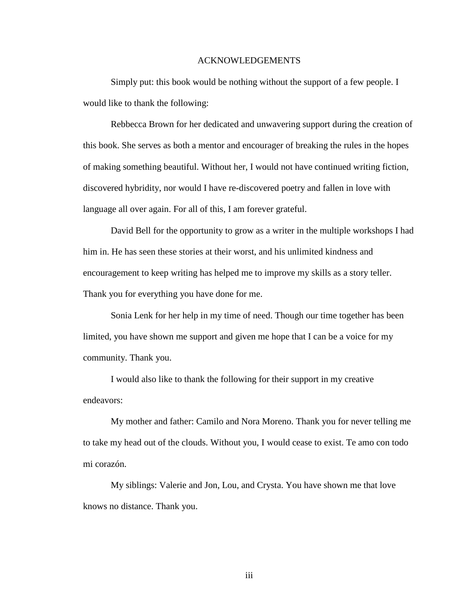#### ACKNOWLEDGEMENTS

Simply put: this book would be nothing without the support of a few people. I would like to thank the following:

Rebbecca Brown for her dedicated and unwavering support during the creation of this book. She serves as both a mentor and encourager of breaking the rules in the hopes of making something beautiful. Without her, I would not have continued writing fiction, discovered hybridity, nor would I have re-discovered poetry and fallen in love with language all over again. For all of this, I am forever grateful.

David Bell for the opportunity to grow as a writer in the multiple workshops I had him in. He has seen these stories at their worst, and his unlimited kindness and encouragement to keep writing has helped me to improve my skills as a story teller. Thank you for everything you have done for me.

Sonia Lenk for her help in my time of need. Though our time together has been limited, you have shown me support and given me hope that I can be a voice for my community. Thank you.

I would also like to thank the following for their support in my creative endeavors:

My mother and father: Camilo and Nora Moreno. Thank you for never telling me to take my head out of the clouds. Without you, I would cease to exist. Te amo con todo mi corazón.

My siblings: Valerie and Jon, Lou, and Crysta. You have shown me that love knows no distance. Thank you.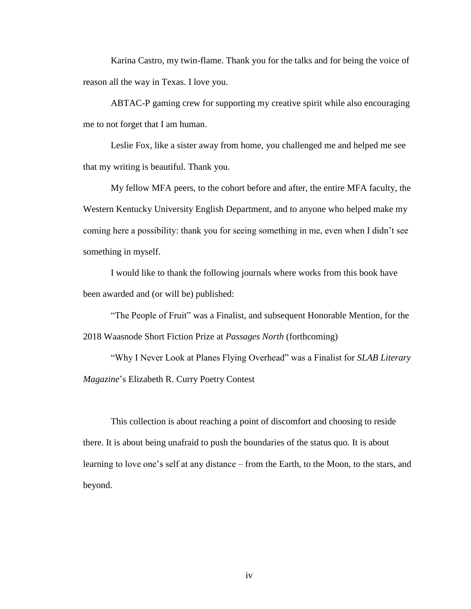Karina Castro, my twin-flame. Thank you for the talks and for being the voice of reason all the way in Texas. I love you.

ABTAC-P gaming crew for supporting my creative spirit while also encouraging me to not forget that I am human.

Leslie Fox, like a sister away from home, you challenged me and helped me see that my writing is beautiful. Thank you.

My fellow MFA peers, to the cohort before and after, the entire MFA faculty, the Western Kentucky University English Department, and to anyone who helped make my coming here a possibility: thank you for seeing something in me, even when I didn't see something in myself.

I would like to thank the following journals where works from this book have been awarded and (or will be) published:

"The People of Fruit" was a Finalist, and subsequent Honorable Mention, for the 2018 Waasnode Short Fiction Prize at *Passages North* (forthcoming)

"Why I Never Look at Planes Flying Overhead" was a Finalist for *SLAB Literary Magazine*'s Elizabeth R. Curry Poetry Contest

This collection is about reaching a point of discomfort and choosing to reside there. It is about being unafraid to push the boundaries of the status quo. It is about learning to love one's self at any distance – from the Earth, to the Moon, to the stars, and beyond.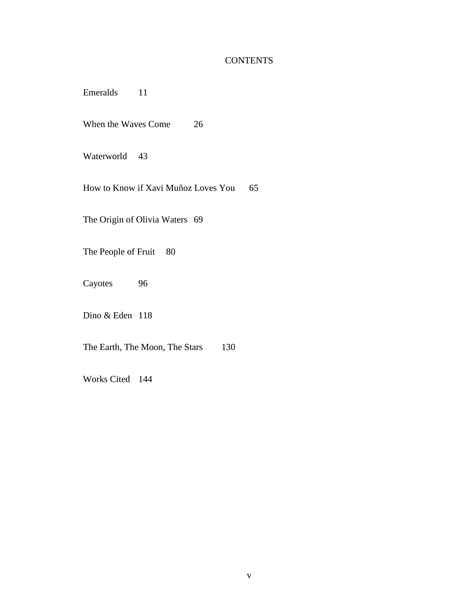## **CONTENTS**

| Emeralds                       | 11                                  |    |    |  |
|--------------------------------|-------------------------------------|----|----|--|
| When the Waves Come            |                                     | 26 |    |  |
| Waterworld 43                  |                                     |    |    |  |
|                                | How to Know if Xavi Muñoz Loves You |    | 65 |  |
| The Origin of Olivia Waters 69 |                                     |    |    |  |
| The People of Fruit            | 80                                  |    |    |  |
| Cayotes                        | 96                                  |    |    |  |
|                                |                                     |    |    |  |

Dino & Eden 118

The Earth, The Moon, The Stars 130

Works Cited 144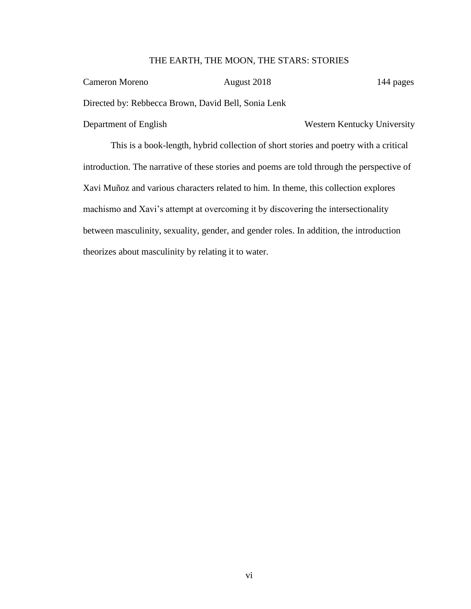### THE EARTH, THE MOON, THE STARS: STORIES

| <b>Cameron Moreno</b>                               | August 2018 | 144 pages                   |
|-----------------------------------------------------|-------------|-----------------------------|
| Directed by: Rebbecca Brown, David Bell, Sonia Lenk |             |                             |
| Department of English                               |             | Western Kentucky University |

This is a book-length, hybrid collection of short stories and poetry with a critical introduction. The narrative of these stories and poems are told through the perspective of Xavi Muñoz and various characters related to him. In theme, this collection explores machismo and Xavi's attempt at overcoming it by discovering the intersectionality between masculinity, sexuality, gender, and gender roles. In addition, the introduction theorizes about masculinity by relating it to water.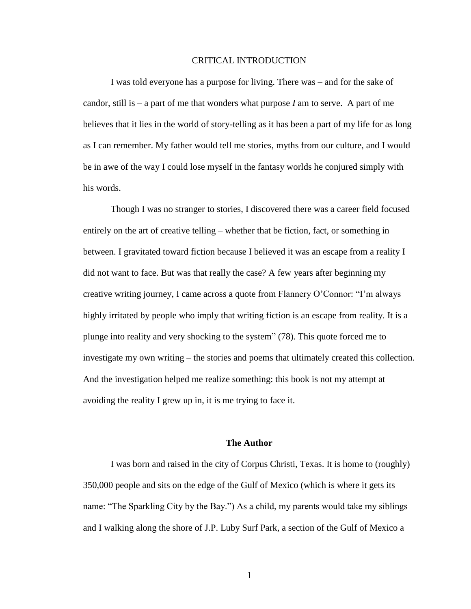#### CRITICAL INTRODUCTION

I was told everyone has a purpose for living. There was – and for the sake of candor, still is  $-$  a part of me that wonders what purpose *I* am to serve. A part of me believes that it lies in the world of story-telling as it has been a part of my life for as long as I can remember. My father would tell me stories, myths from our culture, and I would be in awe of the way I could lose myself in the fantasy worlds he conjured simply with his words.

Though I was no stranger to stories, I discovered there was a career field focused entirely on the art of creative telling – whether that be fiction, fact, or something in between. I gravitated toward fiction because I believed it was an escape from a reality I did not want to face. But was that really the case? A few years after beginning my creative writing journey, I came across a quote from Flannery O'Connor: "I'm always highly irritated by people who imply that writing fiction is an escape from reality. It is a plunge into reality and very shocking to the system" (78). This quote forced me to investigate my own writing – the stories and poems that ultimately created this collection. And the investigation helped me realize something: this book is not my attempt at avoiding the reality I grew up in, it is me trying to face it.

#### **The Author**

I was born and raised in the city of Corpus Christi, Texas. It is home to (roughly) 350,000 people and sits on the edge of the Gulf of Mexico (which is where it gets its name: "The Sparkling City by the Bay.") As a child, my parents would take my siblings and I walking along the shore of J.P. Luby Surf Park, a section of the Gulf of Mexico a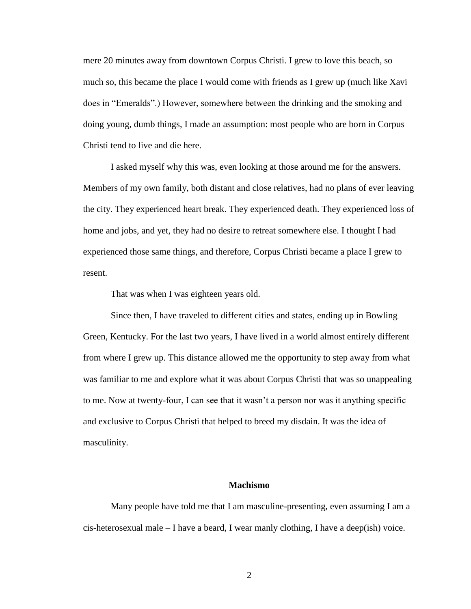mere 20 minutes away from downtown Corpus Christi. I grew to love this beach, so much so, this became the place I would come with friends as I grew up (much like Xavi does in "Emeralds".) However, somewhere between the drinking and the smoking and doing young, dumb things, I made an assumption: most people who are born in Corpus Christi tend to live and die here.

I asked myself why this was, even looking at those around me for the answers. Members of my own family, both distant and close relatives, had no plans of ever leaving the city. They experienced heart break. They experienced death. They experienced loss of home and jobs, and yet, they had no desire to retreat somewhere else. I thought I had experienced those same things, and therefore, Corpus Christi became a place I grew to resent.

That was when I was eighteen years old.

Since then, I have traveled to different cities and states, ending up in Bowling Green, Kentucky. For the last two years, I have lived in a world almost entirely different from where I grew up. This distance allowed me the opportunity to step away from what was familiar to me and explore what it was about Corpus Christi that was so unappealing to me. Now at twenty-four, I can see that it wasn't a person nor was it anything specific and exclusive to Corpus Christi that helped to breed my disdain. It was the idea of masculinity.

#### **Machismo**

Many people have told me that I am masculine-presenting, even assuming I am a cis-heterosexual male – I have a beard, I wear manly clothing, I have a deep(ish) voice.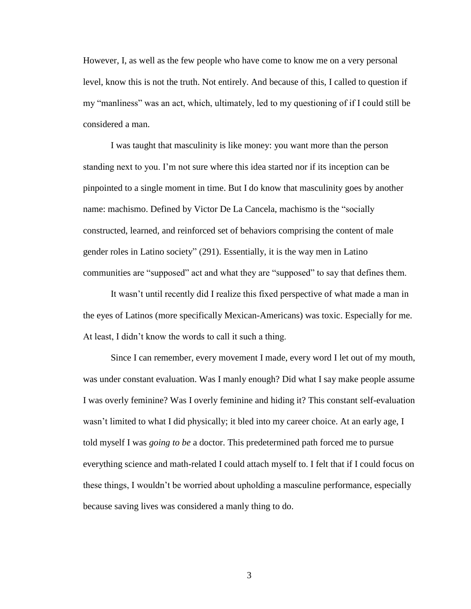However, I, as well as the few people who have come to know me on a very personal level, know this is not the truth. Not entirely. And because of this, I called to question if my "manliness" was an act, which, ultimately, led to my questioning of if I could still be considered a man.

I was taught that masculinity is like money: you want more than the person standing next to you. I'm not sure where this idea started nor if its inception can be pinpointed to a single moment in time. But I do know that masculinity goes by another name: machismo. Defined by Victor De La Cancela, machismo is the "socially constructed, learned, and reinforced set of behaviors comprising the content of male gender roles in Latino society" (291). Essentially, it is the way men in Latino communities are "supposed" act and what they are "supposed" to say that defines them.

It wasn't until recently did I realize this fixed perspective of what made a man in the eyes of Latinos (more specifically Mexican-Americans) was toxic. Especially for me. At least, I didn't know the words to call it such a thing.

Since I can remember, every movement I made, every word I let out of my mouth, was under constant evaluation. Was I manly enough? Did what I say make people assume I was overly feminine? Was I overly feminine and hiding it? This constant self-evaluation wasn't limited to what I did physically; it bled into my career choice. At an early age, I told myself I was *going to be* a doctor. This predetermined path forced me to pursue everything science and math-related I could attach myself to. I felt that if I could focus on these things, I wouldn't be worried about upholding a masculine performance, especially because saving lives was considered a manly thing to do.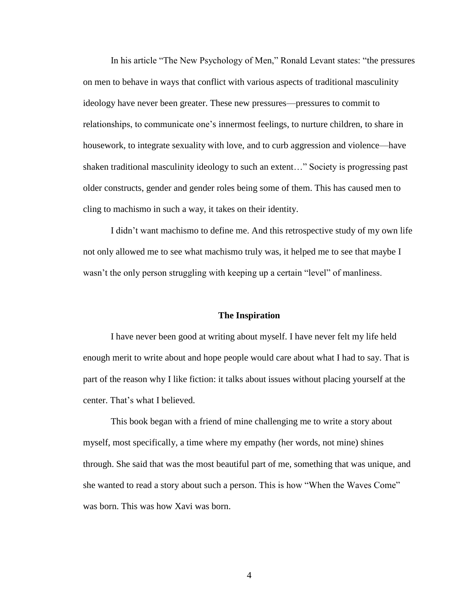In his article "The New Psychology of Men," Ronald Levant states: "the pressures on men to behave in ways that conflict with various aspects of traditional masculinity ideology have never been greater. These new pressures—pressures to commit to relationships, to communicate one's innermost feelings, to nurture children, to share in housework, to integrate sexuality with love, and to curb aggression and violence—have shaken traditional masculinity ideology to such an extent…" Society is progressing past older constructs, gender and gender roles being some of them. This has caused men to cling to machismo in such a way, it takes on their identity.

I didn't want machismo to define me. And this retrospective study of my own life not only allowed me to see what machismo truly was, it helped me to see that maybe I wasn't the only person struggling with keeping up a certain "level" of manliness.

#### **The Inspiration**

I have never been good at writing about myself. I have never felt my life held enough merit to write about and hope people would care about what I had to say. That is part of the reason why I like fiction: it talks about issues without placing yourself at the center. That's what I believed.

This book began with a friend of mine challenging me to write a story about myself, most specifically, a time where my empathy (her words, not mine) shines through. She said that was the most beautiful part of me, something that was unique, and she wanted to read a story about such a person. This is how "When the Waves Come" was born. This was how Xavi was born.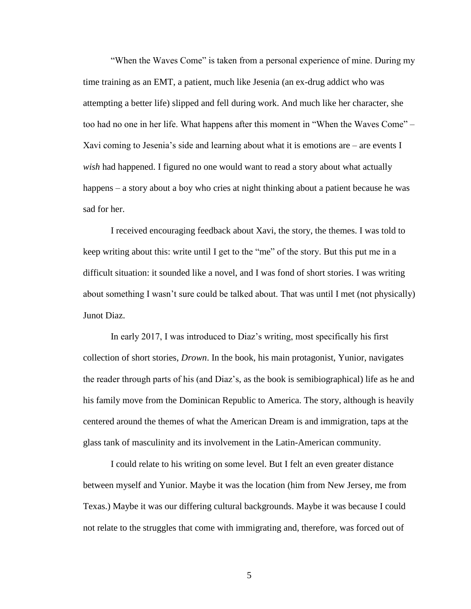"When the Waves Come" is taken from a personal experience of mine. During my time training as an EMT, a patient, much like Jesenia (an ex-drug addict who was attempting a better life) slipped and fell during work. And much like her character, she too had no one in her life. What happens after this moment in "When the Waves Come" – Xavi coming to Jesenia's side and learning about what it is emotions are – are events I *wish* had happened. I figured no one would want to read a story about what actually happens – a story about a boy who cries at night thinking about a patient because he was sad for her.

I received encouraging feedback about Xavi, the story, the themes. I was told to keep writing about this: write until I get to the "me" of the story. But this put me in a difficult situation: it sounded like a novel, and I was fond of short stories. I was writing about something I wasn't sure could be talked about. That was until I met (not physically) Junot Diaz.

In early 2017, I was introduced to Diaz's writing, most specifically his first collection of short stories, *Drown*. In the book, his main protagonist, Yunior, navigates the reader through parts of his (and Diaz's, as the book is semibiographical) life as he and his family move from the Dominican Republic to America. The story, although is heavily centered around the themes of what the American Dream is and immigration, taps at the glass tank of masculinity and its involvement in the Latin-American community.

I could relate to his writing on some level. But I felt an even greater distance between myself and Yunior. Maybe it was the location (him from New Jersey, me from Texas.) Maybe it was our differing cultural backgrounds. Maybe it was because I could not relate to the struggles that come with immigrating and, therefore, was forced out of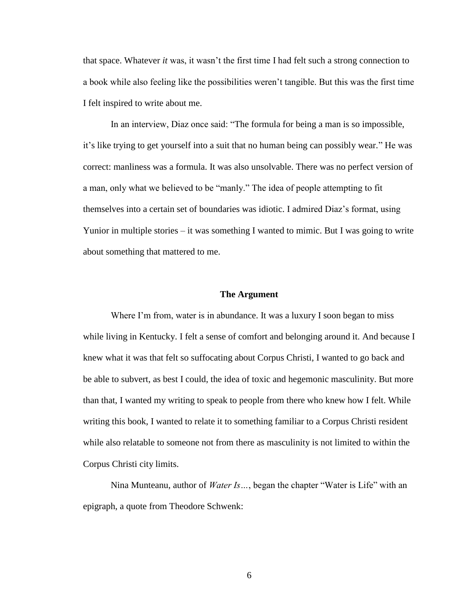that space. Whatever *it* was, it wasn't the first time I had felt such a strong connection to a book while also feeling like the possibilities weren't tangible. But this was the first time I felt inspired to write about me.

In an interview, Diaz once said: "The formula for being a man is so impossible, it's like trying to get yourself into a suit that no human being can possibly wear." He was correct: manliness was a formula. It was also unsolvable. There was no perfect version of a man, only what we believed to be "manly." The idea of people attempting to fit themselves into a certain set of boundaries was idiotic. I admired Diaz's format, using Yunior in multiple stories – it was something I wanted to mimic. But I was going to write about something that mattered to me.

#### **The Argument**

Where I'm from, water is in abundance. It was a luxury I soon began to miss while living in Kentucky. I felt a sense of comfort and belonging around it. And because I knew what it was that felt so suffocating about Corpus Christi, I wanted to go back and be able to subvert, as best I could, the idea of toxic and hegemonic masculinity. But more than that, I wanted my writing to speak to people from there who knew how I felt. While writing this book, I wanted to relate it to something familiar to a Corpus Christi resident while also relatable to someone not from there as masculinity is not limited to within the Corpus Christi city limits.

Nina Munteanu, author of *Water Is…*, began the chapter "Water is Life" with an epigraph, a quote from Theodore Schwenk: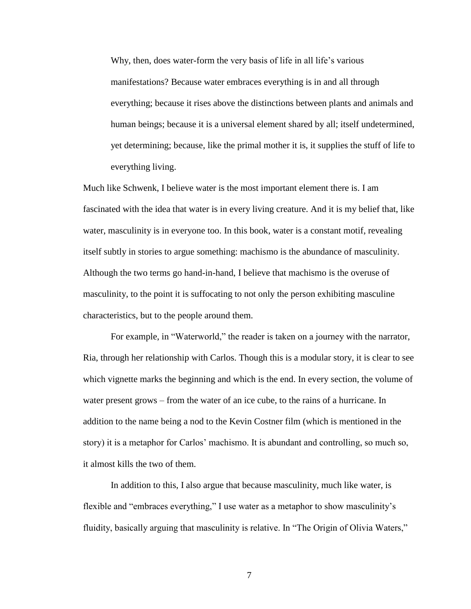Why, then, does water-form the very basis of life in all life's various manifestations? Because water embraces everything is in and all through everything; because it rises above the distinctions between plants and animals and human beings; because it is a universal element shared by all; itself undetermined, yet determining; because, like the primal mother it is, it supplies the stuff of life to everything living.

Much like Schwenk, I believe water is the most important element there is. I am fascinated with the idea that water is in every living creature. And it is my belief that, like water, masculinity is in everyone too. In this book, water is a constant motif, revealing itself subtly in stories to argue something: machismo is the abundance of masculinity. Although the two terms go hand-in-hand, I believe that machismo is the overuse of masculinity, to the point it is suffocating to not only the person exhibiting masculine characteristics, but to the people around them.

For example, in "Waterworld," the reader is taken on a journey with the narrator, Ria, through her relationship with Carlos. Though this is a modular story, it is clear to see which vignette marks the beginning and which is the end. In every section, the volume of water present grows – from the water of an ice cube, to the rains of a hurricane. In addition to the name being a nod to the Kevin Costner film (which is mentioned in the story) it is a metaphor for Carlos' machismo. It is abundant and controlling, so much so, it almost kills the two of them.

In addition to this, I also argue that because masculinity, much like water, is flexible and "embraces everything," I use water as a metaphor to show masculinity's fluidity, basically arguing that masculinity is relative. In "The Origin of Olivia Waters,"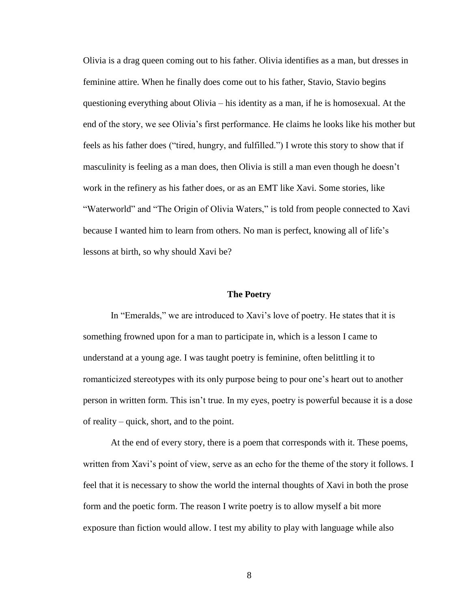Olivia is a drag queen coming out to his father. Olivia identifies as a man, but dresses in feminine attire. When he finally does come out to his father, Stavio, Stavio begins questioning everything about Olivia – his identity as a man, if he is homosexual. At the end of the story, we see Olivia's first performance. He claims he looks like his mother but feels as his father does ("tired, hungry, and fulfilled.") I wrote this story to show that if masculinity is feeling as a man does, then Olivia is still a man even though he doesn't work in the refinery as his father does, or as an EMT like Xavi. Some stories, like "Waterworld" and "The Origin of Olivia Waters," is told from people connected to Xavi because I wanted him to learn from others. No man is perfect, knowing all of life's lessons at birth, so why should Xavi be?

#### **The Poetry**

In "Emeralds," we are introduced to Xavi's love of poetry. He states that it is something frowned upon for a man to participate in, which is a lesson I came to understand at a young age. I was taught poetry is feminine, often belittling it to romanticized stereotypes with its only purpose being to pour one's heart out to another person in written form. This isn't true. In my eyes, poetry is powerful because it is a dose of reality – quick, short, and to the point.

At the end of every story, there is a poem that corresponds with it. These poems, written from Xavi's point of view, serve as an echo for the theme of the story it follows. I feel that it is necessary to show the world the internal thoughts of Xavi in both the prose form and the poetic form. The reason I write poetry is to allow myself a bit more exposure than fiction would allow. I test my ability to play with language while also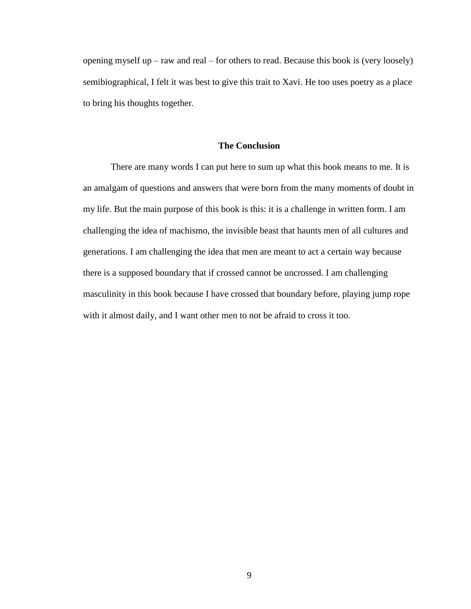opening myself up – raw and real – for others to read. Because this book is (very loosely) semibiographical, I felt it was best to give this trait to Xavi. He too uses poetry as a place to bring his thoughts together.

#### **The Conclusion**

There are many words I can put here to sum up what this book means to me. It is an amalgam of questions and answers that were born from the many moments of doubt in my life. But the main purpose of this book is this: it is a challenge in written form. I am challenging the idea of machismo, the invisible beast that haunts men of all cultures and generations. I am challenging the idea that men are meant to act a certain way because there is a supposed boundary that if crossed cannot be uncrossed. I am challenging masculinity in this book because I have crossed that boundary before, playing jump rope with it almost daily, and I want other men to not be afraid to cross it too.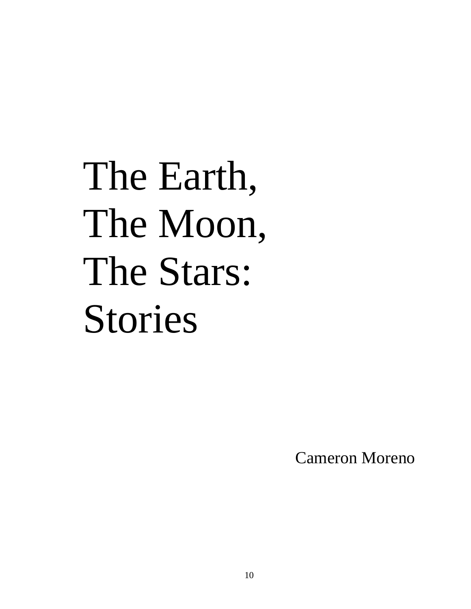The Earth, The Moon, The Stars: Stories

Cameron Moreno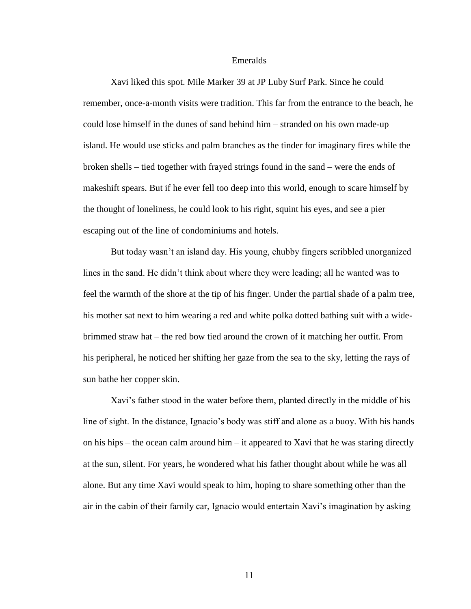#### Emeralds

Xavi liked this spot. Mile Marker 39 at JP Luby Surf Park. Since he could remember, once-a-month visits were tradition. This far from the entrance to the beach, he could lose himself in the dunes of sand behind him – stranded on his own made-up island. He would use sticks and palm branches as the tinder for imaginary fires while the broken shells – tied together with frayed strings found in the sand – were the ends of makeshift spears. But if he ever fell too deep into this world, enough to scare himself by the thought of loneliness, he could look to his right, squint his eyes, and see a pier escaping out of the line of condominiums and hotels.

But today wasn't an island day. His young, chubby fingers scribbled unorganized lines in the sand. He didn't think about where they were leading; all he wanted was to feel the warmth of the shore at the tip of his finger. Under the partial shade of a palm tree, his mother sat next to him wearing a red and white polka dotted bathing suit with a widebrimmed straw hat – the red bow tied around the crown of it matching her outfit. From his peripheral, he noticed her shifting her gaze from the sea to the sky, letting the rays of sun bathe her copper skin.

Xavi's father stood in the water before them, planted directly in the middle of his line of sight. In the distance, Ignacio's body was stiff and alone as a buoy. With his hands on his hips – the ocean calm around him – it appeared to Xavi that he was staring directly at the sun, silent. For years, he wondered what his father thought about while he was all alone. But any time Xavi would speak to him, hoping to share something other than the air in the cabin of their family car, Ignacio would entertain Xavi's imagination by asking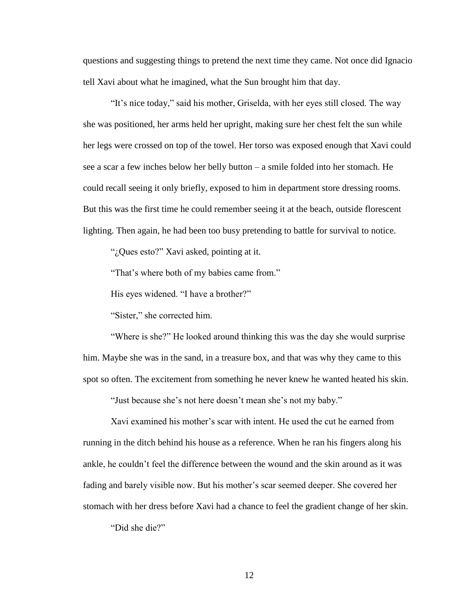questions and suggesting things to pretend the next time they came. Not once did Ignacio tell Xavi about what he imagined, what the Sun brought him that day.

"It's nice today," said his mother, Griselda, with her eyes still closed. The way she was positioned, her arms held her upright, making sure her chest felt the sun while her legs were crossed on top of the towel. Her torso was exposed enough that Xavi could see a scar a few inches below her belly button – a smile folded into her stomach. He could recall seeing it only briefly, exposed to him in department store dressing rooms. But this was the first time he could remember seeing it at the beach, outside florescent lighting. Then again, he had been too busy pretending to battle for survival to notice.

"¿Ques esto?" Xavi asked, pointing at it.

"That's where both of my babies came from."

His eyes widened. "I have a brother?"

"Sister," she corrected him.

"Where is she?" He looked around thinking this was the day she would surprise him. Maybe she was in the sand, in a treasure box, and that was why they came to this spot so often. The excitement from something he never knew he wanted heated his skin.

"Just because she's not here doesn't mean she's not my baby."

Xavi examined his mother's scar with intent. He used the cut he earned from running in the ditch behind his house as a reference. When he ran his fingers along his ankle, he couldn't feel the difference between the wound and the skin around as it was fading and barely visible now. But his mother's scar seemed deeper. She covered her stomach with her dress before Xavi had a chance to feel the gradient change of her skin.

"Did she die?"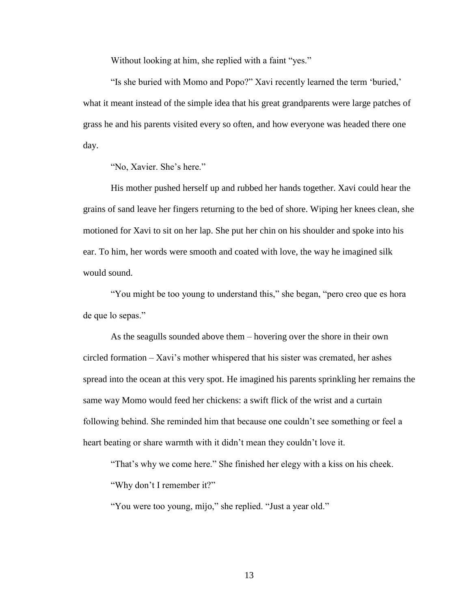Without looking at him, she replied with a faint "yes."

"Is she buried with Momo and Popo?" Xavi recently learned the term 'buried,' what it meant instead of the simple idea that his great grandparents were large patches of grass he and his parents visited every so often, and how everyone was headed there one day.

"No, Xavier. She's here."

His mother pushed herself up and rubbed her hands together. Xavi could hear the grains of sand leave her fingers returning to the bed of shore. Wiping her knees clean, she motioned for Xavi to sit on her lap. She put her chin on his shoulder and spoke into his ear. To him, her words were smooth and coated with love, the way he imagined silk would sound.

"You might be too young to understand this," she began, "pero creo que es hora de que lo sepas."

As the seagulls sounded above them – hovering over the shore in their own circled formation – Xavi's mother whispered that his sister was cremated, her ashes spread into the ocean at this very spot. He imagined his parents sprinkling her remains the same way Momo would feed her chickens: a swift flick of the wrist and a curtain following behind. She reminded him that because one couldn't see something or feel a heart beating or share warmth with it didn't mean they couldn't love it.

"That's why we come here." She finished her elegy with a kiss on his cheek.

"Why don't I remember it?"

"You were too young, mijo," she replied. "Just a year old."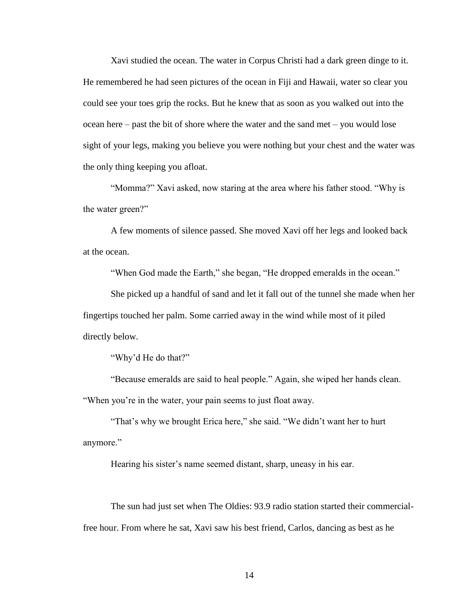Xavi studied the ocean. The water in Corpus Christi had a dark green dinge to it. He remembered he had seen pictures of the ocean in Fiji and Hawaii, water so clear you could see your toes grip the rocks. But he knew that as soon as you walked out into the ocean here – past the bit of shore where the water and the sand met – you would lose sight of your legs, making you believe you were nothing but your chest and the water was the only thing keeping you afloat.

"Momma?" Xavi asked, now staring at the area where his father stood. "Why is the water green?"

A few moments of silence passed. She moved Xavi off her legs and looked back at the ocean.

"When God made the Earth," she began, "He dropped emeralds in the ocean."

She picked up a handful of sand and let it fall out of the tunnel she made when her fingertips touched her palm. Some carried away in the wind while most of it piled directly below.

"Why'd He do that?"

"Because emeralds are said to heal people." Again, she wiped her hands clean. "When you're in the water, your pain seems to just float away.

"That's why we brought Erica here," she said. "We didn't want her to hurt anymore."

Hearing his sister's name seemed distant, sharp, uneasy in his ear.

The sun had just set when The Oldies: 93.9 radio station started their commercialfree hour. From where he sat, Xavi saw his best friend, Carlos, dancing as best as he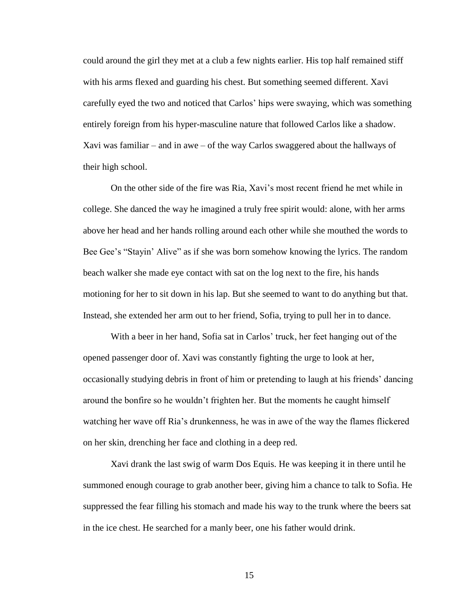could around the girl they met at a club a few nights earlier. His top half remained stiff with his arms flexed and guarding his chest. But something seemed different. Xavi carefully eyed the two and noticed that Carlos' hips were swaying, which was something entirely foreign from his hyper-masculine nature that followed Carlos like a shadow. Xavi was familiar – and in awe – of the way Carlos swaggered about the hallways of their high school.

On the other side of the fire was Ria, Xavi's most recent friend he met while in college. She danced the way he imagined a truly free spirit would: alone, with her arms above her head and her hands rolling around each other while she mouthed the words to Bee Gee's "Stayin' Alive" as if she was born somehow knowing the lyrics. The random beach walker she made eye contact with sat on the log next to the fire, his hands motioning for her to sit down in his lap. But she seemed to want to do anything but that. Instead, she extended her arm out to her friend, Sofia, trying to pull her in to dance.

With a beer in her hand, Sofia sat in Carlos' truck, her feet hanging out of the opened passenger door of. Xavi was constantly fighting the urge to look at her, occasionally studying debris in front of him or pretending to laugh at his friends' dancing around the bonfire so he wouldn't frighten her. But the moments he caught himself watching her wave off Ria's drunkenness, he was in awe of the way the flames flickered on her skin, drenching her face and clothing in a deep red.

Xavi drank the last swig of warm Dos Equis. He was keeping it in there until he summoned enough courage to grab another beer, giving him a chance to talk to Sofia. He suppressed the fear filling his stomach and made his way to the trunk where the beers sat in the ice chest. He searched for a manly beer, one his father would drink.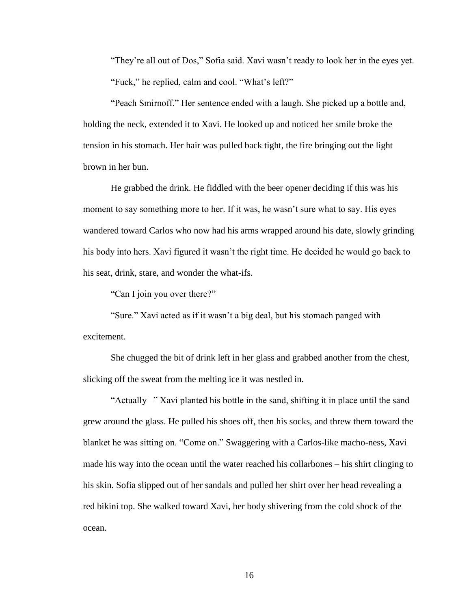"They're all out of Dos," Sofia said. Xavi wasn't ready to look her in the eyes yet. "Fuck," he replied, calm and cool. "What's left?"

"Peach Smirnoff." Her sentence ended with a laugh. She picked up a bottle and, holding the neck, extended it to Xavi. He looked up and noticed her smile broke the tension in his stomach. Her hair was pulled back tight, the fire bringing out the light brown in her bun.

He grabbed the drink. He fiddled with the beer opener deciding if this was his moment to say something more to her. If it was, he wasn't sure what to say. His eyes wandered toward Carlos who now had his arms wrapped around his date, slowly grinding his body into hers. Xavi figured it wasn't the right time. He decided he would go back to his seat, drink, stare, and wonder the what-ifs.

"Can I join you over there?"

"Sure." Xavi acted as if it wasn't a big deal, but his stomach panged with excitement.

She chugged the bit of drink left in her glass and grabbed another from the chest, slicking off the sweat from the melting ice it was nestled in.

"Actually –" Xavi planted his bottle in the sand, shifting it in place until the sand grew around the glass. He pulled his shoes off, then his socks, and threw them toward the blanket he was sitting on. "Come on." Swaggering with a Carlos-like macho-ness, Xavi made his way into the ocean until the water reached his collarbones – his shirt clinging to his skin. Sofia slipped out of her sandals and pulled her shirt over her head revealing a red bikini top. She walked toward Xavi, her body shivering from the cold shock of the ocean.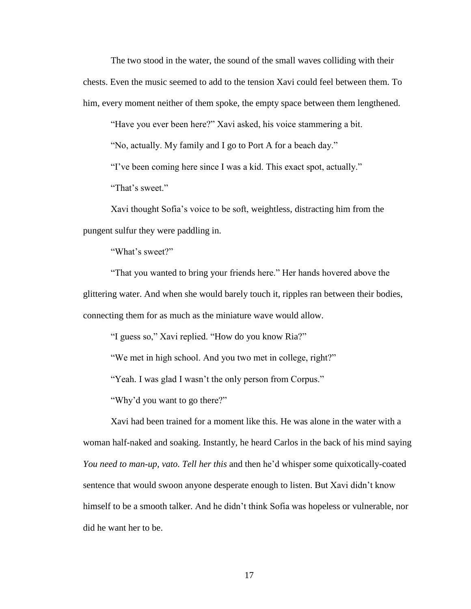The two stood in the water, the sound of the small waves colliding with their chests. Even the music seemed to add to the tension Xavi could feel between them. To him, every moment neither of them spoke, the empty space between them lengthened.

"Have you ever been here?" Xavi asked, his voice stammering a bit.

"No, actually. My family and I go to Port A for a beach day."

"I've been coming here since I was a kid. This exact spot, actually."

"That's sweet."

Xavi thought Sofia's voice to be soft, weightless, distracting him from the pungent sulfur they were paddling in.

"What's sweet?"

"That you wanted to bring your friends here." Her hands hovered above the glittering water. And when she would barely touch it, ripples ran between their bodies, connecting them for as much as the miniature wave would allow.

"I guess so," Xavi replied. "How do you know Ria?"

"We met in high school. And you two met in college, right?"

"Yeah. I was glad I wasn't the only person from Corpus."

"Why'd you want to go there?"

Xavi had been trained for a moment like this. He was alone in the water with a woman half-naked and soaking. Instantly, he heard Carlos in the back of his mind saying *You need to man-up, vato. Tell her this* and then he'd whisper some quixotically-coated sentence that would swoon anyone desperate enough to listen. But Xavi didn't know himself to be a smooth talker. And he didn't think Sofia was hopeless or vulnerable, nor did he want her to be.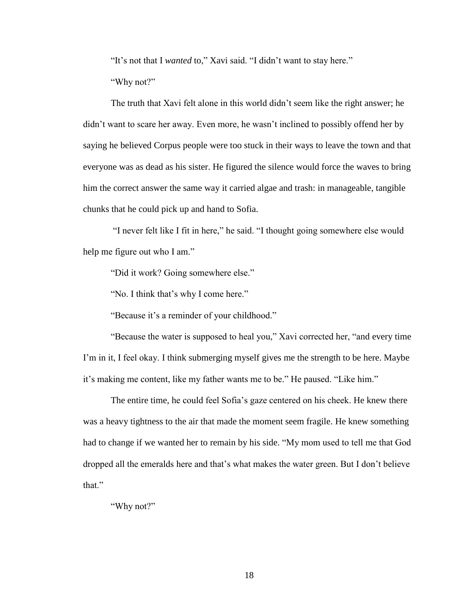"It's not that I *wanted* to," Xavi said. "I didn't want to stay here."

"Why not?"

The truth that Xavi felt alone in this world didn't seem like the right answer; he didn't want to scare her away. Even more, he wasn't inclined to possibly offend her by saying he believed Corpus people were too stuck in their ways to leave the town and that everyone was as dead as his sister. He figured the silence would force the waves to bring him the correct answer the same way it carried algae and trash: in manageable, tangible chunks that he could pick up and hand to Sofia.

"I never felt like I fit in here," he said. "I thought going somewhere else would help me figure out who I am."

"Did it work? Going somewhere else."

"No. I think that's why I come here."

"Because it's a reminder of your childhood."

"Because the water is supposed to heal you," Xavi corrected her, "and every time I'm in it, I feel okay. I think submerging myself gives me the strength to be here. Maybe it's making me content, like my father wants me to be." He paused. "Like him."

The entire time, he could feel Sofia's gaze centered on his cheek. He knew there was a heavy tightness to the air that made the moment seem fragile. He knew something had to change if we wanted her to remain by his side. "My mom used to tell me that God dropped all the emeralds here and that's what makes the water green. But I don't believe that."

"Why not?"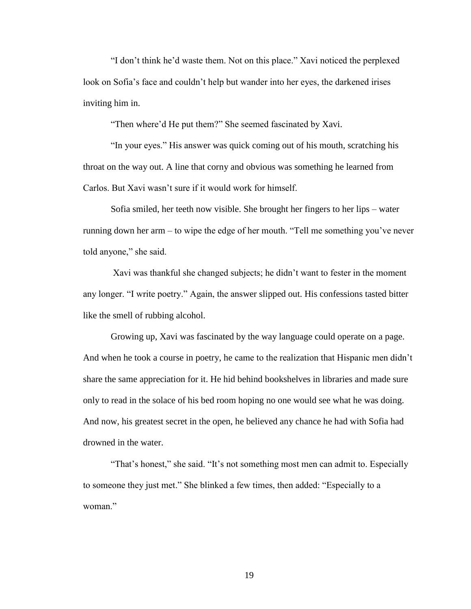"I don't think he'd waste them. Not on this place." Xavi noticed the perplexed look on Sofia's face and couldn't help but wander into her eyes, the darkened irises inviting him in.

"Then where'd He put them?" She seemed fascinated by Xavi.

"In your eyes." His answer was quick coming out of his mouth, scratching his throat on the way out. A line that corny and obvious was something he learned from Carlos. But Xavi wasn't sure if it would work for himself.

Sofia smiled, her teeth now visible. She brought her fingers to her lips – water running down her arm – to wipe the edge of her mouth. "Tell me something you've never told anyone," she said.

Xavi was thankful she changed subjects; he didn't want to fester in the moment any longer. "I write poetry." Again, the answer slipped out. His confessions tasted bitter like the smell of rubbing alcohol.

Growing up, Xavi was fascinated by the way language could operate on a page. And when he took a course in poetry, he came to the realization that Hispanic men didn't share the same appreciation for it. He hid behind bookshelves in libraries and made sure only to read in the solace of his bed room hoping no one would see what he was doing. And now, his greatest secret in the open, he believed any chance he had with Sofia had drowned in the water.

"That's honest," she said. "It's not something most men can admit to. Especially to someone they just met." She blinked a few times, then added: "Especially to a woman<sup>"</sup>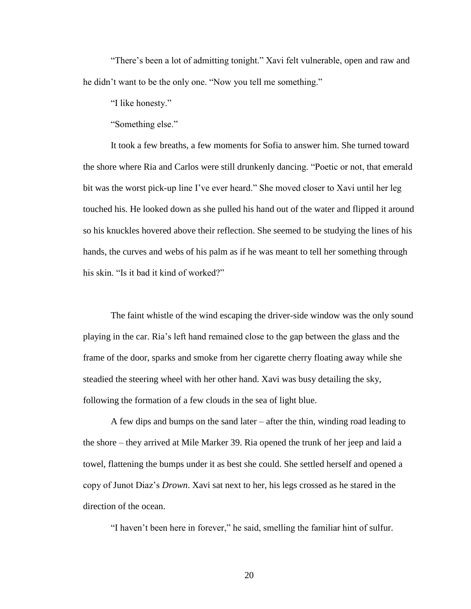"There's been a lot of admitting tonight." Xavi felt vulnerable, open and raw and he didn't want to be the only one. "Now you tell me something."

"I like honesty."

"Something else."

It took a few breaths, a few moments for Sofia to answer him. She turned toward the shore where Ria and Carlos were still drunkenly dancing. "Poetic or not, that emerald bit was the worst pick-up line I've ever heard." She moved closer to Xavi until her leg touched his. He looked down as she pulled his hand out of the water and flipped it around so his knuckles hovered above their reflection. She seemed to be studying the lines of his hands, the curves and webs of his palm as if he was meant to tell her something through his skin. "Is it bad it kind of worked?"

The faint whistle of the wind escaping the driver-side window was the only sound playing in the car. Ria's left hand remained close to the gap between the glass and the frame of the door, sparks and smoke from her cigarette cherry floating away while she steadied the steering wheel with her other hand. Xavi was busy detailing the sky, following the formation of a few clouds in the sea of light blue.

A few dips and bumps on the sand later – after the thin, winding road leading to the shore – they arrived at Mile Marker 39. Ria opened the trunk of her jeep and laid a towel, flattening the bumps under it as best she could. She settled herself and opened a copy of Junot Diaz's *Drown*. Xavi sat next to her, his legs crossed as he stared in the direction of the ocean.

"I haven't been here in forever," he said, smelling the familiar hint of sulfur.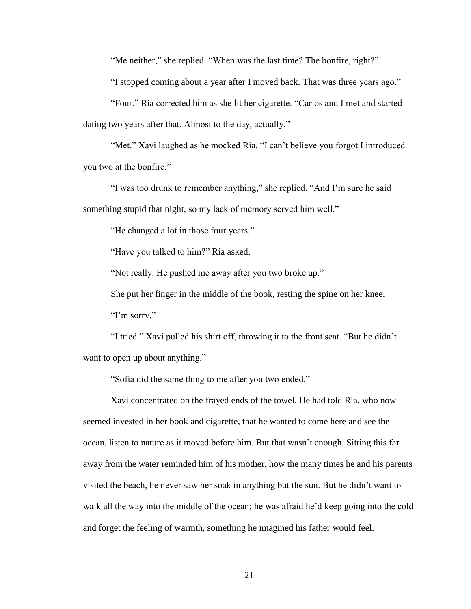"Me neither," she replied. "When was the last time? The bonfire, right?"

"I stopped coming about a year after I moved back. That was three years ago."

"Four." Ria corrected him as she lit her cigarette. "Carlos and I met and started dating two years after that. Almost to the day, actually."

"Met." Xavi laughed as he mocked Ria. "I can't believe you forgot I introduced you two at the bonfire."

"I was too drunk to remember anything," she replied. "And I'm sure he said something stupid that night, so my lack of memory served him well."

"He changed a lot in those four years."

"Have you talked to him?" Ria asked.

"Not really. He pushed me away after you two broke up."

She put her finger in the middle of the book, resting the spine on her knee.

"I'm sorry."

"I tried." Xavi pulled his shirt off, throwing it to the front seat. "But he didn't want to open up about anything."

"Sofia did the same thing to me after you two ended."

Xavi concentrated on the frayed ends of the towel. He had told Ria, who now seemed invested in her book and cigarette, that he wanted to come here and see the ocean, listen to nature as it moved before him. But that wasn't enough. Sitting this far away from the water reminded him of his mother, how the many times he and his parents visited the beach, he never saw her soak in anything but the sun. But he didn't want to walk all the way into the middle of the ocean; he was afraid he'd keep going into the cold and forget the feeling of warmth, something he imagined his father would feel.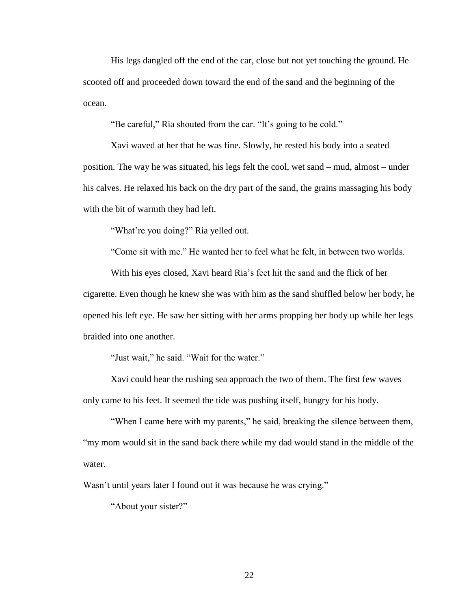His legs dangled off the end of the car, close but not yet touching the ground. He scooted off and proceeded down toward the end of the sand and the beginning of the ocean.

"Be careful," Ria shouted from the car. "It's going to be cold."

Xavi waved at her that he was fine. Slowly, he rested his body into a seated position. The way he was situated, his legs felt the cool, wet sand – mud, almost – under his calves. He relaxed his back on the dry part of the sand, the grains massaging his body with the bit of warmth they had left.

"What're you doing?" Ria yelled out.

"Come sit with me." He wanted her to feel what he felt, in between two worlds.

With his eyes closed, Xavi heard Ria's feet hit the sand and the flick of her cigarette. Even though he knew she was with him as the sand shuffled below her body, he opened his left eye. He saw her sitting with her arms propping her body up while her legs braided into one another.

"Just wait," he said. "Wait for the water."

Xavi could hear the rushing sea approach the two of them. The first few waves only came to his feet. It seemed the tide was pushing itself, hungry for his body.

"When I came here with my parents," he said, breaking the silence between them, "my mom would sit in the sand back there while my dad would stand in the middle of the water.

Wasn't until years later I found out it was because he was crying."

"About your sister?"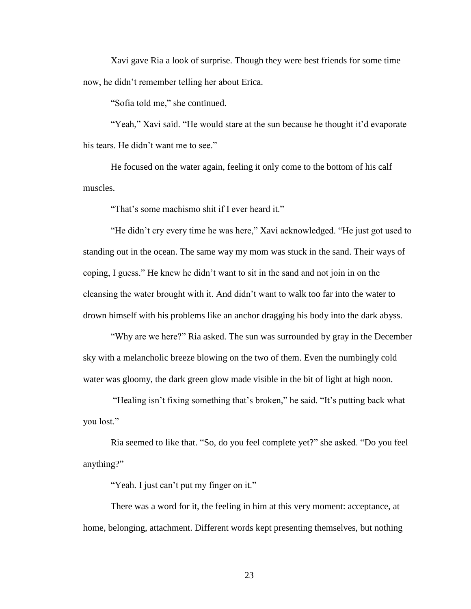Xavi gave Ria a look of surprise. Though they were best friends for some time now, he didn't remember telling her about Erica.

"Sofia told me," she continued.

"Yeah," Xavi said. "He would stare at the sun because he thought it'd evaporate his tears. He didn't want me to see."

He focused on the water again, feeling it only come to the bottom of his calf muscles.

"That's some machismo shit if I ever heard it."

"He didn't cry every time he was here," Xavi acknowledged. "He just got used to standing out in the ocean. The same way my mom was stuck in the sand. Their ways of coping, I guess." He knew he didn't want to sit in the sand and not join in on the cleansing the water brought with it. And didn't want to walk too far into the water to drown himself with his problems like an anchor dragging his body into the dark abyss.

"Why are we here?" Ria asked. The sun was surrounded by gray in the December sky with a melancholic breeze blowing on the two of them. Even the numbingly cold water was gloomy, the dark green glow made visible in the bit of light at high noon.

"Healing isn't fixing something that's broken," he said. "It's putting back what you lost."

Ria seemed to like that. "So, do you feel complete yet?" she asked. "Do you feel anything?"

"Yeah. I just can't put my finger on it."

There was a word for it, the feeling in him at this very moment: acceptance, at home, belonging, attachment. Different words kept presenting themselves, but nothing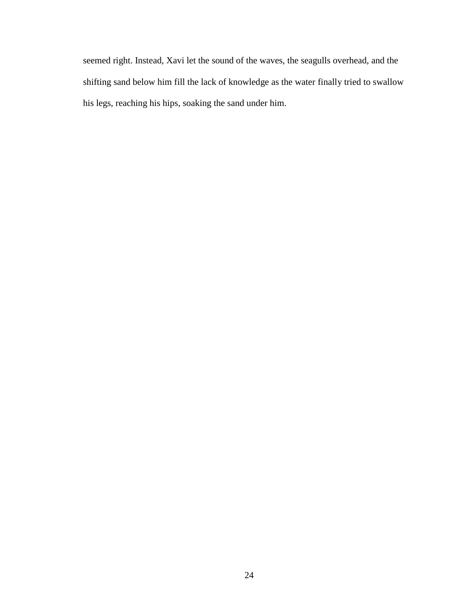seemed right. Instead, Xavi let the sound of the waves, the seagulls overhead, and the shifting sand below him fill the lack of knowledge as the water finally tried to swallow his legs, reaching his hips, soaking the sand under him.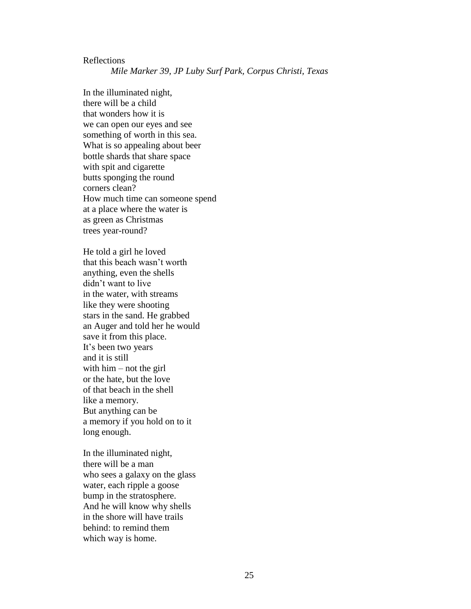#### Reflections

*Mile Marker 39, JP Luby Surf Park, Corpus Christi, Texas*

In the illuminated night, there will be a child that wonders how it is we can open our eyes and see something of worth in this sea. What is so appealing about beer bottle shards that share space with spit and cigarette butts sponging the round corners clean? How much time can someone spend at a place where the water is as green as Christmas trees year-round?

He told a girl he loved that this beach wasn't worth anything, even the shells didn't want to live in the water, with streams like they were shooting stars in the sand. He grabbed an Auger and told her he would save it from this place. It's been two years and it is still with  $him - not$  the girl or the hate, but the love of that beach in the shell like a memory. But anything can be a memory if you hold on to it long enough.

In the illuminated night, there will be a man who sees a galaxy on the glass water, each ripple a goose bump in the stratosphere. And he will know why shells in the shore will have trails behind: to remind them which way is home.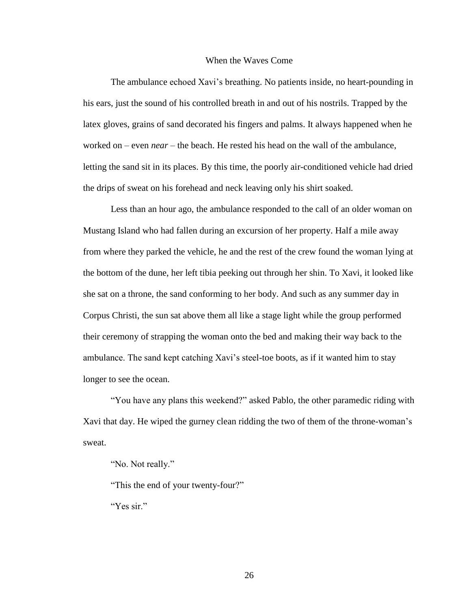#### When the Waves Come

The ambulance echoed Xavi's breathing. No patients inside, no heart-pounding in his ears, just the sound of his controlled breath in and out of his nostrils. Trapped by the latex gloves, grains of sand decorated his fingers and palms. It always happened when he worked on – even *near* – the beach. He rested his head on the wall of the ambulance, letting the sand sit in its places. By this time, the poorly air-conditioned vehicle had dried the drips of sweat on his forehead and neck leaving only his shirt soaked.

Less than an hour ago, the ambulance responded to the call of an older woman on Mustang Island who had fallen during an excursion of her property. Half a mile away from where they parked the vehicle, he and the rest of the crew found the woman lying at the bottom of the dune, her left tibia peeking out through her shin. To Xavi, it looked like she sat on a throne, the sand conforming to her body. And such as any summer day in Corpus Christi, the sun sat above them all like a stage light while the group performed their ceremony of strapping the woman onto the bed and making their way back to the ambulance. The sand kept catching Xavi's steel-toe boots, as if it wanted him to stay longer to see the ocean.

"You have any plans this weekend?" asked Pablo, the other paramedic riding with Xavi that day. He wiped the gurney clean ridding the two of them of the throne-woman's sweat.

"This the end of your twenty-four?"

"Yes sir."

<sup>&</sup>quot;No. Not really."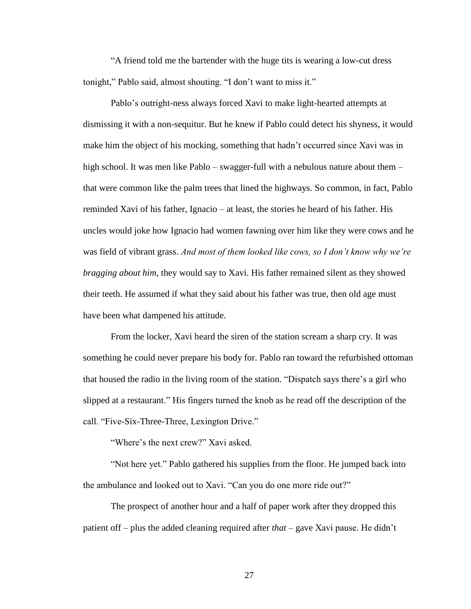"A friend told me the bartender with the huge tits is wearing a low-cut dress tonight," Pablo said, almost shouting. "I don't want to miss it."

Pablo's outright-ness always forced Xavi to make light-hearted attempts at dismissing it with a non-sequitur. But he knew if Pablo could detect his shyness, it would make him the object of his mocking, something that hadn't occurred since Xavi was in high school. It was men like Pablo – swagger-full with a nebulous nature about them – that were common like the palm trees that lined the highways. So common, in fact, Pablo reminded Xavi of his father, Ignacio – at least, the stories he heard of his father. His uncles would joke how Ignacio had women fawning over him like they were cows and he was field of vibrant grass. *And most of them looked like cows, so I don't know why we're bragging about him*, they would say to Xavi. His father remained silent as they showed their teeth. He assumed if what they said about his father was true, then old age must have been what dampened his attitude.

From the locker, Xavi heard the siren of the station scream a sharp cry. It was something he could never prepare his body for. Pablo ran toward the refurbished ottoman that housed the radio in the living room of the station. "Dispatch says there's a girl who slipped at a restaurant." His fingers turned the knob as he read off the description of the call. "Five-Six-Three-Three, Lexington Drive."

"Where's the next crew?" Xavi asked.

"Not here yet." Pablo gathered his supplies from the floor. He jumped back into the ambulance and looked out to Xavi. "Can you do one more ride out?"

The prospect of another hour and a half of paper work after they dropped this patient off – plus the added cleaning required after *that* – gave Xavi pause. He didn't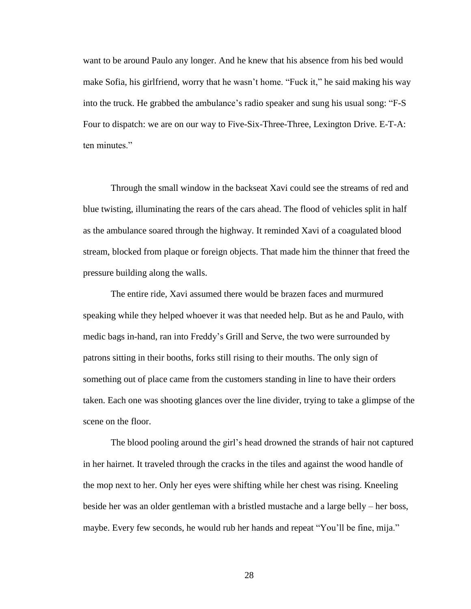want to be around Paulo any longer. And he knew that his absence from his bed would make Sofia, his girlfriend, worry that he wasn't home. "Fuck it," he said making his way into the truck. He grabbed the ambulance's radio speaker and sung his usual song: "F-S Four to dispatch: we are on our way to Five-Six-Three-Three, Lexington Drive. E-T-A: ten minutes."

Through the small window in the backseat Xavi could see the streams of red and blue twisting, illuminating the rears of the cars ahead. The flood of vehicles split in half as the ambulance soared through the highway. It reminded Xavi of a coagulated blood stream, blocked from plaque or foreign objects. That made him the thinner that freed the pressure building along the walls.

The entire ride, Xavi assumed there would be brazen faces and murmured speaking while they helped whoever it was that needed help. But as he and Paulo, with medic bags in-hand, ran into Freddy's Grill and Serve, the two were surrounded by patrons sitting in their booths, forks still rising to their mouths. The only sign of something out of place came from the customers standing in line to have their orders taken. Each one was shooting glances over the line divider, trying to take a glimpse of the scene on the floor.

The blood pooling around the girl's head drowned the strands of hair not captured in her hairnet. It traveled through the cracks in the tiles and against the wood handle of the mop next to her. Only her eyes were shifting while her chest was rising. Kneeling beside her was an older gentleman with a bristled mustache and a large belly – her boss, maybe. Every few seconds, he would rub her hands and repeat "You'll be fine, mija."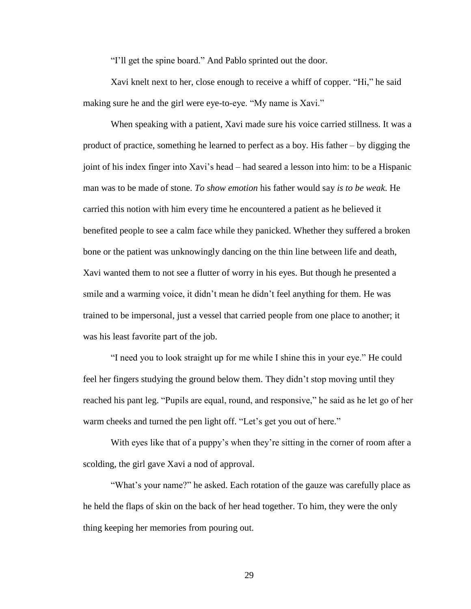"I'll get the spine board." And Pablo sprinted out the door.

Xavi knelt next to her, close enough to receive a whiff of copper. "Hi," he said making sure he and the girl were eye-to-eye. "My name is Xavi."

When speaking with a patient, Xavi made sure his voice carried stillness. It was a product of practice, something he learned to perfect as a boy. His father – by digging the joint of his index finger into Xavi's head – had seared a lesson into him: to be a Hispanic man was to be made of stone. *To show emotion* his father would say *is to be weak*. He carried this notion with him every time he encountered a patient as he believed it benefited people to see a calm face while they panicked. Whether they suffered a broken bone or the patient was unknowingly dancing on the thin line between life and death, Xavi wanted them to not see a flutter of worry in his eyes. But though he presented a smile and a warming voice, it didn't mean he didn't feel anything for them. He was trained to be impersonal, just a vessel that carried people from one place to another; it was his least favorite part of the job.

"I need you to look straight up for me while I shine this in your eye." He could feel her fingers studying the ground below them. They didn't stop moving until they reached his pant leg. "Pupils are equal, round, and responsive," he said as he let go of her warm cheeks and turned the pen light off. "Let's get you out of here."

With eyes like that of a puppy's when they're sitting in the corner of room after a scolding, the girl gave Xavi a nod of approval.

"What's your name?" he asked. Each rotation of the gauze was carefully place as he held the flaps of skin on the back of her head together. To him, they were the only thing keeping her memories from pouring out.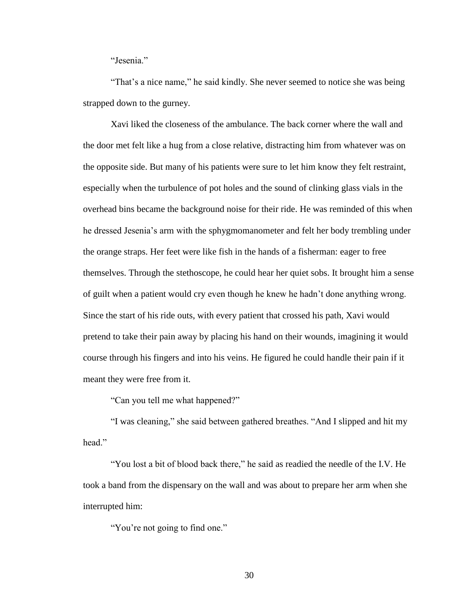"Jesenia."

"That's a nice name," he said kindly. She never seemed to notice she was being strapped down to the gurney.

Xavi liked the closeness of the ambulance. The back corner where the wall and the door met felt like a hug from a close relative, distracting him from whatever was on the opposite side. But many of his patients were sure to let him know they felt restraint, especially when the turbulence of pot holes and the sound of clinking glass vials in the overhead bins became the background noise for their ride. He was reminded of this when he dressed Jesenia's arm with the sphygmomanometer and felt her body trembling under the orange straps. Her feet were like fish in the hands of a fisherman: eager to free themselves. Through the stethoscope, he could hear her quiet sobs. It brought him a sense of guilt when a patient would cry even though he knew he hadn't done anything wrong. Since the start of his ride outs, with every patient that crossed his path, Xavi would pretend to take their pain away by placing his hand on their wounds, imagining it would course through his fingers and into his veins. He figured he could handle their pain if it meant they were free from it.

"Can you tell me what happened?"

"I was cleaning," she said between gathered breathes. "And I slipped and hit my head"

"You lost a bit of blood back there," he said as readied the needle of the I.V. He took a band from the dispensary on the wall and was about to prepare her arm when she interrupted him:

"You're not going to find one."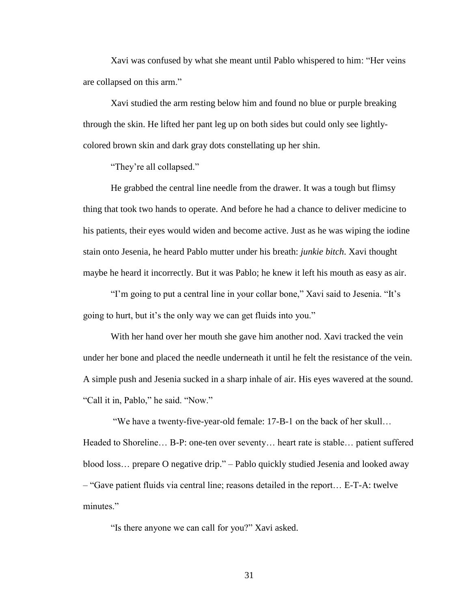Xavi was confused by what she meant until Pablo whispered to him: "Her veins are collapsed on this arm."

Xavi studied the arm resting below him and found no blue or purple breaking through the skin. He lifted her pant leg up on both sides but could only see lightlycolored brown skin and dark gray dots constellating up her shin.

"They're all collapsed."

He grabbed the central line needle from the drawer. It was a tough but flimsy thing that took two hands to operate. And before he had a chance to deliver medicine to his patients, their eyes would widen and become active. Just as he was wiping the iodine stain onto Jesenia, he heard Pablo mutter under his breath: *junkie bitch*. Xavi thought maybe he heard it incorrectly. But it was Pablo; he knew it left his mouth as easy as air.

"I'm going to put a central line in your collar bone," Xavi said to Jesenia. "It's going to hurt, but it's the only way we can get fluids into you."

With her hand over her mouth she gave him another nod. Xavi tracked the vein under her bone and placed the needle underneath it until he felt the resistance of the vein. A simple push and Jesenia sucked in a sharp inhale of air. His eyes wavered at the sound. "Call it in, Pablo," he said. "Now."

"We have a twenty-five-year-old female: 17-B-1 on the back of her skull… Headed to Shoreline… B-P: one-ten over seventy… heart rate is stable… patient suffered blood loss… prepare O negative drip." – Pablo quickly studied Jesenia and looked away – "Gave patient fluids via central line; reasons detailed in the report… E-T-A: twelve minutes."

"Is there anyone we can call for you?" Xavi asked.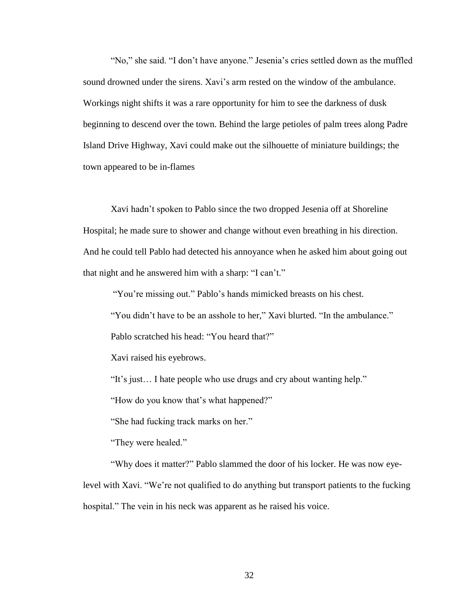"No," she said. "I don't have anyone." Jesenia's cries settled down as the muffled sound drowned under the sirens. Xavi's arm rested on the window of the ambulance. Workings night shifts it was a rare opportunity for him to see the darkness of dusk beginning to descend over the town. Behind the large petioles of palm trees along Padre Island Drive Highway, Xavi could make out the silhouette of miniature buildings; the town appeared to be in-flames

Xavi hadn't spoken to Pablo since the two dropped Jesenia off at Shoreline Hospital; he made sure to shower and change without even breathing in his direction. And he could tell Pablo had detected his annoyance when he asked him about going out that night and he answered him with a sharp: "I can't."

"You're missing out." Pablo's hands mimicked breasts on his chest.

"You didn't have to be an asshole to her," Xavi blurted. "In the ambulance."

Pablo scratched his head: "You heard that?"

Xavi raised his eyebrows.

"It's just… I hate people who use drugs and cry about wanting help."

"How do you know that's what happened?"

"She had fucking track marks on her."

"They were healed."

"Why does it matter?" Pablo slammed the door of his locker. He was now eyelevel with Xavi. "We're not qualified to do anything but transport patients to the fucking hospital." The vein in his neck was apparent as he raised his voice.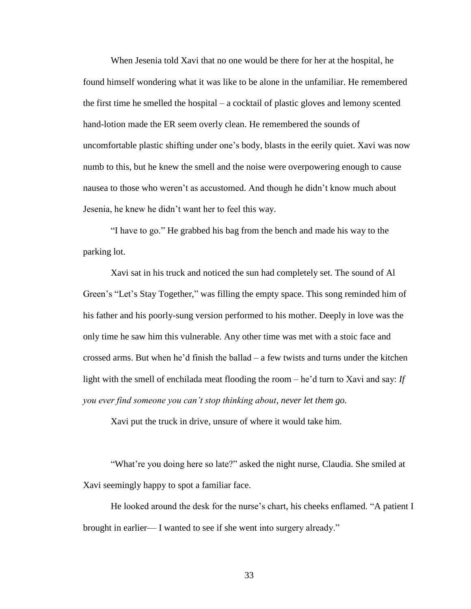When Jesenia told Xavi that no one would be there for her at the hospital, he found himself wondering what it was like to be alone in the unfamiliar. He remembered the first time he smelled the hospital – a cocktail of plastic gloves and lemony scented hand-lotion made the ER seem overly clean. He remembered the sounds of uncomfortable plastic shifting under one's body, blasts in the eerily quiet. Xavi was now numb to this, but he knew the smell and the noise were overpowering enough to cause nausea to those who weren't as accustomed. And though he didn't know much about Jesenia, he knew he didn't want her to feel this way.

"I have to go." He grabbed his bag from the bench and made his way to the parking lot.

Xavi sat in his truck and noticed the sun had completely set. The sound of Al Green's "Let's Stay Together," was filling the empty space. This song reminded him of his father and his poorly-sung version performed to his mother. Deeply in love was the only time he saw him this vulnerable. Any other time was met with a stoic face and crossed arms. But when he'd finish the ballad – a few twists and turns under the kitchen light with the smell of enchilada meat flooding the room – he'd turn to Xavi and say: *If you ever find someone you can't stop thinking about, never let them go.* 

Xavi put the truck in drive, unsure of where it would take him.

"What're you doing here so late?" asked the night nurse, Claudia. She smiled at Xavi seemingly happy to spot a familiar face.

He looked around the desk for the nurse's chart, his cheeks enflamed. "A patient I brought in earlier— I wanted to see if she went into surgery already."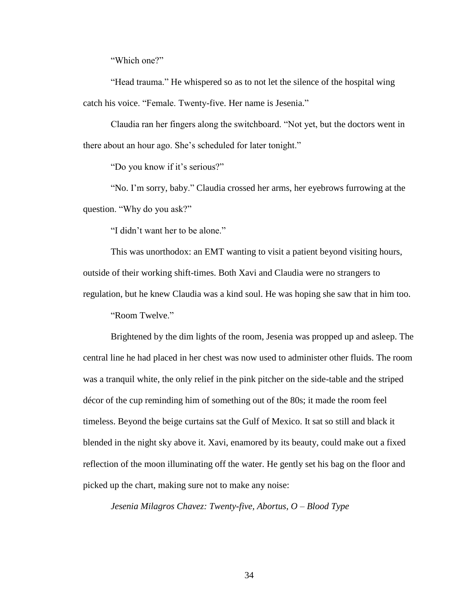"Which one?"

"Head trauma." He whispered so as to not let the silence of the hospital wing catch his voice. "Female. Twenty-five. Her name is Jesenia."

Claudia ran her fingers along the switchboard. "Not yet, but the doctors went in there about an hour ago. She's scheduled for later tonight."

"Do you know if it's serious?"

"No. I'm sorry, baby." Claudia crossed her arms, her eyebrows furrowing at the question. "Why do you ask?"

"I didn't want her to be alone."

This was unorthodox: an EMT wanting to visit a patient beyond visiting hours, outside of their working shift-times. Both Xavi and Claudia were no strangers to regulation, but he knew Claudia was a kind soul. He was hoping she saw that in him too.

"Room Twelve."

Brightened by the dim lights of the room, Jesenia was propped up and asleep. The central line he had placed in her chest was now used to administer other fluids. The room was a tranquil white, the only relief in the pink pitcher on the side-table and the striped décor of the cup reminding him of something out of the 80s; it made the room feel timeless. Beyond the beige curtains sat the Gulf of Mexico. It sat so still and black it blended in the night sky above it. Xavi, enamored by its beauty, could make out a fixed reflection of the moon illuminating off the water. He gently set his bag on the floor and picked up the chart, making sure not to make any noise:

*Jesenia Milagros Chavez: Twenty-five, Abortus, O – Blood Type*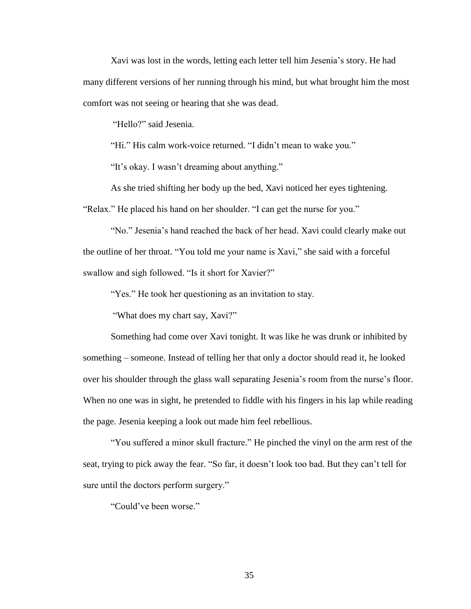Xavi was lost in the words, letting each letter tell him Jesenia's story. He had many different versions of her running through his mind, but what brought him the most comfort was not seeing or hearing that she was dead.

"Hello?" said Jesenia.

"Hi." His calm work-voice returned. "I didn't mean to wake you."

"It's okay. I wasn't dreaming about anything."

As she tried shifting her body up the bed, Xavi noticed her eyes tightening.

"Relax." He placed his hand on her shoulder. "I can get the nurse for you."

"No." Jesenia's hand reached the back of her head. Xavi could clearly make out the outline of her throat. "You told me your name is Xavi," she said with a forceful swallow and sigh followed. "Is it short for Xavier?"

"Yes." He took her questioning as an invitation to stay.

"What does my chart say, Xavi?"

Something had come over Xavi tonight. It was like he was drunk or inhibited by something – someone. Instead of telling her that only a doctor should read it, he looked over his shoulder through the glass wall separating Jesenia's room from the nurse's floor. When no one was in sight, he pretended to fiddle with his fingers in his lap while reading the page. Jesenia keeping a look out made him feel rebellious.

"You suffered a minor skull fracture." He pinched the vinyl on the arm rest of the seat, trying to pick away the fear. "So far, it doesn't look too bad. But they can't tell for sure until the doctors perform surgery."

"Could've been worse."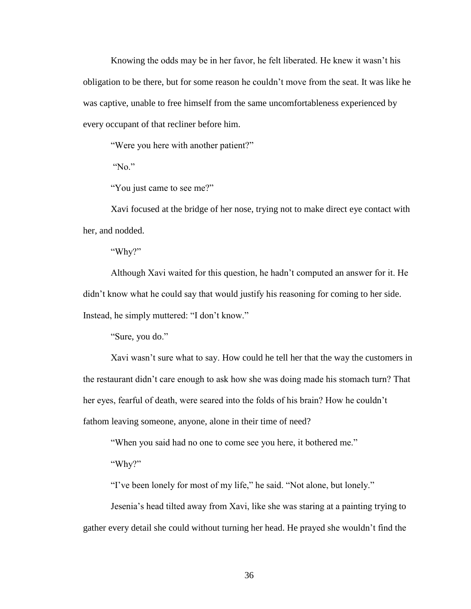Knowing the odds may be in her favor, he felt liberated. He knew it wasn't his obligation to be there, but for some reason he couldn't move from the seat. It was like he was captive, unable to free himself from the same uncomfortableness experienced by every occupant of that recliner before him.

"Were you here with another patient?"

" $No$ "

"You just came to see me?"

Xavi focused at the bridge of her nose, trying not to make direct eye contact with her, and nodded.

"Why?"

Although Xavi waited for this question, he hadn't computed an answer for it. He didn't know what he could say that would justify his reasoning for coming to her side. Instead, he simply muttered: "I don't know."

"Sure, you do."

Xavi wasn't sure what to say. How could he tell her that the way the customers in the restaurant didn't care enough to ask how she was doing made his stomach turn? That her eyes, fearful of death, were seared into the folds of his brain? How he couldn't fathom leaving someone, anyone, alone in their time of need?

"When you said had no one to come see you here, it bothered me."

"Why?"

"I've been lonely for most of my life," he said. "Not alone, but lonely."

Jesenia's head tilted away from Xavi, like she was staring at a painting trying to gather every detail she could without turning her head. He prayed she wouldn't find the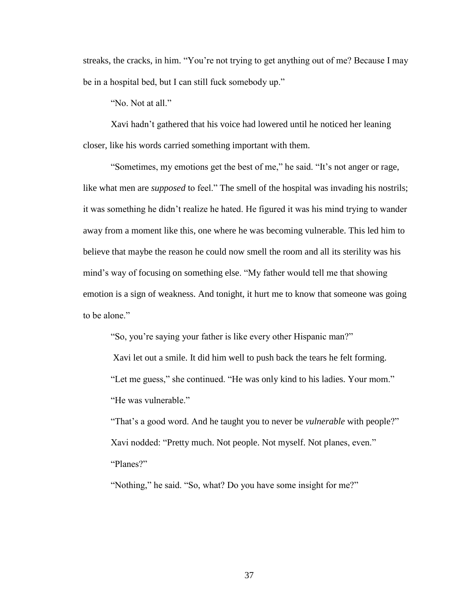streaks, the cracks, in him. "You're not trying to get anything out of me? Because I may be in a hospital bed, but I can still fuck somebody up."

"No. Not at all."

Xavi hadn't gathered that his voice had lowered until he noticed her leaning closer, like his words carried something important with them.

"Sometimes, my emotions get the best of me," he said. "It's not anger or rage, like what men are *supposed* to feel." The smell of the hospital was invading his nostrils; it was something he didn't realize he hated. He figured it was his mind trying to wander away from a moment like this, one where he was becoming vulnerable. This led him to believe that maybe the reason he could now smell the room and all its sterility was his mind's way of focusing on something else. "My father would tell me that showing emotion is a sign of weakness. And tonight, it hurt me to know that someone was going to be alone."

"So, you're saying your father is like every other Hispanic man?"

Xavi let out a smile. It did him well to push back the tears he felt forming. "Let me guess," she continued. "He was only kind to his ladies. Your mom." "He was vulnerable."

"That's a good word. And he taught you to never be *vulnerable* with people?" Xavi nodded: "Pretty much. Not people. Not myself. Not planes, even." "Planes?"

"Nothing," he said. "So, what? Do you have some insight for me?"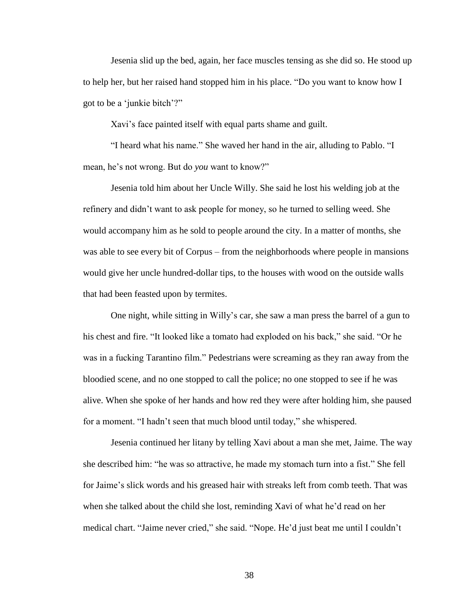Jesenia slid up the bed, again, her face muscles tensing as she did so. He stood up to help her, but her raised hand stopped him in his place. "Do you want to know how I got to be a 'junkie bitch'?"

Xavi's face painted itself with equal parts shame and guilt.

"I heard what his name." She waved her hand in the air, alluding to Pablo. "I mean, he's not wrong. But do *you* want to know?"

Jesenia told him about her Uncle Willy. She said he lost his welding job at the refinery and didn't want to ask people for money, so he turned to selling weed. She would accompany him as he sold to people around the city. In a matter of months, she was able to see every bit of Corpus – from the neighborhoods where people in mansions would give her uncle hundred-dollar tips, to the houses with wood on the outside walls that had been feasted upon by termites.

One night, while sitting in Willy's car, she saw a man press the barrel of a gun to his chest and fire. "It looked like a tomato had exploded on his back," she said. "Or he was in a fucking Tarantino film." Pedestrians were screaming as they ran away from the bloodied scene, and no one stopped to call the police; no one stopped to see if he was alive. When she spoke of her hands and how red they were after holding him, she paused for a moment. "I hadn't seen that much blood until today," she whispered.

Jesenia continued her litany by telling Xavi about a man she met, Jaime. The way she described him: "he was so attractive, he made my stomach turn into a fist." She fell for Jaime's slick words and his greased hair with streaks left from comb teeth. That was when she talked about the child she lost, reminding Xavi of what he'd read on her medical chart. "Jaime never cried," she said. "Nope. He'd just beat me until I couldn't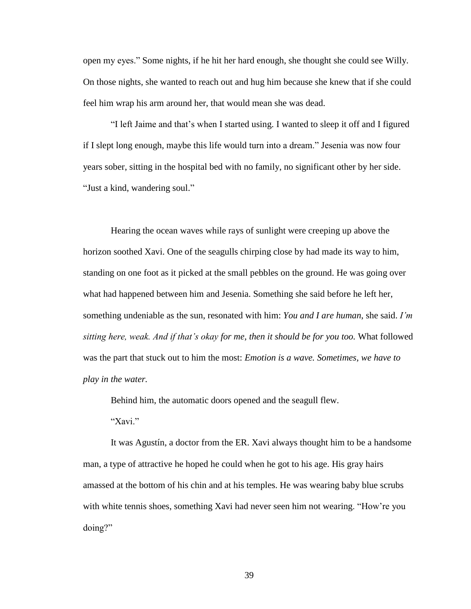open my eyes." Some nights, if he hit her hard enough, she thought she could see Willy. On those nights, she wanted to reach out and hug him because she knew that if she could feel him wrap his arm around her, that would mean she was dead.

"I left Jaime and that's when I started using. I wanted to sleep it off and I figured if I slept long enough, maybe this life would turn into a dream." Jesenia was now four years sober, sitting in the hospital bed with no family, no significant other by her side. "Just a kind, wandering soul."

Hearing the ocean waves while rays of sunlight were creeping up above the horizon soothed Xavi. One of the seagulls chirping close by had made its way to him, standing on one foot as it picked at the small pebbles on the ground. He was going over what had happened between him and Jesenia. Something she said before he left her, something undeniable as the sun, resonated with him: *You and I are human*, she said. *I'm sitting here, weak. And if that's okay for me, then it should be for you too.* What followed was the part that stuck out to him the most: *Emotion is a wave. Sometimes, we have to play in the water.*

Behind him, the automatic doors opened and the seagull flew.

"Xavi."

It was Agustín, a doctor from the ER. Xavi always thought him to be a handsome man, a type of attractive he hoped he could when he got to his age. His gray hairs amassed at the bottom of his chin and at his temples. He was wearing baby blue scrubs with white tennis shoes, something Xavi had never seen him not wearing. "How're you doing?"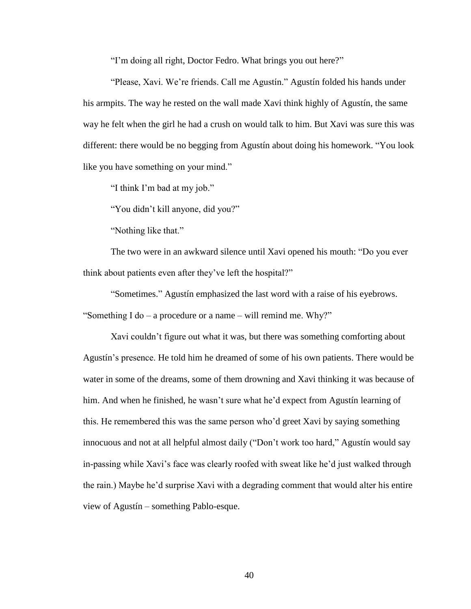"I'm doing all right, Doctor Fedro. What brings you out here?"

"Please, Xavi. We're friends. Call me Agustín." Agustín folded his hands under his armpits. The way he rested on the wall made Xavi think highly of Agustín, the same way he felt when the girl he had a crush on would talk to him. But Xavi was sure this was different: there would be no begging from Agustín about doing his homework. "You look like you have something on your mind."

"I think I'm bad at my job."

"You didn't kill anyone, did you?"

"Nothing like that."

The two were in an awkward silence until Xavi opened his mouth: "Do you ever think about patients even after they've left the hospital?"

"Sometimes." Agustín emphasized the last word with a raise of his eyebrows. "Something I do  $-$  a procedure or a name  $-$  will remind me. Why?"

Xavi couldn't figure out what it was, but there was something comforting about Agustín's presence. He told him he dreamed of some of his own patients. There would be water in some of the dreams, some of them drowning and Xavi thinking it was because of him. And when he finished, he wasn't sure what he'd expect from Agustín learning of this. He remembered this was the same person who'd greet Xavi by saying something innocuous and not at all helpful almost daily ("Don't work too hard," Agustín would say in-passing while Xavi's face was clearly roofed with sweat like he'd just walked through the rain.) Maybe he'd surprise Xavi with a degrading comment that would alter his entire view of Agustín – something Pablo-esque.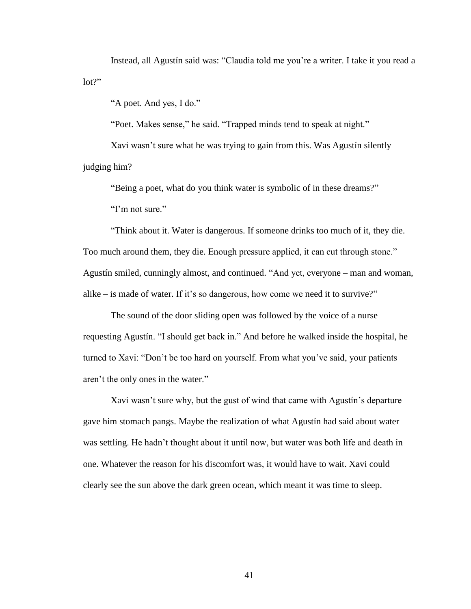Instead, all Agustín said was: "Claudia told me you're a writer. I take it you read a lot?"

"A poet. And yes, I do."

"Poet. Makes sense," he said. "Trapped minds tend to speak at night."

Xavi wasn't sure what he was trying to gain from this. Was Agustín silently judging him?

"Being a poet, what do you think water is symbolic of in these dreams?"

"I'm not sure."

"Think about it. Water is dangerous. If someone drinks too much of it, they die. Too much around them, they die. Enough pressure applied, it can cut through stone." Agustín smiled, cunningly almost, and continued. "And yet, everyone – man and woman, alike – is made of water. If it's so dangerous, how come we need it to survive?"

The sound of the door sliding open was followed by the voice of a nurse requesting Agustín. "I should get back in." And before he walked inside the hospital, he turned to Xavi: "Don't be too hard on yourself. From what you've said, your patients aren't the only ones in the water."

Xavi wasn't sure why, but the gust of wind that came with Agustín's departure gave him stomach pangs. Maybe the realization of what Agustín had said about water was settling. He hadn't thought about it until now, but water was both life and death in one. Whatever the reason for his discomfort was, it would have to wait. Xavi could clearly see the sun above the dark green ocean, which meant it was time to sleep.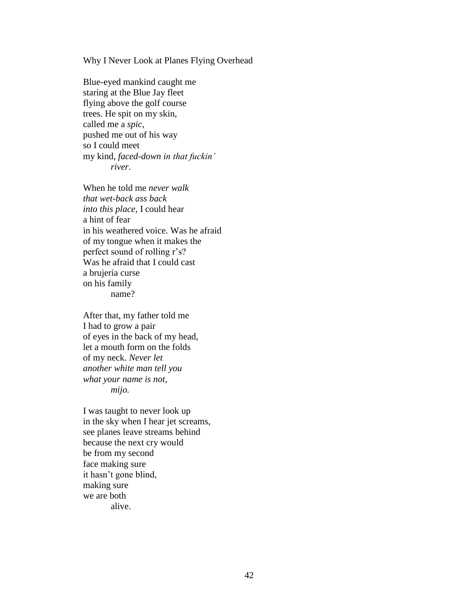Why I Never Look at Planes Flying Overhead

Blue-eyed mankind caught me staring at the Blue Jay fleet flying above the golf course trees. He spit on my skin, called me a *spic*, pushed me out of his way so I could meet my kind, *faced-down in that fuckin' river*.

When he told me *never walk that wet-back ass back into this place*, I could hear a hint of fear in his weathered voice. Was he afraid of my tongue when it makes the perfect sound of rolling r's? Was he afraid that I could cast a brujeria curse on his family name?

After that, my father told me I had to grow a pair of eyes in the back of my head, let a mouth form on the folds of my neck. *Never let another white man tell you what your name is not, mijo.*

I was taught to never look up in the sky when I hear jet screams, see planes leave streams behind because the next cry would be from my second face making sure it hasn't gone blind, making sure we are both alive.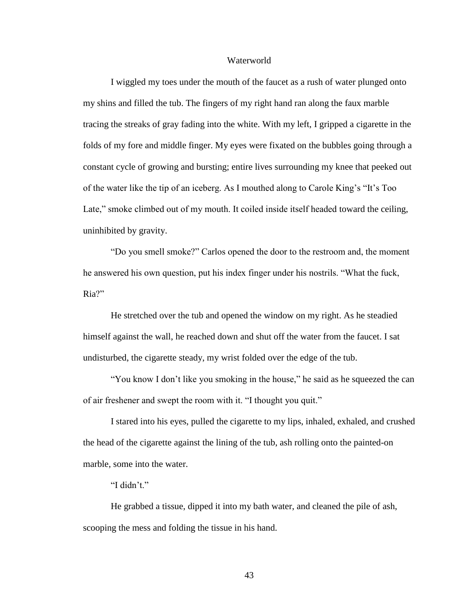## Waterworld

I wiggled my toes under the mouth of the faucet as a rush of water plunged onto my shins and filled the tub. The fingers of my right hand ran along the faux marble tracing the streaks of gray fading into the white. With my left, I gripped a cigarette in the folds of my fore and middle finger. My eyes were fixated on the bubbles going through a constant cycle of growing and bursting; entire lives surrounding my knee that peeked out of the water like the tip of an iceberg. As I mouthed along to Carole King's "It's Too Late," smoke climbed out of my mouth. It coiled inside itself headed toward the ceiling, uninhibited by gravity.

"Do you smell smoke?" Carlos opened the door to the restroom and, the moment he answered his own question, put his index finger under his nostrils. "What the fuck, Ria?"

He stretched over the tub and opened the window on my right. As he steadied himself against the wall, he reached down and shut off the water from the faucet. I sat undisturbed, the cigarette steady, my wrist folded over the edge of the tub.

"You know I don't like you smoking in the house," he said as he squeezed the can of air freshener and swept the room with it. "I thought you quit."

I stared into his eyes, pulled the cigarette to my lips, inhaled, exhaled, and crushed the head of the cigarette against the lining of the tub, ash rolling onto the painted-on marble, some into the water.

"I didn't."

He grabbed a tissue, dipped it into my bath water, and cleaned the pile of ash, scooping the mess and folding the tissue in his hand.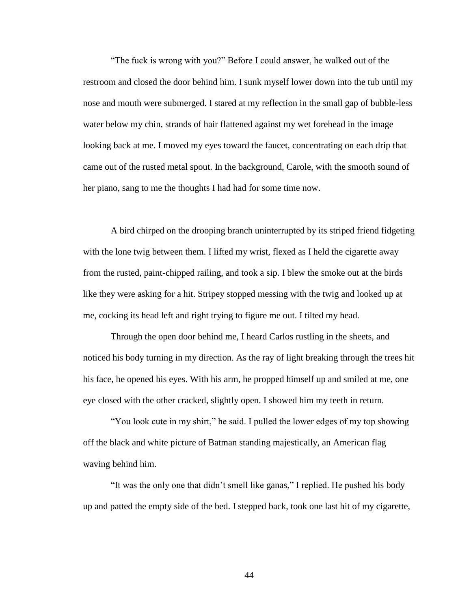"The fuck is wrong with you?" Before I could answer, he walked out of the restroom and closed the door behind him. I sunk myself lower down into the tub until my nose and mouth were submerged. I stared at my reflection in the small gap of bubble-less water below my chin, strands of hair flattened against my wet forehead in the image looking back at me. I moved my eyes toward the faucet, concentrating on each drip that came out of the rusted metal spout. In the background, Carole, with the smooth sound of her piano, sang to me the thoughts I had had for some time now.

A bird chirped on the drooping branch uninterrupted by its striped friend fidgeting with the lone twig between them. I lifted my wrist, flexed as I held the cigarette away from the rusted, paint-chipped railing, and took a sip. I blew the smoke out at the birds like they were asking for a hit. Stripey stopped messing with the twig and looked up at me, cocking its head left and right trying to figure me out. I tilted my head.

Through the open door behind me, I heard Carlos rustling in the sheets, and noticed his body turning in my direction. As the ray of light breaking through the trees hit his face, he opened his eyes. With his arm, he propped himself up and smiled at me, one eye closed with the other cracked, slightly open. I showed him my teeth in return.

"You look cute in my shirt," he said. I pulled the lower edges of my top showing off the black and white picture of Batman standing majestically, an American flag waving behind him.

"It was the only one that didn't smell like ganas," I replied. He pushed his body up and patted the empty side of the bed. I stepped back, took one last hit of my cigarette,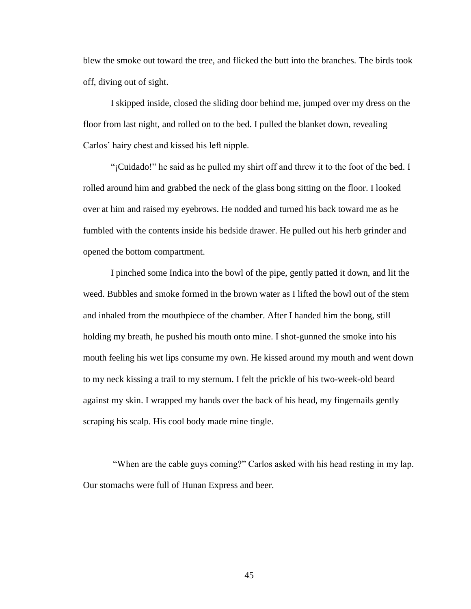blew the smoke out toward the tree, and flicked the butt into the branches. The birds took off, diving out of sight.

I skipped inside, closed the sliding door behind me, jumped over my dress on the floor from last night, and rolled on to the bed. I pulled the blanket down, revealing Carlos' hairy chest and kissed his left nipple.

"¡Cuidado!" he said as he pulled my shirt off and threw it to the foot of the bed. I rolled around him and grabbed the neck of the glass bong sitting on the floor. I looked over at him and raised my eyebrows. He nodded and turned his back toward me as he fumbled with the contents inside his bedside drawer. He pulled out his herb grinder and opened the bottom compartment.

I pinched some Indica into the bowl of the pipe, gently patted it down, and lit the weed. Bubbles and smoke formed in the brown water as I lifted the bowl out of the stem and inhaled from the mouthpiece of the chamber. After I handed him the bong, still holding my breath, he pushed his mouth onto mine. I shot-gunned the smoke into his mouth feeling his wet lips consume my own. He kissed around my mouth and went down to my neck kissing a trail to my sternum. I felt the prickle of his two-week-old beard against my skin. I wrapped my hands over the back of his head, my fingernails gently scraping his scalp. His cool body made mine tingle.

"When are the cable guys coming?" Carlos asked with his head resting in my lap. Our stomachs were full of Hunan Express and beer.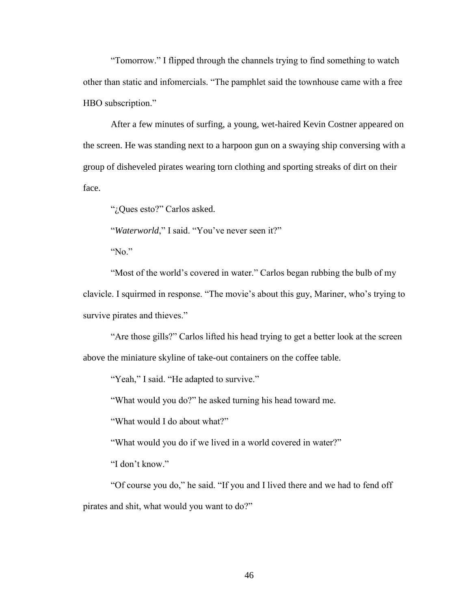"Tomorrow." I flipped through the channels trying to find something to watch other than static and infomercials. "The pamphlet said the townhouse came with a free HBO subscription."

After a few minutes of surfing, a young, wet-haired Kevin Costner appeared on the screen. He was standing next to a harpoon gun on a swaying ship conversing with a group of disheveled pirates wearing torn clothing and sporting streaks of dirt on their face.

"¿Ques esto?" Carlos asked.

"*Waterworld*," I said. "You've never seen it?"

"No."

"Most of the world's covered in water." Carlos began rubbing the bulb of my clavicle. I squirmed in response. "The movie's about this guy, Mariner, who's trying to survive pirates and thieves."

"Are those gills?" Carlos lifted his head trying to get a better look at the screen above the miniature skyline of take-out containers on the coffee table.

"Yeah," I said. "He adapted to survive."

"What would you do?" he asked turning his head toward me.

"What would I do about what?"

"What would you do if we lived in a world covered in water?"

"I don't know."

"Of course you do," he said. "If you and I lived there and we had to fend off pirates and shit, what would you want to do?"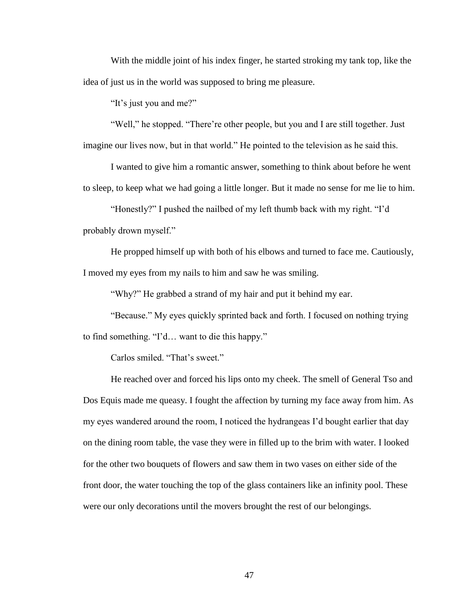With the middle joint of his index finger, he started stroking my tank top, like the idea of just us in the world was supposed to bring me pleasure.

"It's just you and me?"

"Well," he stopped. "There're other people, but you and I are still together. Just imagine our lives now, but in that world." He pointed to the television as he said this.

I wanted to give him a romantic answer, something to think about before he went to sleep, to keep what we had going a little longer. But it made no sense for me lie to him.

"Honestly?" I pushed the nailbed of my left thumb back with my right. "I'd probably drown myself."

He propped himself up with both of his elbows and turned to face me. Cautiously, I moved my eyes from my nails to him and saw he was smiling.

"Why?" He grabbed a strand of my hair and put it behind my ear.

"Because." My eyes quickly sprinted back and forth. I focused on nothing trying to find something. "I'd… want to die this happy."

Carlos smiled. "That's sweet."

He reached over and forced his lips onto my cheek. The smell of General Tso and Dos Equis made me queasy. I fought the affection by turning my face away from him. As my eyes wandered around the room, I noticed the hydrangeas I'd bought earlier that day on the dining room table, the vase they were in filled up to the brim with water. I looked for the other two bouquets of flowers and saw them in two vases on either side of the front door, the water touching the top of the glass containers like an infinity pool. These were our only decorations until the movers brought the rest of our belongings.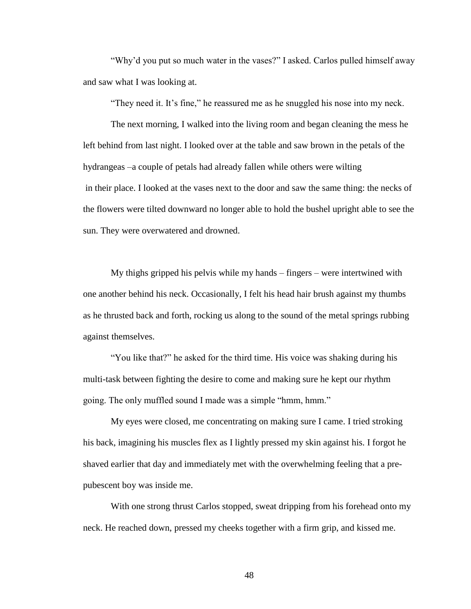"Why'd you put so much water in the vases?" I asked. Carlos pulled himself away and saw what I was looking at.

"They need it. It's fine," he reassured me as he snuggled his nose into my neck.

The next morning, I walked into the living room and began cleaning the mess he left behind from last night. I looked over at the table and saw brown in the petals of the hydrangeas –a couple of petals had already fallen while others were wilting in their place. I looked at the vases next to the door and saw the same thing: the necks of the flowers were tilted downward no longer able to hold the bushel upright able to see the sun. They were overwatered and drowned.

My thighs gripped his pelvis while my hands – fingers – were intertwined with one another behind his neck. Occasionally, I felt his head hair brush against my thumbs as he thrusted back and forth, rocking us along to the sound of the metal springs rubbing against themselves.

"You like that?" he asked for the third time. His voice was shaking during his multi-task between fighting the desire to come and making sure he kept our rhythm going. The only muffled sound I made was a simple "hmm, hmm."

My eyes were closed, me concentrating on making sure I came. I tried stroking his back, imagining his muscles flex as I lightly pressed my skin against his. I forgot he shaved earlier that day and immediately met with the overwhelming feeling that a prepubescent boy was inside me.

With one strong thrust Carlos stopped, sweat dripping from his forehead onto my neck. He reached down, pressed my cheeks together with a firm grip, and kissed me.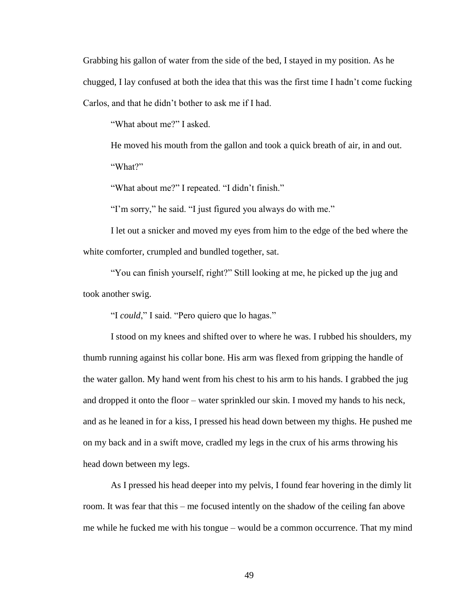Grabbing his gallon of water from the side of the bed, I stayed in my position. As he chugged, I lay confused at both the idea that this was the first time I hadn't come fucking Carlos, and that he didn't bother to ask me if I had.

"What about me?" I asked.

He moved his mouth from the gallon and took a quick breath of air, in and out. "What?"

"What about me?" I repeated. "I didn't finish."

"I'm sorry," he said. "I just figured you always do with me."

I let out a snicker and moved my eyes from him to the edge of the bed where the white comforter, crumpled and bundled together, sat.

"You can finish yourself, right?" Still looking at me, he picked up the jug and took another swig.

"I *could*," I said. "Pero quiero que lo hagas."

I stood on my knees and shifted over to where he was. I rubbed his shoulders, my thumb running against his collar bone. His arm was flexed from gripping the handle of the water gallon. My hand went from his chest to his arm to his hands. I grabbed the jug and dropped it onto the floor – water sprinkled our skin. I moved my hands to his neck, and as he leaned in for a kiss, I pressed his head down between my thighs. He pushed me on my back and in a swift move, cradled my legs in the crux of his arms throwing his head down between my legs.

As I pressed his head deeper into my pelvis, I found fear hovering in the dimly lit room. It was fear that this – me focused intently on the shadow of the ceiling fan above me while he fucked me with his tongue – would be a common occurrence. That my mind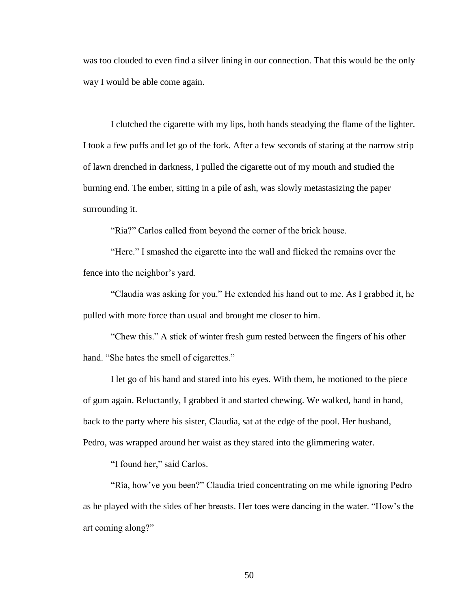was too clouded to even find a silver lining in our connection. That this would be the only way I would be able come again.

I clutched the cigarette with my lips, both hands steadying the flame of the lighter. I took a few puffs and let go of the fork. After a few seconds of staring at the narrow strip of lawn drenched in darkness, I pulled the cigarette out of my mouth and studied the burning end. The ember, sitting in a pile of ash, was slowly metastasizing the paper surrounding it.

"Ria?" Carlos called from beyond the corner of the brick house.

"Here." I smashed the cigarette into the wall and flicked the remains over the fence into the neighbor's yard.

"Claudia was asking for you." He extended his hand out to me. As I grabbed it, he pulled with more force than usual and brought me closer to him.

"Chew this." A stick of winter fresh gum rested between the fingers of his other hand. "She hates the smell of cigarettes."

I let go of his hand and stared into his eyes. With them, he motioned to the piece of gum again. Reluctantly, I grabbed it and started chewing. We walked, hand in hand, back to the party where his sister, Claudia, sat at the edge of the pool. Her husband, Pedro, was wrapped around her waist as they stared into the glimmering water.

"I found her," said Carlos.

"Ria, how've you been?" Claudia tried concentrating on me while ignoring Pedro as he played with the sides of her breasts. Her toes were dancing in the water. "How's the art coming along?"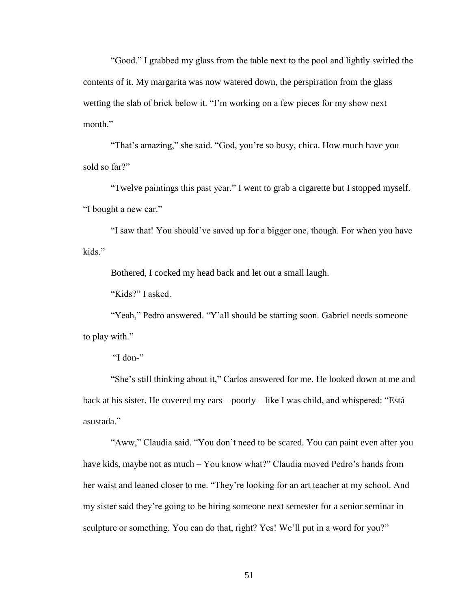"Good." I grabbed my glass from the table next to the pool and lightly swirled the contents of it. My margarita was now watered down, the perspiration from the glass wetting the slab of brick below it. "I'm working on a few pieces for my show next month"

"That's amazing," she said. "God, you're so busy, chica. How much have you sold so far?"

"Twelve paintings this past year." I went to grab a cigarette but I stopped myself. "I bought a new car."

"I saw that! You should've saved up for a bigger one, though. For when you have kids."

Bothered, I cocked my head back and let out a small laugh.

"Kids?" I asked.

"Yeah," Pedro answered. "Y'all should be starting soon. Gabriel needs someone to play with."

"She's still thinking about it," Carlos answered for me. He looked down at me and back at his sister. He covered my ears – poorly – like I was child, and whispered: "Está asustada."

"Aww," Claudia said. "You don't need to be scared. You can paint even after you have kids, maybe not as much – You know what?" Claudia moved Pedro's hands from her waist and leaned closer to me. "They're looking for an art teacher at my school. And my sister said they're going to be hiring someone next semester for a senior seminar in sculpture or something. You can do that, right? Yes! We'll put in a word for you?"

<sup>&</sup>quot;I don-"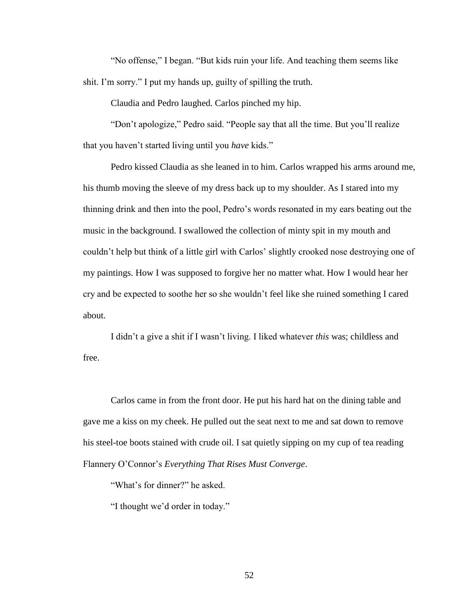"No offense," I began. "But kids ruin your life. And teaching them seems like shit. I'm sorry." I put my hands up, guilty of spilling the truth.

Claudia and Pedro laughed. Carlos pinched my hip.

"Don't apologize," Pedro said. "People say that all the time. But you'll realize that you haven't started living until you *have* kids."

Pedro kissed Claudia as she leaned in to him. Carlos wrapped his arms around me, his thumb moving the sleeve of my dress back up to my shoulder. As I stared into my thinning drink and then into the pool, Pedro's words resonated in my ears beating out the music in the background. I swallowed the collection of minty spit in my mouth and couldn't help but think of a little girl with Carlos' slightly crooked nose destroying one of my paintings. How I was supposed to forgive her no matter what. How I would hear her cry and be expected to soothe her so she wouldn't feel like she ruined something I cared about.

I didn't a give a shit if I wasn't living. I liked whatever *this* was; childless and free.

Carlos came in from the front door. He put his hard hat on the dining table and gave me a kiss on my cheek. He pulled out the seat next to me and sat down to remove his steel-toe boots stained with crude oil. I sat quietly sipping on my cup of tea reading Flannery O'Connor's *Everything That Rises Must Converge*.

"What's for dinner?" he asked.

"I thought we'd order in today."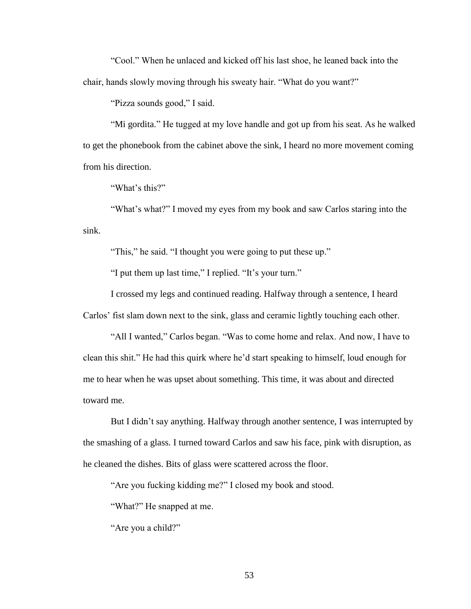"Cool." When he unlaced and kicked off his last shoe, he leaned back into the chair, hands slowly moving through his sweaty hair. "What do you want?"

"Pizza sounds good," I said.

"Mi gordita." He tugged at my love handle and got up from his seat. As he walked to get the phonebook from the cabinet above the sink, I heard no more movement coming from his direction.

"What's this?"

"What's what?" I moved my eyes from my book and saw Carlos staring into the sink.

"This," he said. "I thought you were going to put these up."

"I put them up last time," I replied. "It's your turn."

I crossed my legs and continued reading. Halfway through a sentence, I heard Carlos' fist slam down next to the sink, glass and ceramic lightly touching each other.

"All I wanted," Carlos began. "Was to come home and relax. And now, I have to clean this shit." He had this quirk where he'd start speaking to himself, loud enough for me to hear when he was upset about something. This time, it was about and directed toward me.

But I didn't say anything. Halfway through another sentence, I was interrupted by the smashing of a glass. I turned toward Carlos and saw his face, pink with disruption, as he cleaned the dishes. Bits of glass were scattered across the floor.

"Are you fucking kidding me?" I closed my book and stood.

"What?" He snapped at me.

"Are you a child?"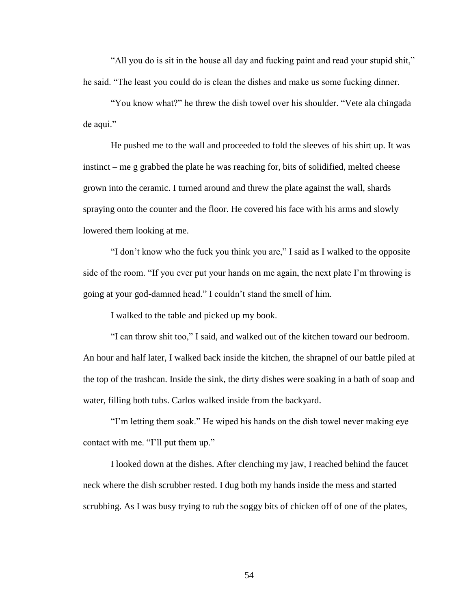"All you do is sit in the house all day and fucking paint and read your stupid shit," he said. "The least you could do is clean the dishes and make us some fucking dinner.

"You know what?" he threw the dish towel over his shoulder. "Vete ala chingada de aqui."

He pushed me to the wall and proceeded to fold the sleeves of his shirt up. It was instinct – me g grabbed the plate he was reaching for, bits of solidified, melted cheese grown into the ceramic. I turned around and threw the plate against the wall, shards spraying onto the counter and the floor. He covered his face with his arms and slowly lowered them looking at me.

"I don't know who the fuck you think you are," I said as I walked to the opposite side of the room. "If you ever put your hands on me again, the next plate I'm throwing is going at your god-damned head." I couldn't stand the smell of him.

I walked to the table and picked up my book.

"I can throw shit too," I said, and walked out of the kitchen toward our bedroom. An hour and half later, I walked back inside the kitchen, the shrapnel of our battle piled at the top of the trashcan. Inside the sink, the dirty dishes were soaking in a bath of soap and water, filling both tubs. Carlos walked inside from the backyard.

"I'm letting them soak." He wiped his hands on the dish towel never making eye contact with me. "I'll put them up."

I looked down at the dishes. After clenching my jaw, I reached behind the faucet neck where the dish scrubber rested. I dug both my hands inside the mess and started scrubbing. As I was busy trying to rub the soggy bits of chicken off of one of the plates,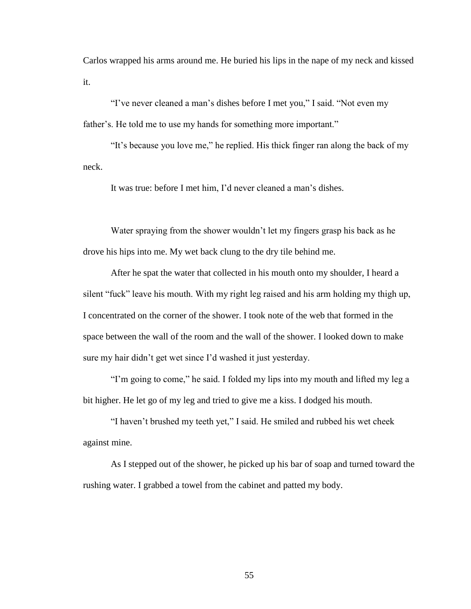Carlos wrapped his arms around me. He buried his lips in the nape of my neck and kissed it.

"I've never cleaned a man's dishes before I met you," I said. "Not even my father's. He told me to use my hands for something more important."

"It's because you love me," he replied. His thick finger ran along the back of my neck.

It was true: before I met him, I'd never cleaned a man's dishes.

Water spraying from the shower wouldn't let my fingers grasp his back as he drove his hips into me. My wet back clung to the dry tile behind me.

After he spat the water that collected in his mouth onto my shoulder, I heard a silent "fuck" leave his mouth. With my right leg raised and his arm holding my thigh up, I concentrated on the corner of the shower. I took note of the web that formed in the space between the wall of the room and the wall of the shower. I looked down to make sure my hair didn't get wet since I'd washed it just yesterday.

"I'm going to come," he said. I folded my lips into my mouth and lifted my leg a bit higher. He let go of my leg and tried to give me a kiss. I dodged his mouth.

"I haven't brushed my teeth yet," I said. He smiled and rubbed his wet cheek against mine.

As I stepped out of the shower, he picked up his bar of soap and turned toward the rushing water. I grabbed a towel from the cabinet and patted my body.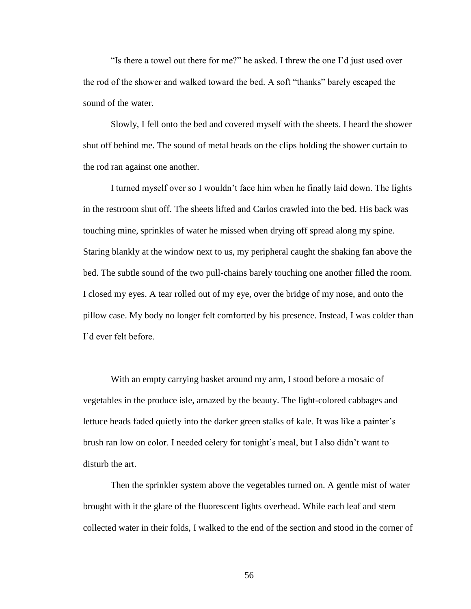"Is there a towel out there for me?" he asked. I threw the one I'd just used over the rod of the shower and walked toward the bed. A soft "thanks" barely escaped the sound of the water.

Slowly, I fell onto the bed and covered myself with the sheets. I heard the shower shut off behind me. The sound of metal beads on the clips holding the shower curtain to the rod ran against one another.

I turned myself over so I wouldn't face him when he finally laid down. The lights in the restroom shut off. The sheets lifted and Carlos crawled into the bed. His back was touching mine, sprinkles of water he missed when drying off spread along my spine. Staring blankly at the window next to us, my peripheral caught the shaking fan above the bed. The subtle sound of the two pull-chains barely touching one another filled the room. I closed my eyes. A tear rolled out of my eye, over the bridge of my nose, and onto the pillow case. My body no longer felt comforted by his presence. Instead, I was colder than I'd ever felt before.

With an empty carrying basket around my arm, I stood before a mosaic of vegetables in the produce isle, amazed by the beauty. The light-colored cabbages and lettuce heads faded quietly into the darker green stalks of kale. It was like a painter's brush ran low on color. I needed celery for tonight's meal, but I also didn't want to disturb the art.

Then the sprinkler system above the vegetables turned on. A gentle mist of water brought with it the glare of the fluorescent lights overhead. While each leaf and stem collected water in their folds, I walked to the end of the section and stood in the corner of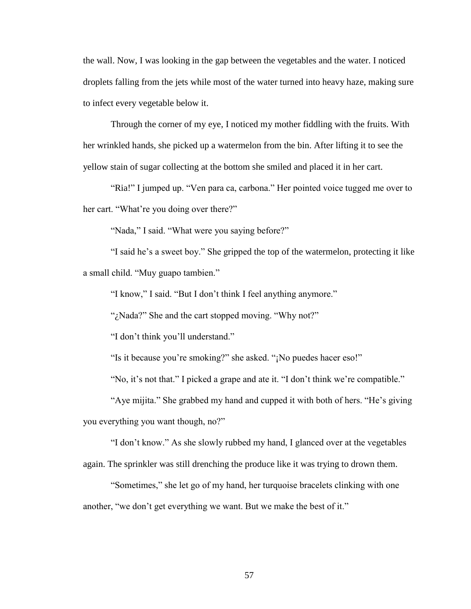the wall. Now, I was looking in the gap between the vegetables and the water. I noticed droplets falling from the jets while most of the water turned into heavy haze, making sure to infect every vegetable below it.

Through the corner of my eye, I noticed my mother fiddling with the fruits. With her wrinkled hands, she picked up a watermelon from the bin. After lifting it to see the yellow stain of sugar collecting at the bottom she smiled and placed it in her cart.

"Ria!" I jumped up. "Ven para ca, carbona." Her pointed voice tugged me over to her cart. "What're you doing over there?"

"Nada," I said. "What were you saying before?"

"I said he's a sweet boy." She gripped the top of the watermelon, protecting it like a small child. "Muy guapo tambien."

"I know," I said. "But I don't think I feel anything anymore."

". Nada?" She and the cart stopped moving. "Why not?"

"I don't think you'll understand."

"Is it because you're smoking?" she asked. "¡No puedes hacer eso!"

"No, it's not that." I picked a grape and ate it. "I don't think we're compatible."

"Aye mijita." She grabbed my hand and cupped it with both of hers. "He's giving you everything you want though, no?"

"I don't know." As she slowly rubbed my hand, I glanced over at the vegetables again. The sprinkler was still drenching the produce like it was trying to drown them.

"Sometimes," she let go of my hand, her turquoise bracelets clinking with one another, "we don't get everything we want. But we make the best of it."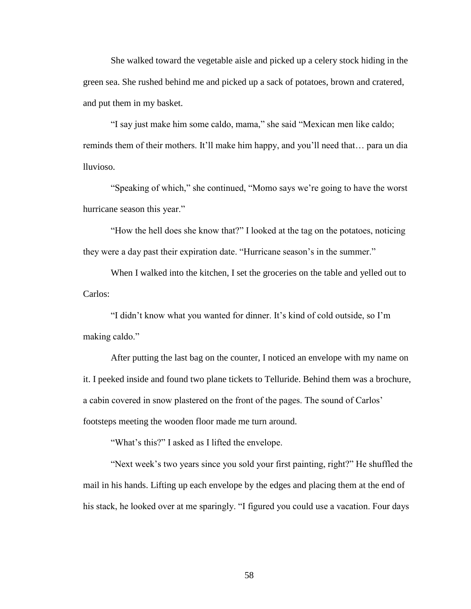She walked toward the vegetable aisle and picked up a celery stock hiding in the green sea. She rushed behind me and picked up a sack of potatoes, brown and cratered, and put them in my basket.

"I say just make him some caldo, mama," she said "Mexican men like caldo; reminds them of their mothers. It'll make him happy, and you'll need that… para un dia lluvioso.

"Speaking of which," she continued, "Momo says we're going to have the worst hurricane season this year."

"How the hell does she know that?" I looked at the tag on the potatoes, noticing they were a day past their expiration date. "Hurricane season's in the summer."

When I walked into the kitchen, I set the groceries on the table and yelled out to Carlos:

"I didn't know what you wanted for dinner. It's kind of cold outside, so I'm making caldo."

After putting the last bag on the counter, I noticed an envelope with my name on it. I peeked inside and found two plane tickets to Telluride. Behind them was a brochure, a cabin covered in snow plastered on the front of the pages. The sound of Carlos' footsteps meeting the wooden floor made me turn around.

"What's this?" I asked as I lifted the envelope.

"Next week's two years since you sold your first painting, right?" He shuffled the mail in his hands. Lifting up each envelope by the edges and placing them at the end of his stack, he looked over at me sparingly. "I figured you could use a vacation. Four days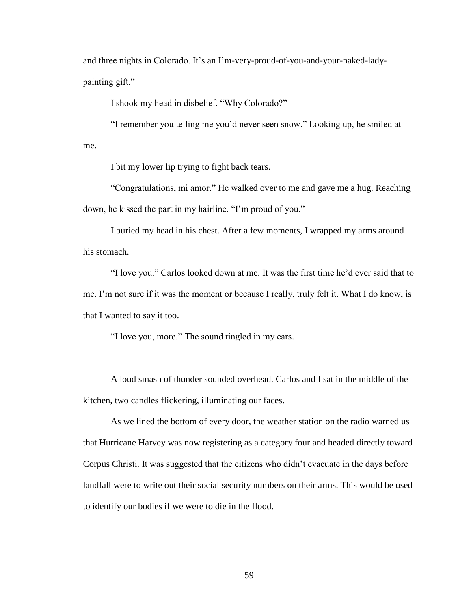and three nights in Colorado. It's an I'm-very-proud-of-you-and-your-naked-ladypainting gift."

I shook my head in disbelief. "Why Colorado?"

"I remember you telling me you'd never seen snow." Looking up, he smiled at me.

I bit my lower lip trying to fight back tears.

"Congratulations, mi amor." He walked over to me and gave me a hug. Reaching down, he kissed the part in my hairline. "I'm proud of you."

I buried my head in his chest. After a few moments, I wrapped my arms around his stomach.

"I love you." Carlos looked down at me. It was the first time he'd ever said that to me. I'm not sure if it was the moment or because I really, truly felt it. What I do know, is that I wanted to say it too.

"I love you, more." The sound tingled in my ears.

A loud smash of thunder sounded overhead. Carlos and I sat in the middle of the kitchen, two candles flickering, illuminating our faces.

As we lined the bottom of every door, the weather station on the radio warned us that Hurricane Harvey was now registering as a category four and headed directly toward Corpus Christi. It was suggested that the citizens who didn't evacuate in the days before landfall were to write out their social security numbers on their arms. This would be used to identify our bodies if we were to die in the flood.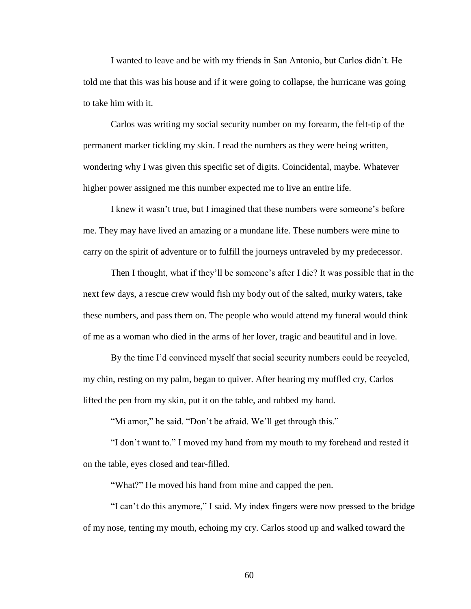I wanted to leave and be with my friends in San Antonio, but Carlos didn't. He told me that this was his house and if it were going to collapse, the hurricane was going to take him with it.

Carlos was writing my social security number on my forearm, the felt-tip of the permanent marker tickling my skin. I read the numbers as they were being written, wondering why I was given this specific set of digits. Coincidental, maybe. Whatever higher power assigned me this number expected me to live an entire life.

I knew it wasn't true, but I imagined that these numbers were someone's before me. They may have lived an amazing or a mundane life. These numbers were mine to carry on the spirit of adventure or to fulfill the journeys untraveled by my predecessor.

Then I thought, what if they'll be someone's after I die? It was possible that in the next few days, a rescue crew would fish my body out of the salted, murky waters, take these numbers, and pass them on. The people who would attend my funeral would think of me as a woman who died in the arms of her lover, tragic and beautiful and in love.

By the time I'd convinced myself that social security numbers could be recycled, my chin, resting on my palm, began to quiver. After hearing my muffled cry, Carlos lifted the pen from my skin, put it on the table, and rubbed my hand.

"Mi amor," he said. "Don't be afraid. We'll get through this."

"I don't want to." I moved my hand from my mouth to my forehead and rested it on the table, eyes closed and tear-filled.

"What?" He moved his hand from mine and capped the pen.

"I can't do this anymore," I said. My index fingers were now pressed to the bridge of my nose, tenting my mouth, echoing my cry. Carlos stood up and walked toward the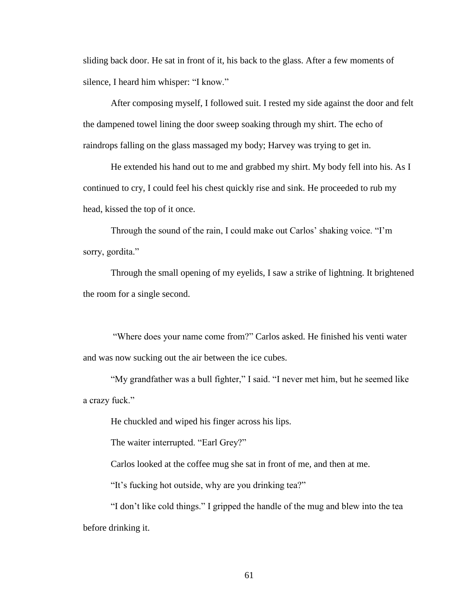sliding back door. He sat in front of it, his back to the glass. After a few moments of silence, I heard him whisper: "I know."

After composing myself, I followed suit. I rested my side against the door and felt the dampened towel lining the door sweep soaking through my shirt. The echo of raindrops falling on the glass massaged my body; Harvey was trying to get in.

He extended his hand out to me and grabbed my shirt. My body fell into his. As I continued to cry, I could feel his chest quickly rise and sink. He proceeded to rub my head, kissed the top of it once.

Through the sound of the rain, I could make out Carlos' shaking voice. "I'm sorry, gordita."

Through the small opening of my eyelids, I saw a strike of lightning. It brightened the room for a single second.

"Where does your name come from?" Carlos asked. He finished his venti water and was now sucking out the air between the ice cubes.

"My grandfather was a bull fighter," I said. "I never met him, but he seemed like a crazy fuck."

He chuckled and wiped his finger across his lips.

The waiter interrupted. "Earl Grey?"

Carlos looked at the coffee mug she sat in front of me, and then at me.

"It's fucking hot outside, why are you drinking tea?"

"I don't like cold things." I gripped the handle of the mug and blew into the tea before drinking it.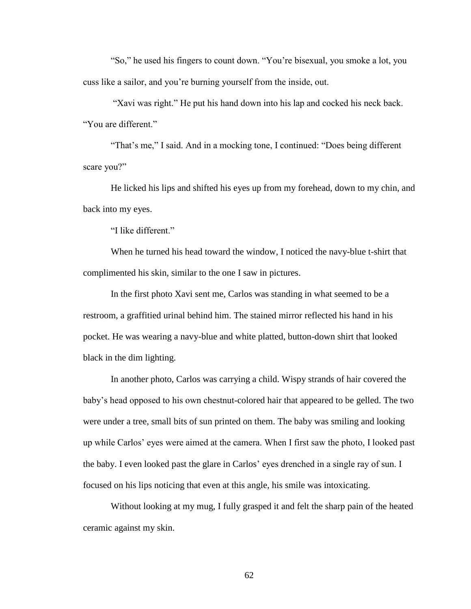"So," he used his fingers to count down. "You're bisexual, you smoke a lot, you cuss like a sailor, and you're burning yourself from the inside, out.

"Xavi was right." He put his hand down into his lap and cocked his neck back. "You are different."

"That's me," I said. And in a mocking tone, I continued: "Does being different scare you?"

He licked his lips and shifted his eyes up from my forehead, down to my chin, and back into my eyes.

"I like different."

When he turned his head toward the window, I noticed the navy-blue t-shirt that complimented his skin, similar to the one I saw in pictures.

In the first photo Xavi sent me, Carlos was standing in what seemed to be a restroom, a graffitied urinal behind him. The stained mirror reflected his hand in his pocket. He was wearing a navy-blue and white platted, button-down shirt that looked black in the dim lighting.

In another photo, Carlos was carrying a child. Wispy strands of hair covered the baby's head opposed to his own chestnut-colored hair that appeared to be gelled. The two were under a tree, small bits of sun printed on them. The baby was smiling and looking up while Carlos' eyes were aimed at the camera. When I first saw the photo, I looked past the baby. I even looked past the glare in Carlos' eyes drenched in a single ray of sun. I focused on his lips noticing that even at this angle, his smile was intoxicating.

Without looking at my mug, I fully grasped it and felt the sharp pain of the heated ceramic against my skin.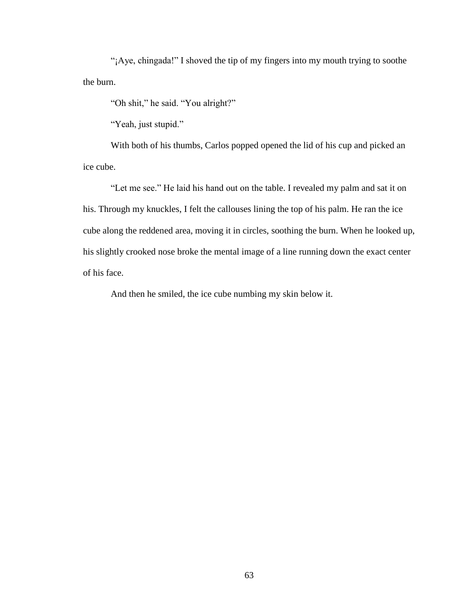"¡Aye, chingada!" I shoved the tip of my fingers into my mouth trying to soothe the burn.

"Oh shit," he said. "You alright?"

"Yeah, just stupid."

With both of his thumbs, Carlos popped opened the lid of his cup and picked an ice cube.

"Let me see." He laid his hand out on the table. I revealed my palm and sat it on his. Through my knuckles, I felt the callouses lining the top of his palm. He ran the ice cube along the reddened area, moving it in circles, soothing the burn. When he looked up, his slightly crooked nose broke the mental image of a line running down the exact center of his face.

And then he smiled, the ice cube numbing my skin below it.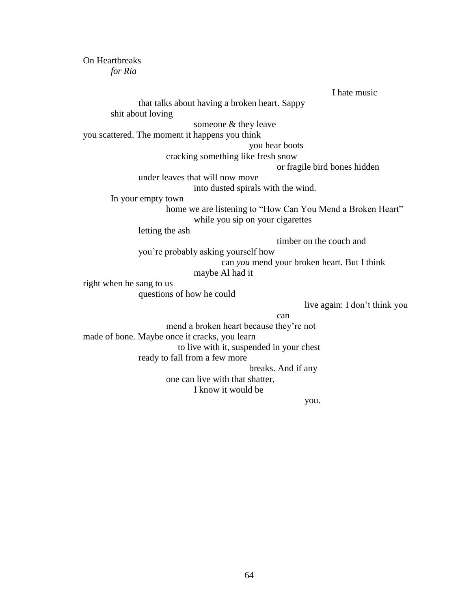On Heartbreaks

*for Ria*

I hate music that talks about having a broken heart. Sappy

someone & they leave

you scattered. The moment it happens you think

you hear boots

cracking something like fresh snow

or fragile bird bones hidden

under leaves that will now move

into dusted spirals with the wind.

In your empty town

shit about loving

home we are listening to "How Can You Mend a Broken Heart" while you sip on your cigarettes

letting the ash

timber on the couch and

you're probably asking yourself how

can *you* mend your broken heart. But I think

maybe Al had it

right when he sang to us

questions of how he could

live again: I don't think you

can mend a broken heart because they're not

made of bone. Maybe once it cracks, you learn

to live with it, suspended in your chest

ready to fall from a few more

breaks. And if any

one can live with that shatter,

I know it would be

you.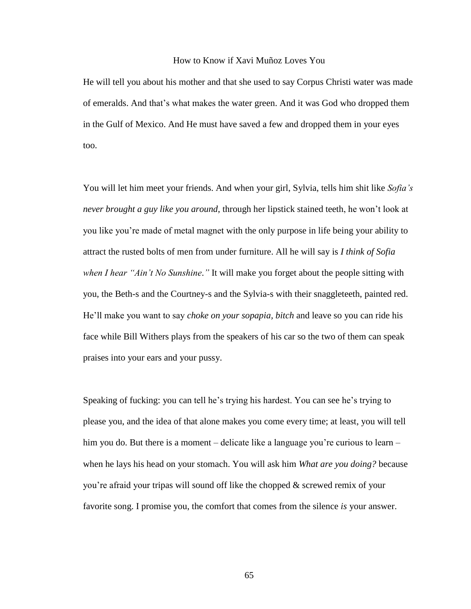## How to Know if Xavi Muñoz Loves You

He will tell you about his mother and that she used to say Corpus Christi water was made of emeralds. And that's what makes the water green. And it was God who dropped them in the Gulf of Mexico. And He must have saved a few and dropped them in your eyes too.

You will let him meet your friends. And when your girl, Sylvia, tells him shit like *Sofia's never brought a guy like you around*, through her lipstick stained teeth, he won't look at you like you're made of metal magnet with the only purpose in life being your ability to attract the rusted bolts of men from under furniture. All he will say is *I think of Sofia when I hear "Ain't No Sunshine*.*"* It will make you forget about the people sitting with you, the Beth-s and the Courtney-s and the Sylvia-s with their snaggleteeth, painted red. He'll make you want to say *choke on your sopapia, bitch* and leave so you can ride his face while Bill Withers plays from the speakers of his car so the two of them can speak praises into your ears and your pussy.

Speaking of fucking: you can tell he's trying his hardest. You can see he's trying to please you, and the idea of that alone makes you come every time; at least, you will tell him you do. But there is a moment – delicate like a language you're curious to learn – when he lays his head on your stomach. You will ask him *What are you doing?* because you're afraid your tripas will sound off like the chopped & screwed remix of your favorite song. I promise you, the comfort that comes from the silence *is* your answer.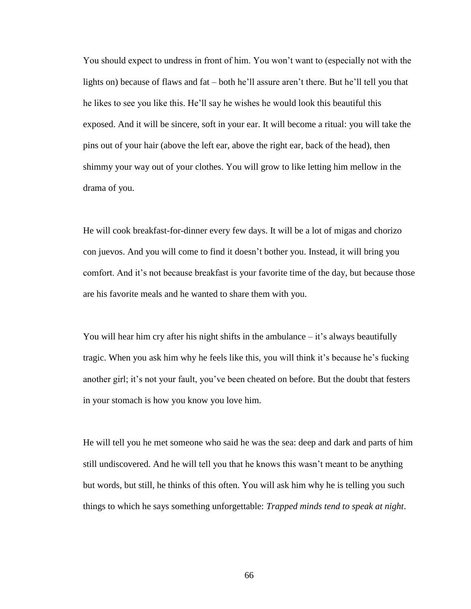You should expect to undress in front of him. You won't want to (especially not with the lights on) because of flaws and fat – both he'll assure aren't there. But he'll tell you that he likes to see you like this. He'll say he wishes he would look this beautiful this exposed. And it will be sincere, soft in your ear. It will become a ritual: you will take the pins out of your hair (above the left ear, above the right ear, back of the head), then shimmy your way out of your clothes. You will grow to like letting him mellow in the drama of you.

He will cook breakfast-for-dinner every few days. It will be a lot of migas and chorizo con juevos. And you will come to find it doesn't bother you. Instead, it will bring you comfort. And it's not because breakfast is your favorite time of the day, but because those are his favorite meals and he wanted to share them with you.

You will hear him cry after his night shifts in the ambulance – it's always beautifully tragic. When you ask him why he feels like this, you will think it's because he's fucking another girl; it's not your fault, you've been cheated on before. But the doubt that festers in your stomach is how you know you love him.

He will tell you he met someone who said he was the sea: deep and dark and parts of him still undiscovered. And he will tell you that he knows this wasn't meant to be anything but words, but still, he thinks of this often. You will ask him why he is telling you such things to which he says something unforgettable: *Trapped minds tend to speak at night*.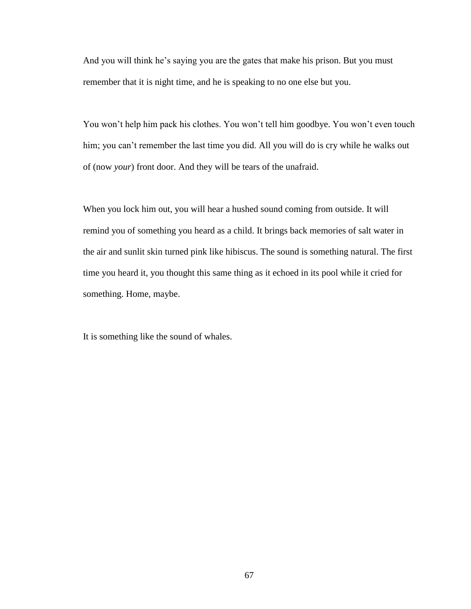And you will think he's saying you are the gates that make his prison. But you must remember that it is night time, and he is speaking to no one else but you.

You won't help him pack his clothes. You won't tell him goodbye. You won't even touch him; you can't remember the last time you did. All you will do is cry while he walks out of (now *your*) front door. And they will be tears of the unafraid.

When you lock him out, you will hear a hushed sound coming from outside. It will remind you of something you heard as a child. It brings back memories of salt water in the air and sunlit skin turned pink like hibiscus. The sound is something natural. The first time you heard it, you thought this same thing as it echoed in its pool while it cried for something. Home, maybe.

It is something like the sound of whales.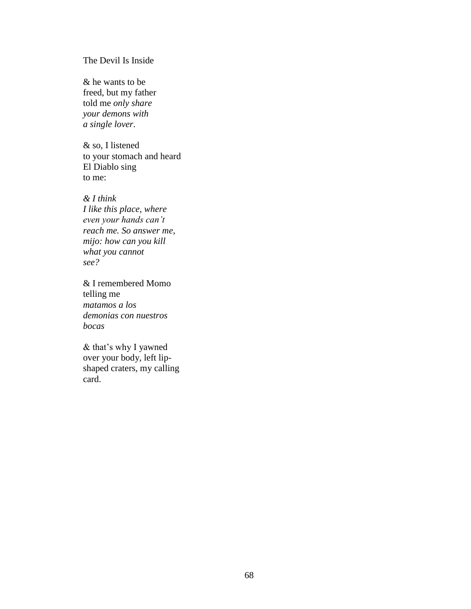## The Devil Is Inside

& he wants to be freed, but my father told me *only share your demons with a single lover*.

& so, I listened to your stomach and heard El Diablo sing to me:

*& I think I like this place, where even your hands can't reach me. So answer me, mijo: how can you kill what you cannot see?*

& I remembered Momo telling me *matamos a los demonias con nuestros bocas*

& that's why I yawned over your body, left lipshaped craters, my calling card.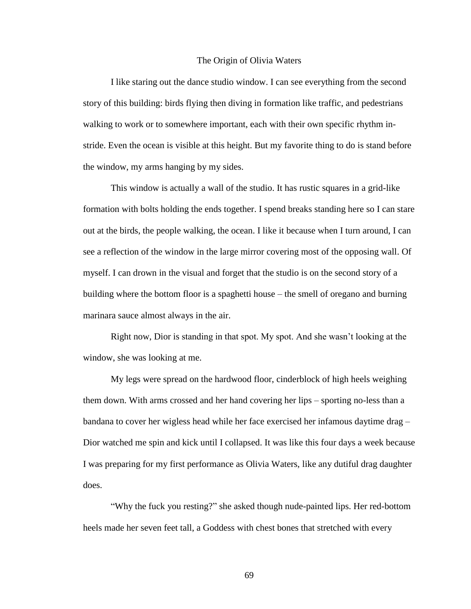#### The Origin of Olivia Waters

I like staring out the dance studio window. I can see everything from the second story of this building: birds flying then diving in formation like traffic, and pedestrians walking to work or to somewhere important, each with their own specific rhythm instride. Even the ocean is visible at this height. But my favorite thing to do is stand before the window, my arms hanging by my sides.

This window is actually a wall of the studio. It has rustic squares in a grid-like formation with bolts holding the ends together. I spend breaks standing here so I can stare out at the birds, the people walking, the ocean. I like it because when I turn around, I can see a reflection of the window in the large mirror covering most of the opposing wall. Of myself. I can drown in the visual and forget that the studio is on the second story of a building where the bottom floor is a spaghetti house – the smell of oregano and burning marinara sauce almost always in the air.

Right now, Dior is standing in that spot. My spot. And she wasn't looking at the window, she was looking at me.

My legs were spread on the hardwood floor, cinderblock of high heels weighing them down. With arms crossed and her hand covering her lips – sporting no-less than a bandana to cover her wigless head while her face exercised her infamous daytime drag – Dior watched me spin and kick until I collapsed. It was like this four days a week because I was preparing for my first performance as Olivia Waters, like any dutiful drag daughter does.

"Why the fuck you resting?" she asked though nude-painted lips. Her red-bottom heels made her seven feet tall, a Goddess with chest bones that stretched with every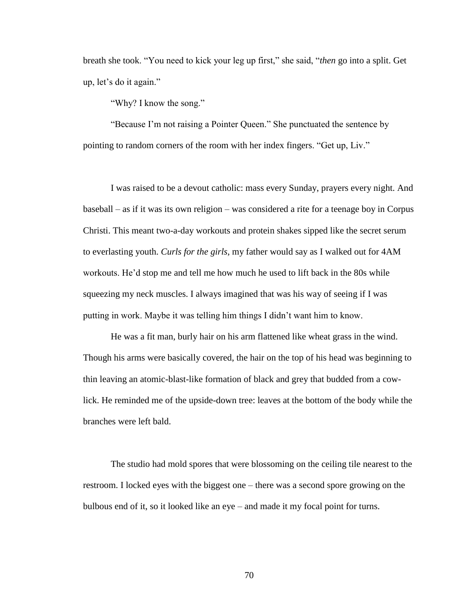breath she took. "You need to kick your leg up first," she said, "*then* go into a split. Get up, let's do it again."

"Why? I know the song."

"Because I'm not raising a Pointer Queen." She punctuated the sentence by pointing to random corners of the room with her index fingers. "Get up, Liv."

I was raised to be a devout catholic: mass every Sunday, prayers every night. And baseball – as if it was its own religion – was considered a rite for a teenage boy in Corpus Christi. This meant two-a-day workouts and protein shakes sipped like the secret serum to everlasting youth. *Curls for the girls*, my father would say as I walked out for 4AM workouts. He'd stop me and tell me how much he used to lift back in the 80s while squeezing my neck muscles. I always imagined that was his way of seeing if I was putting in work. Maybe it was telling him things I didn't want him to know.

He was a fit man, burly hair on his arm flattened like wheat grass in the wind. Though his arms were basically covered, the hair on the top of his head was beginning to thin leaving an atomic-blast-like formation of black and grey that budded from a cowlick. He reminded me of the upside-down tree: leaves at the bottom of the body while the branches were left bald.

The studio had mold spores that were blossoming on the ceiling tile nearest to the restroom. I locked eyes with the biggest one – there was a second spore growing on the bulbous end of it, so it looked like an eye – and made it my focal point for turns.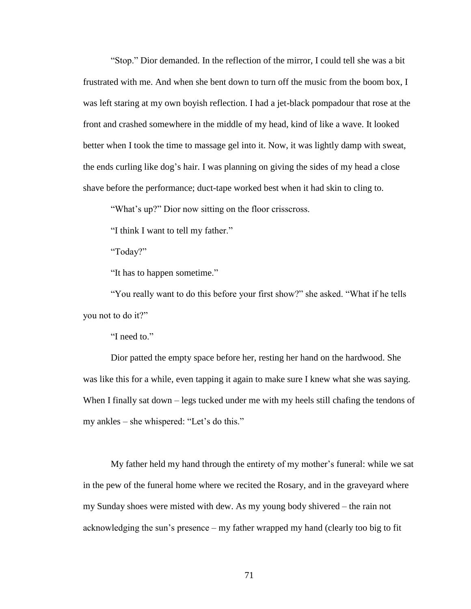"Stop." Dior demanded. In the reflection of the mirror, I could tell she was a bit frustrated with me. And when she bent down to turn off the music from the boom box, I was left staring at my own boyish reflection. I had a jet-black pompadour that rose at the front and crashed somewhere in the middle of my head, kind of like a wave. It looked better when I took the time to massage gel into it. Now, it was lightly damp with sweat, the ends curling like dog's hair. I was planning on giving the sides of my head a close shave before the performance; duct-tape worked best when it had skin to cling to.

"What's up?" Dior now sitting on the floor crisscross.

"I think I want to tell my father."

"Today?"

"It has to happen sometime."

"You really want to do this before your first show?" she asked. "What if he tells you not to do it?"

"I need to."

Dior patted the empty space before her, resting her hand on the hardwood. She was like this for a while, even tapping it again to make sure I knew what she was saying. When I finally sat down – legs tucked under me with my heels still chafing the tendons of my ankles – she whispered: "Let's do this."

My father held my hand through the entirety of my mother's funeral: while we sat in the pew of the funeral home where we recited the Rosary, and in the graveyard where my Sunday shoes were misted with dew. As my young body shivered – the rain not acknowledging the sun's presence – my father wrapped my hand (clearly too big to fit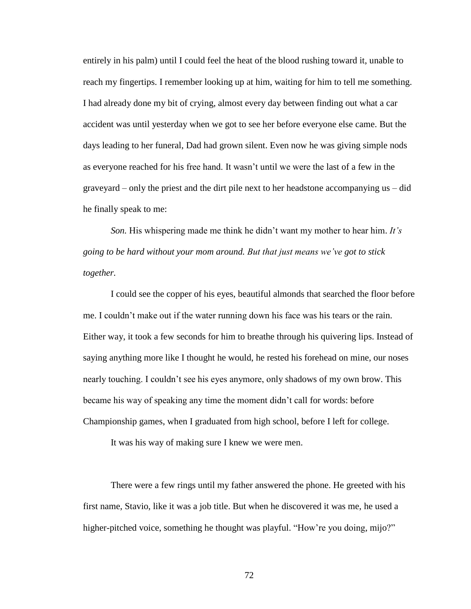entirely in his palm) until I could feel the heat of the blood rushing toward it, unable to reach my fingertips. I remember looking up at him, waiting for him to tell me something. I had already done my bit of crying, almost every day between finding out what a car accident was until yesterday when we got to see her before everyone else came. But the days leading to her funeral, Dad had grown silent. Even now he was giving simple nods as everyone reached for his free hand. It wasn't until we were the last of a few in the graveyard – only the priest and the dirt pile next to her headstone accompanying us – did he finally speak to me:

 *Son.* His whispering made me think he didn't want my mother to hear him. *It's going to be hard without your mom around. But that just means we've got to stick together.*

 I could see the copper of his eyes, beautiful almonds that searched the floor before me. I couldn't make out if the water running down his face was his tears or the rain. Either way, it took a few seconds for him to breathe through his quivering lips. Instead of saying anything more like I thought he would, he rested his forehead on mine, our noses nearly touching. I couldn't see his eyes anymore, only shadows of my own brow. This became his way of speaking any time the moment didn't call for words: before Championship games, when I graduated from high school, before I left for college.

It was his way of making sure I knew we were men.

 There were a few rings until my father answered the phone. He greeted with his first name, Stavio, like it was a job title. But when he discovered it was me, he used a higher-pitched voice, something he thought was playful. "How're you doing, mijo?"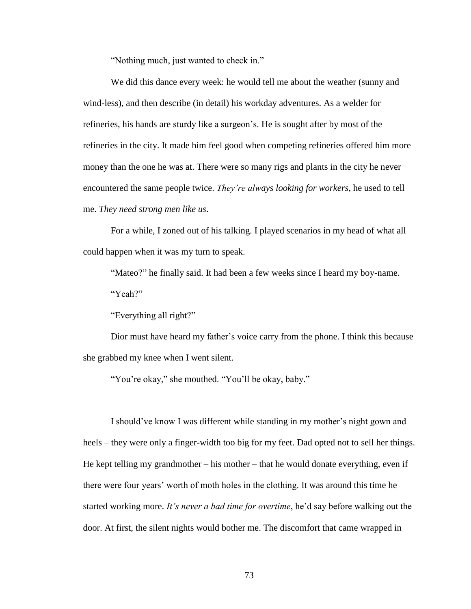"Nothing much, just wanted to check in."

We did this dance every week: he would tell me about the weather (sunny and wind-less), and then describe (in detail) his workday adventures. As a welder for refineries, his hands are sturdy like a surgeon's. He is sought after by most of the refineries in the city. It made him feel good when competing refineries offered him more money than the one he was at. There were so many rigs and plants in the city he never encountered the same people twice. *They're always looking for workers*, he used to tell me. *They need strong men like us*.

 For a while, I zoned out of his talking. I played scenarios in my head of what all could happen when it was my turn to speak.

"Mateo?" he finally said. It had been a few weeks since I heard my boy-name. "Yeah?"

"Everything all right?"

Dior must have heard my father's voice carry from the phone. I think this because she grabbed my knee when I went silent.

"You're okay," she mouthed. "You'll be okay, baby."

I should've know I was different while standing in my mother's night gown and heels – they were only a finger-width too big for my feet. Dad opted not to sell her things. He kept telling my grandmother – his mother – that he would donate everything, even if there were four years' worth of moth holes in the clothing. It was around this time he started working more. *It's never a bad time for overtime*, he'd say before walking out the door. At first, the silent nights would bother me. The discomfort that came wrapped in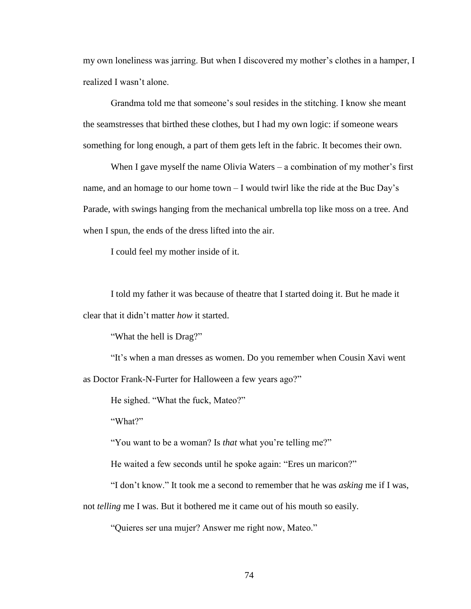my own loneliness was jarring. But when I discovered my mother's clothes in a hamper, I realized I wasn't alone.

Grandma told me that someone's soul resides in the stitching. I know she meant the seamstresses that birthed these clothes, but I had my own logic: if someone wears something for long enough, a part of them gets left in the fabric. It becomes their own.

When I gave myself the name Olivia Waters – a combination of my mother's first name, and an homage to our home town – I would twirl like the ride at the Buc Day's Parade, with swings hanging from the mechanical umbrella top like moss on a tree. And when I spun, the ends of the dress lifted into the air.

I could feel my mother inside of it.

I told my father it was because of theatre that I started doing it. But he made it clear that it didn't matter *how* it started.

"What the hell is Drag?"

"It's when a man dresses as women. Do you remember when Cousin Xavi went as Doctor Frank-N-Furter for Halloween a few years ago?"

He sighed. "What the fuck, Mateo?"

"What?"

"You want to be a woman? Is *that* what you're telling me?"

He waited a few seconds until he spoke again: "Eres un maricon?"

"I don't know." It took me a second to remember that he was *asking* me if I was,

not *telling* me I was. But it bothered me it came out of his mouth so easily.

"Quieres ser una mujer? Answer me right now, Mateo."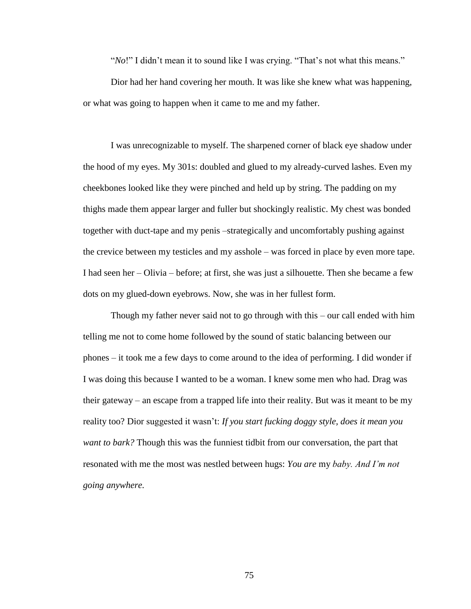"*No*!" I didn't mean it to sound like I was crying. "That's not what this means."

Dior had her hand covering her mouth. It was like she knew what was happening, or what was going to happen when it came to me and my father.

I was unrecognizable to myself. The sharpened corner of black eye shadow under the hood of my eyes. My 301s: doubled and glued to my already-curved lashes. Even my cheekbones looked like they were pinched and held up by string. The padding on my thighs made them appear larger and fuller but shockingly realistic. My chest was bonded together with duct-tape and my penis –strategically and uncomfortably pushing against the crevice between my testicles and my asshole – was forced in place by even more tape. I had seen her – Olivia – before; at first, she was just a silhouette. Then she became a few dots on my glued-down eyebrows. Now, she was in her fullest form.

Though my father never said not to go through with this – our call ended with him telling me not to come home followed by the sound of static balancing between our phones – it took me a few days to come around to the idea of performing. I did wonder if I was doing this because I wanted to be a woman. I knew some men who had. Drag was their gateway – an escape from a trapped life into their reality. But was it meant to be my reality too? Dior suggested it wasn't: *If you start fucking doggy style, does it mean you want to bark?* Though this was the funniest tidbit from our conversation, the part that resonated with me the most was nestled between hugs: *You are* my *baby. And I'm not going anywhere.*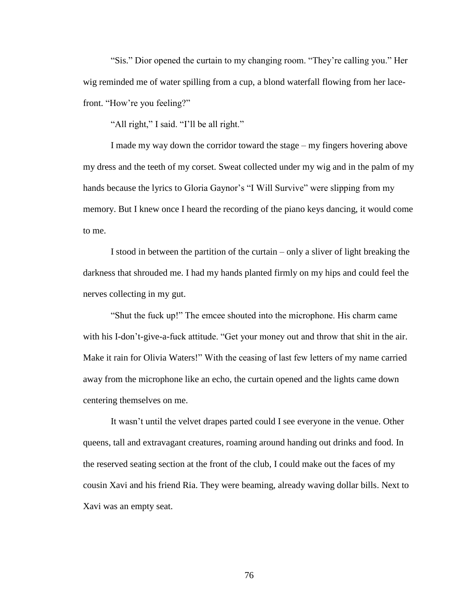"Sis." Dior opened the curtain to my changing room. "They're calling you." Her wig reminded me of water spilling from a cup, a blond waterfall flowing from her lacefront. "How're you feeling?"

"All right," I said. "I'll be all right."

I made my way down the corridor toward the stage – my fingers hovering above my dress and the teeth of my corset. Sweat collected under my wig and in the palm of my hands because the lyrics to Gloria Gaynor's "I Will Survive" were slipping from my memory. But I knew once I heard the recording of the piano keys dancing, it would come to me.

I stood in between the partition of the curtain – only a sliver of light breaking the darkness that shrouded me. I had my hands planted firmly on my hips and could feel the nerves collecting in my gut.

"Shut the fuck up!" The emcee shouted into the microphone. His charm came with his I-don't-give-a-fuck attitude. "Get your money out and throw that shit in the air. Make it rain for Olivia Waters!" With the ceasing of last few letters of my name carried away from the microphone like an echo, the curtain opened and the lights came down centering themselves on me.

It wasn't until the velvet drapes parted could I see everyone in the venue. Other queens, tall and extravagant creatures, roaming around handing out drinks and food. In the reserved seating section at the front of the club, I could make out the faces of my cousin Xavi and his friend Ria. They were beaming, already waving dollar bills. Next to Xavi was an empty seat.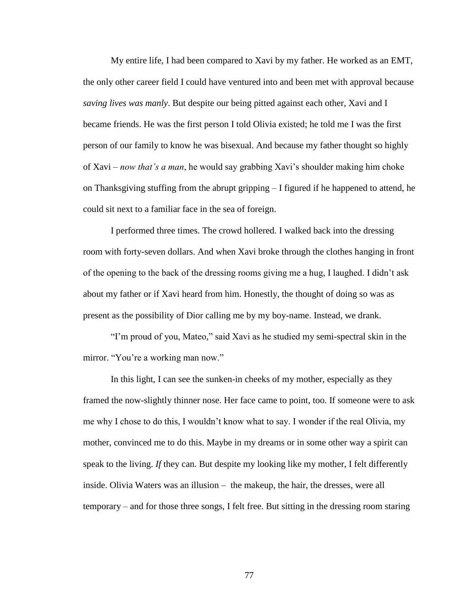My entire life, I had been compared to Xavi by my father. He worked as an EMT, the only other career field I could have ventured into and been met with approval because *saving lives was manly*. But despite our being pitted against each other, Xavi and I became friends. He was the first person I told Olivia existed; he told me I was the first person of our family to know he was bisexual. And because my father thought so highly of Xavi – *now that's a man*, he would say grabbing Xavi's shoulder making him choke on Thanksgiving stuffing from the abrupt gripping – I figured if he happened to attend, he could sit next to a familiar face in the sea of foreign.

I performed three times. The crowd hollered. I walked back into the dressing room with forty-seven dollars. And when Xavi broke through the clothes hanging in front of the opening to the back of the dressing rooms giving me a hug, I laughed. I didn't ask about my father or if Xavi heard from him. Honestly, the thought of doing so was as present as the possibility of Dior calling me by my boy-name. Instead, we drank.

"I'm proud of you, Mateo," said Xavi as he studied my semi-spectral skin in the mirror. "You're a working man now."

In this light, I can see the sunken-in cheeks of my mother, especially as they framed the now-slightly thinner nose. Her face came to point, too. If someone were to ask me why I chose to do this, I wouldn't know what to say. I wonder if the real Olivia, my mother, convinced me to do this. Maybe in my dreams or in some other way a spirit can speak to the living. *If* they can. But despite my looking like my mother, I felt differently inside. Olivia Waters was an illusion – the makeup, the hair, the dresses, were all temporary – and for those three songs, I felt free. But sitting in the dressing room staring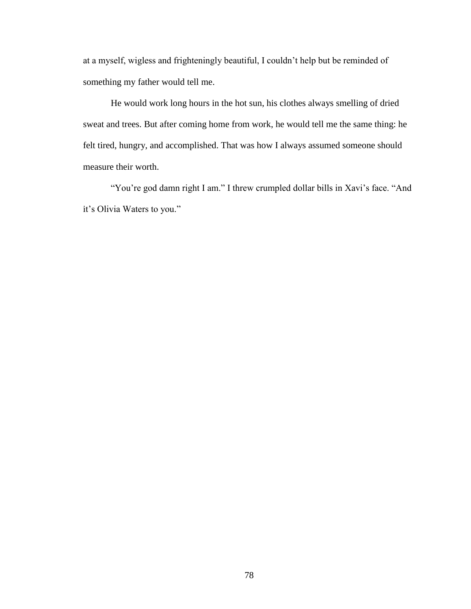at a myself, wigless and frighteningly beautiful, I couldn't help but be reminded of something my father would tell me.

He would work long hours in the hot sun, his clothes always smelling of dried sweat and trees. But after coming home from work, he would tell me the same thing: he felt tired, hungry, and accomplished. That was how I always assumed someone should measure their worth.

"You're god damn right I am." I threw crumpled dollar bills in Xavi's face. "And it's Olivia Waters to you."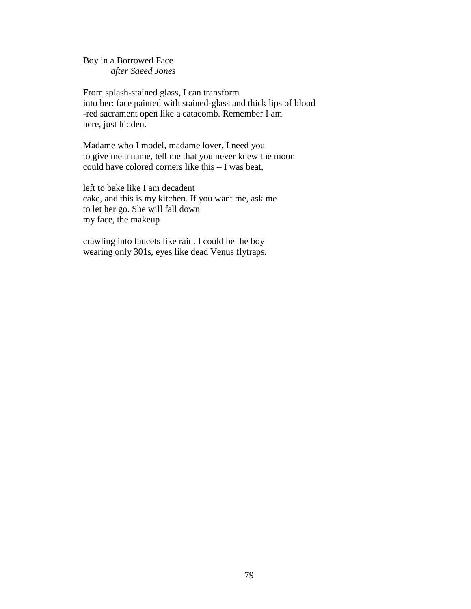Boy in a Borrowed Face *after Saeed Jones*

From splash-stained glass, I can transform into her: face painted with stained-glass and thick lips of blood -red sacrament open like a catacomb. Remember I am here, just hidden.

Madame who I model, madame lover, I need you to give me a name, tell me that you never knew the moon could have colored corners like this – I was beat,

left to bake like I am decadent cake, and this is my kitchen. If you want me, ask me to let her go. She will fall down my face, the makeup

crawling into faucets like rain. I could be the boy wearing only 301s, eyes like dead Venus flytraps.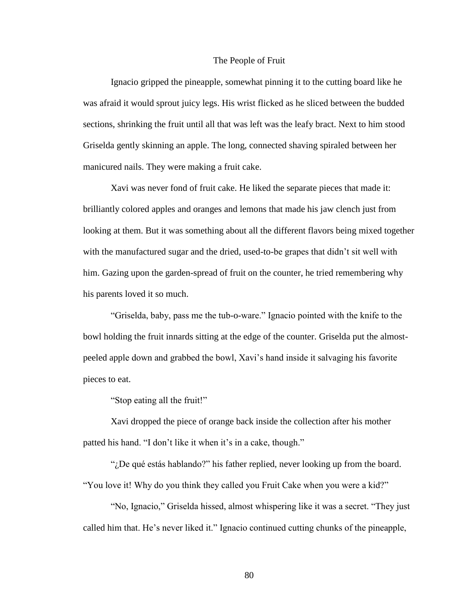#### The People of Fruit

Ignacio gripped the pineapple, somewhat pinning it to the cutting board like he was afraid it would sprout juicy legs. His wrist flicked as he sliced between the budded sections, shrinking the fruit until all that was left was the leafy bract. Next to him stood Griselda gently skinning an apple. The long, connected shaving spiraled between her manicured nails. They were making a fruit cake.

Xavi was never fond of fruit cake. He liked the separate pieces that made it: brilliantly colored apples and oranges and lemons that made his jaw clench just from looking at them. But it was something about all the different flavors being mixed together with the manufactured sugar and the dried, used-to-be grapes that didn't sit well with him. Gazing upon the garden-spread of fruit on the counter, he tried remembering why his parents loved it so much.

"Griselda, baby, pass me the tub-o-ware." Ignacio pointed with the knife to the bowl holding the fruit innards sitting at the edge of the counter. Griselda put the almostpeeled apple down and grabbed the bowl, Xavi's hand inside it salvaging his favorite pieces to eat.

"Stop eating all the fruit!"

Xavi dropped the piece of orange back inside the collection after his mother patted his hand. "I don't like it when it's in a cake, though."

"¿De qué estás hablando?" his father replied, never looking up from the board. "You love it! Why do you think they called you Fruit Cake when you were a kid?"

"No, Ignacio," Griselda hissed, almost whispering like it was a secret. "They just called him that. He's never liked it." Ignacio continued cutting chunks of the pineapple,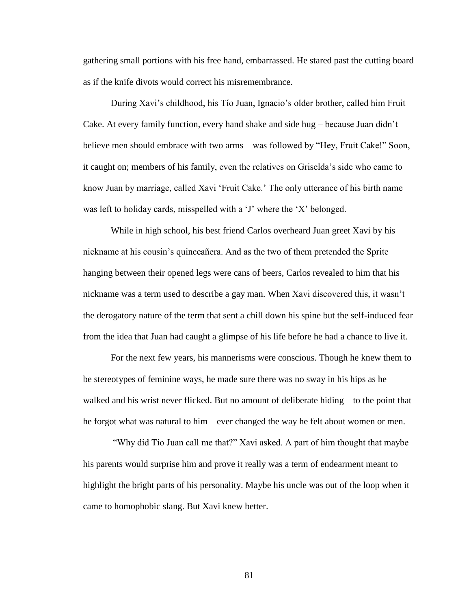gathering small portions with his free hand, embarrassed. He stared past the cutting board as if the knife divots would correct his misremembrance.

During Xavi's childhood, his Tío Juan, Ignacio's older brother, called him Fruit Cake. At every family function, every hand shake and side hug – because Juan didn't believe men should embrace with two arms – was followed by "Hey, Fruit Cake!" Soon, it caught on; members of his family, even the relatives on Griselda's side who came to know Juan by marriage, called Xavi 'Fruit Cake.' The only utterance of his birth name was left to holiday cards, misspelled with a 'J' where the 'X' belonged.

While in high school, his best friend Carlos overheard Juan greet Xavi by his nickname at his cousin's quinceañera. And as the two of them pretended the Sprite hanging between their opened legs were cans of beers, Carlos revealed to him that his nickname was a term used to describe a gay man. When Xavi discovered this, it wasn't the derogatory nature of the term that sent a chill down his spine but the self-induced fear from the idea that Juan had caught a glimpse of his life before he had a chance to live it.

For the next few years, his mannerisms were conscious. Though he knew them to be stereotypes of feminine ways, he made sure there was no sway in his hips as he walked and his wrist never flicked. But no amount of deliberate hiding – to the point that he forgot what was natural to him – ever changed the way he felt about women or men.

"Why did Tío Juan call me that?" Xavi asked. A part of him thought that maybe his parents would surprise him and prove it really was a term of endearment meant to highlight the bright parts of his personality. Maybe his uncle was out of the loop when it came to homophobic slang. But Xavi knew better.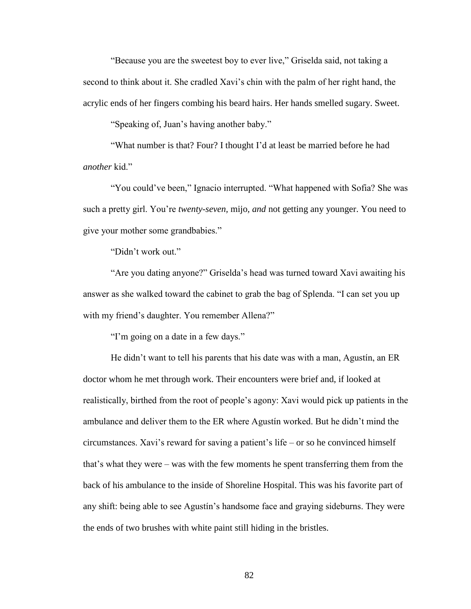"Because you are the sweetest boy to ever live," Griselda said, not taking a second to think about it. She cradled Xavi's chin with the palm of her right hand, the acrylic ends of her fingers combing his beard hairs. Her hands smelled sugary. Sweet.

"Speaking of, Juan's having another baby."

"What number is that? Four? I thought I'd at least be married before he had *another* kid."

"You could've been," Ignacio interrupted. "What happened with Sofia? She was such a pretty girl. You're *twenty-seven,* mijo*, and* not getting any younger. You need to give your mother some grandbabies."

"Didn't work out."

"Are you dating anyone?" Griselda's head was turned toward Xavi awaiting his answer as she walked toward the cabinet to grab the bag of Splenda. "I can set you up with my friend's daughter. You remember Allena?"

"I'm going on a date in a few days."

He didn't want to tell his parents that his date was with a man, Agustín, an ER doctor whom he met through work. Their encounters were brief and, if looked at realistically, birthed from the root of people's agony: Xavi would pick up patients in the ambulance and deliver them to the ER where Agustín worked. But he didn't mind the circumstances. Xavi's reward for saving a patient's life – or so he convinced himself that's what they were – was with the few moments he spent transferring them from the back of his ambulance to the inside of Shoreline Hospital. This was his favorite part of any shift: being able to see Agustín's handsome face and graying sideburns. They were the ends of two brushes with white paint still hiding in the bristles.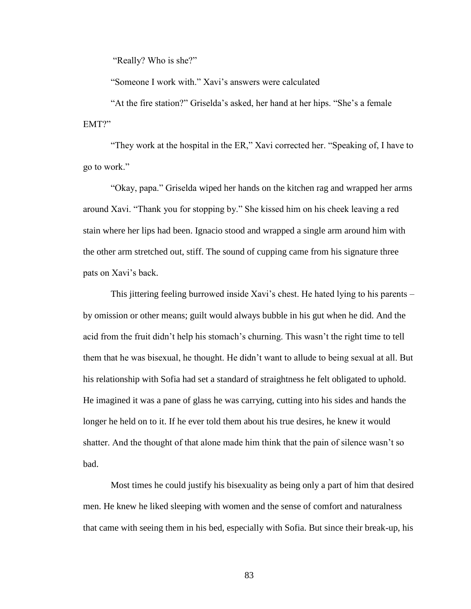"Really? Who is she?"

"Someone I work with." Xavi's answers were calculated

"At the fire station?" Griselda's asked, her hand at her hips. "She's a female EMT?"

"They work at the hospital in the ER," Xavi corrected her. "Speaking of, I have to go to work."

"Okay, papa." Griselda wiped her hands on the kitchen rag and wrapped her arms around Xavi. "Thank you for stopping by." She kissed him on his cheek leaving a red stain where her lips had been. Ignacio stood and wrapped a single arm around him with the other arm stretched out, stiff. The sound of cupping came from his signature three pats on Xavi's back.

This jittering feeling burrowed inside Xavi's chest. He hated lying to his parents – by omission or other means; guilt would always bubble in his gut when he did. And the acid from the fruit didn't help his stomach's churning. This wasn't the right time to tell them that he was bisexual, he thought. He didn't want to allude to being sexual at all. But his relationship with Sofia had set a standard of straightness he felt obligated to uphold. He imagined it was a pane of glass he was carrying, cutting into his sides and hands the longer he held on to it. If he ever told them about his true desires, he knew it would shatter. And the thought of that alone made him think that the pain of silence wasn't so bad.

Most times he could justify his bisexuality as being only a part of him that desired men. He knew he liked sleeping with women and the sense of comfort and naturalness that came with seeing them in his bed, especially with Sofia. But since their break-up, his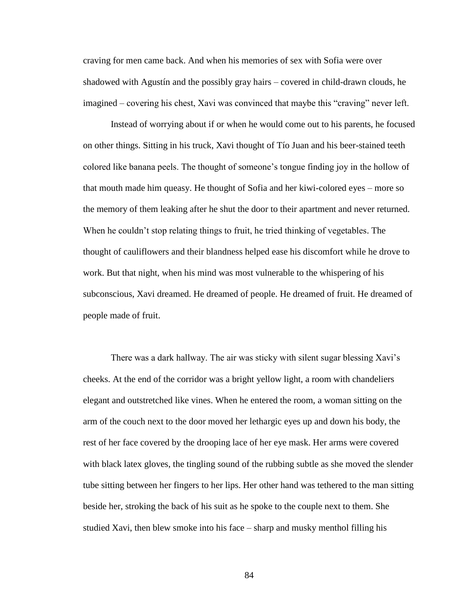craving for men came back. And when his memories of sex with Sofia were over shadowed with Agustín and the possibly gray hairs – covered in child-drawn clouds, he imagined – covering his chest, Xavi was convinced that maybe this "craving" never left.

Instead of worrying about if or when he would come out to his parents, he focused on other things. Sitting in his truck, Xavi thought of Tío Juan and his beer-stained teeth colored like banana peels. The thought of someone's tongue finding joy in the hollow of that mouth made him queasy. He thought of Sofia and her kiwi-colored eyes – more so the memory of them leaking after he shut the door to their apartment and never returned. When he couldn't stop relating things to fruit, he tried thinking of vegetables. The thought of cauliflowers and their blandness helped ease his discomfort while he drove to work. But that night, when his mind was most vulnerable to the whispering of his subconscious, Xavi dreamed. He dreamed of people. He dreamed of fruit. He dreamed of people made of fruit.

There was a dark hallway. The air was sticky with silent sugar blessing Xavi's cheeks. At the end of the corridor was a bright yellow light, a room with chandeliers elegant and outstretched like vines. When he entered the room, a woman sitting on the arm of the couch next to the door moved her lethargic eyes up and down his body, the rest of her face covered by the drooping lace of her eye mask. Her arms were covered with black latex gloves, the tingling sound of the rubbing subtle as she moved the slender tube sitting between her fingers to her lips. Her other hand was tethered to the man sitting beside her, stroking the back of his suit as he spoke to the couple next to them. She studied Xavi, then blew smoke into his face – sharp and musky menthol filling his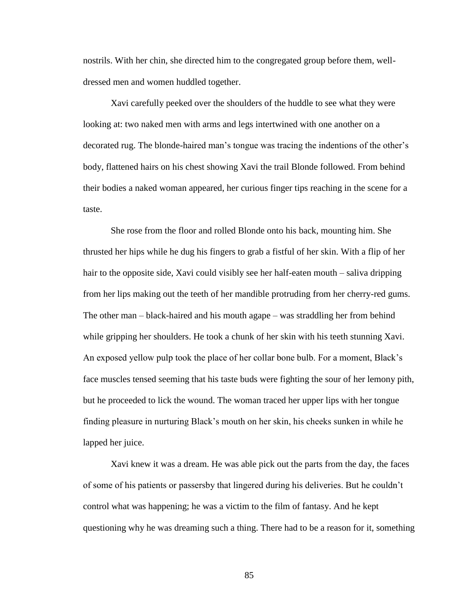nostrils. With her chin, she directed him to the congregated group before them, welldressed men and women huddled together.

Xavi carefully peeked over the shoulders of the huddle to see what they were looking at: two naked men with arms and legs intertwined with one another on a decorated rug. The blonde-haired man's tongue was tracing the indentions of the other's body, flattened hairs on his chest showing Xavi the trail Blonde followed. From behind their bodies a naked woman appeared, her curious finger tips reaching in the scene for a taste.

She rose from the floor and rolled Blonde onto his back, mounting him. She thrusted her hips while he dug his fingers to grab a fistful of her skin. With a flip of her hair to the opposite side, Xavi could visibly see her half-eaten mouth – saliva dripping from her lips making out the teeth of her mandible protruding from her cherry-red gums. The other man – black-haired and his mouth agape – was straddling her from behind while gripping her shoulders. He took a chunk of her skin with his teeth stunning Xavi. An exposed yellow pulp took the place of her collar bone bulb. For a moment, Black's face muscles tensed seeming that his taste buds were fighting the sour of her lemony pith, but he proceeded to lick the wound. The woman traced her upper lips with her tongue finding pleasure in nurturing Black's mouth on her skin, his cheeks sunken in while he lapped her juice.

Xavi knew it was a dream. He was able pick out the parts from the day, the faces of some of his patients or passersby that lingered during his deliveries. But he couldn't control what was happening; he was a victim to the film of fantasy. And he kept questioning why he was dreaming such a thing. There had to be a reason for it, something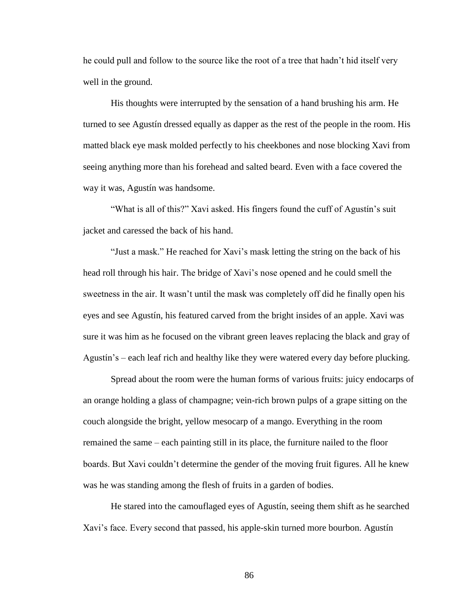he could pull and follow to the source like the root of a tree that hadn't hid itself very well in the ground.

His thoughts were interrupted by the sensation of a hand brushing his arm. He turned to see Agustín dressed equally as dapper as the rest of the people in the room. His matted black eye mask molded perfectly to his cheekbones and nose blocking Xavi from seeing anything more than his forehead and salted beard. Even with a face covered the way it was, Agustín was handsome.

"What is all of this?" Xavi asked. His fingers found the cuff of Agustín's suit jacket and caressed the back of his hand.

"Just a mask." He reached for Xavi's mask letting the string on the back of his head roll through his hair. The bridge of Xavi's nose opened and he could smell the sweetness in the air. It wasn't until the mask was completely off did he finally open his eyes and see Agustín, his featured carved from the bright insides of an apple. Xavi was sure it was him as he focused on the vibrant green leaves replacing the black and gray of Agustín's – each leaf rich and healthy like they were watered every day before plucking.

Spread about the room were the human forms of various fruits: juicy endocarps of an orange holding a glass of champagne; vein-rich brown pulps of a grape sitting on the couch alongside the bright, yellow mesocarp of a mango. Everything in the room remained the same – each painting still in its place, the furniture nailed to the floor boards. But Xavi couldn't determine the gender of the moving fruit figures. All he knew was he was standing among the flesh of fruits in a garden of bodies.

He stared into the camouflaged eyes of Agustín, seeing them shift as he searched Xavi's face. Every second that passed, his apple-skin turned more bourbon. Agustín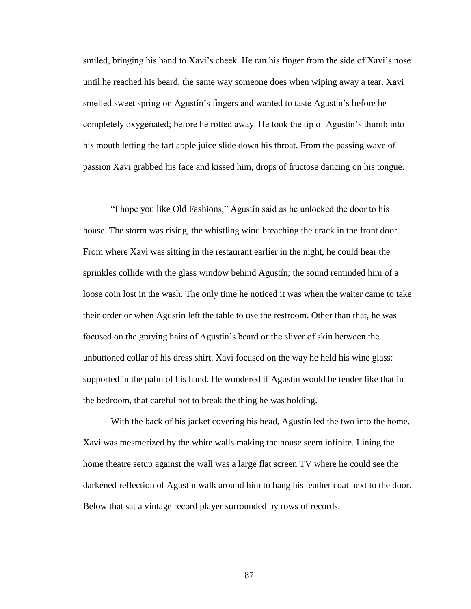smiled, bringing his hand to Xavi's cheek. He ran his finger from the side of Xavi's nose until he reached his beard, the same way someone does when wiping away a tear. Xavi smelled sweet spring on Agustín's fingers and wanted to taste Agustín's before he completely oxygenated; before he rotted away. He took the tip of Agustín's thumb into his mouth letting the tart apple juice slide down his throat. From the passing wave of passion Xavi grabbed his face and kissed him, drops of fructose dancing on his tongue.

"I hope you like Old Fashions," Agustín said as he unlocked the door to his house. The storm was rising, the whistling wind breaching the crack in the front door. From where Xavi was sitting in the restaurant earlier in the night, he could hear the sprinkles collide with the glass window behind Agustín; the sound reminded him of a loose coin lost in the wash. The only time he noticed it was when the waiter came to take their order or when Agustín left the table to use the restroom. Other than that, he was focused on the graying hairs of Agustín's beard or the sliver of skin between the unbuttoned collar of his dress shirt. Xavi focused on the way he held his wine glass: supported in the palm of his hand. He wondered if Agustín would be tender like that in the bedroom, that careful not to break the thing he was holding.

With the back of his jacket covering his head, Agustín led the two into the home. Xavi was mesmerized by the white walls making the house seem infinite. Lining the home theatre setup against the wall was a large flat screen TV where he could see the darkened reflection of Agustín walk around him to hang his leather coat next to the door. Below that sat a vintage record player surrounded by rows of records.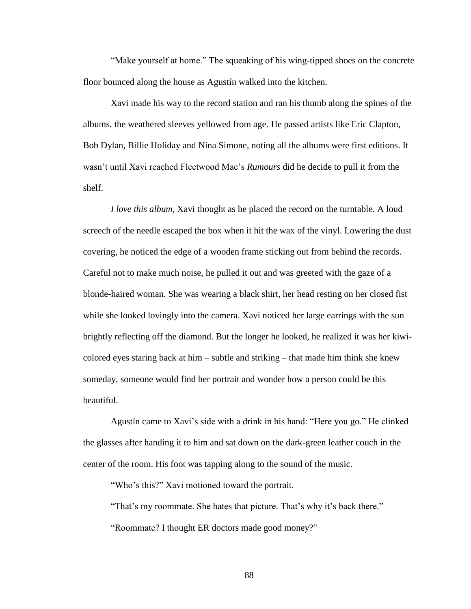"Make yourself at home." The squeaking of his wing-tipped shoes on the concrete floor bounced along the house as Agustín walked into the kitchen.

Xavi made his way to the record station and ran his thumb along the spines of the albums, the weathered sleeves yellowed from age. He passed artists like Eric Clapton, Bob Dylan, Billie Holiday and Nina Simone, noting all the albums were first editions. It wasn't until Xavi reached Fleetwood Mac's *Rumours* did he decide to pull it from the shelf.

*I love this album*, Xavi thought as he placed the record on the turntable. A loud screech of the needle escaped the box when it hit the wax of the vinyl. Lowering the dust covering, he noticed the edge of a wooden frame sticking out from behind the records. Careful not to make much noise, he pulled it out and was greeted with the gaze of a blonde-haired woman. She was wearing a black shirt, her head resting on her closed fist while she looked lovingly into the camera. Xavi noticed her large earrings with the sun brightly reflecting off the diamond. But the longer he looked, he realized it was her kiwicolored eyes staring back at him – subtle and striking – that made him think she knew someday, someone would find her portrait and wonder how a person could be this beautiful.

Agustín came to Xavi's side with a drink in his hand: "Here you go." He clinked the glasses after handing it to him and sat down on the dark-green leather couch in the center of the room. His foot was tapping along to the sound of the music.

"Who's this?" Xavi motioned toward the portrait.

"That's my roommate. She hates that picture. That's why it's back there." "Roommate? I thought ER doctors made good money?"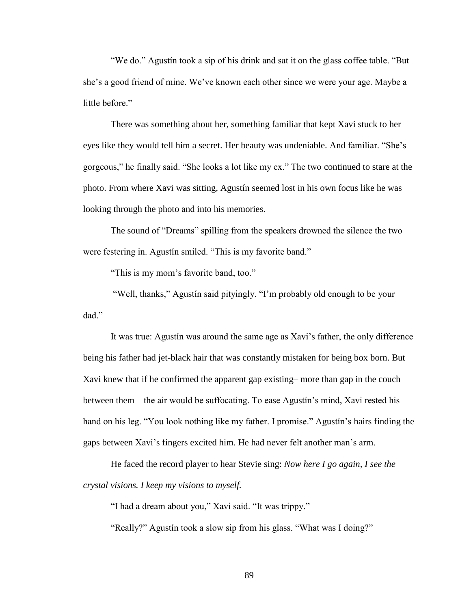"We do." Agustín took a sip of his drink and sat it on the glass coffee table. "But she's a good friend of mine. We've known each other since we were your age. Maybe a little before."

There was something about her, something familiar that kept Xavi stuck to her eyes like they would tell him a secret. Her beauty was undeniable. And familiar. "She's gorgeous," he finally said. "She looks a lot like my ex." The two continued to stare at the photo. From where Xavi was sitting, Agustín seemed lost in his own focus like he was looking through the photo and into his memories.

The sound of "Dreams" spilling from the speakers drowned the silence the two were festering in. Agustín smiled. "This is my favorite band."

"This is my mom's favorite band, too."

"Well, thanks," Agustín said pityingly. "I'm probably old enough to be your dad."

It was true: Agustín was around the same age as Xavi's father, the only difference being his father had jet-black hair that was constantly mistaken for being box born. But Xavi knew that if he confirmed the apparent gap existing– more than gap in the couch between them – the air would be suffocating. To ease Agustín's mind, Xavi rested his hand on his leg. "You look nothing like my father. I promise." Agustín's hairs finding the gaps between Xavi's fingers excited him. He had never felt another man's arm.

He faced the record player to hear Stevie sing: *Now here I go again, I see the crystal visions. I keep my visions to myself.*

"I had a dream about you," Xavi said. "It was trippy."

"Really?" Agustín took a slow sip from his glass. "What was I doing?"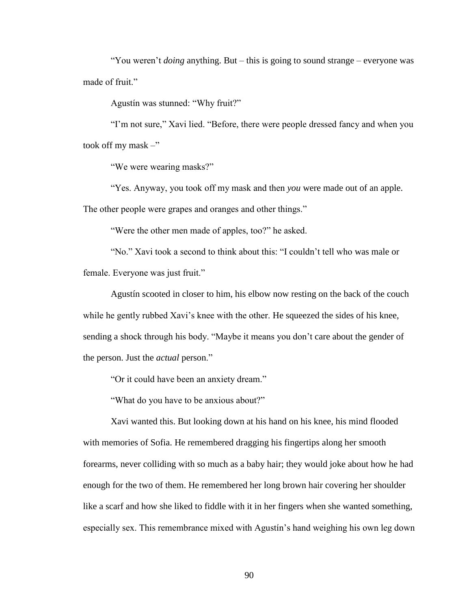"You weren't *doing* anything. But – this is going to sound strange – everyone was made of fruit."

Agustín was stunned: "Why fruit?"

"I'm not sure," Xavi lied. "Before, there were people dressed fancy and when you took off my mask  $-$ "

"We were wearing masks?"

"Yes. Anyway, you took off my mask and then *you* were made out of an apple. The other people were grapes and oranges and other things."

"Were the other men made of apples, too?" he asked.

"No." Xavi took a second to think about this: "I couldn't tell who was male or female. Everyone was just fruit."

Agustín scooted in closer to him, his elbow now resting on the back of the couch while he gently rubbed Xavi's knee with the other. He squeezed the sides of his knee, sending a shock through his body. "Maybe it means you don't care about the gender of the person. Just the *actual* person."

"Or it could have been an anxiety dream."

"What do you have to be anxious about?"

Xavi wanted this. But looking down at his hand on his knee, his mind flooded with memories of Sofia. He remembered dragging his fingertips along her smooth forearms, never colliding with so much as a baby hair; they would joke about how he had enough for the two of them. He remembered her long brown hair covering her shoulder like a scarf and how she liked to fiddle with it in her fingers when she wanted something, especially sex. This remembrance mixed with Agustín's hand weighing his own leg down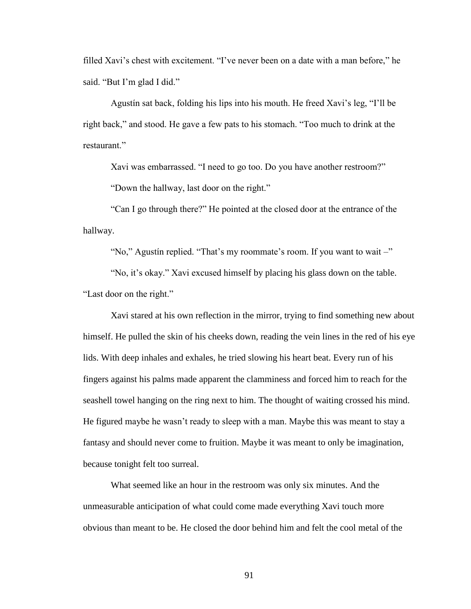filled Xavi's chest with excitement. "I've never been on a date with a man before," he said. "But I'm glad I did."

Agustín sat back, folding his lips into his mouth. He freed Xavi's leg, "I'll be right back," and stood. He gave a few pats to his stomach. "Too much to drink at the restaurant."

Xavi was embarrassed. "I need to go too. Do you have another restroom?"

"Down the hallway, last door on the right."

"Can I go through there?" He pointed at the closed door at the entrance of the hallway.

"No," Agustín replied. "That's my roommate's room. If you want to wait –"

"No, it's okay." Xavi excused himself by placing his glass down on the table. "Last door on the right."

Xavi stared at his own reflection in the mirror, trying to find something new about himself. He pulled the skin of his cheeks down, reading the vein lines in the red of his eye lids. With deep inhales and exhales, he tried slowing his heart beat. Every run of his fingers against his palms made apparent the clamminess and forced him to reach for the seashell towel hanging on the ring next to him. The thought of waiting crossed his mind. He figured maybe he wasn't ready to sleep with a man. Maybe this was meant to stay a fantasy and should never come to fruition. Maybe it was meant to only be imagination, because tonight felt too surreal.

What seemed like an hour in the restroom was only six minutes. And the unmeasurable anticipation of what could come made everything Xavi touch more obvious than meant to be. He closed the door behind him and felt the cool metal of the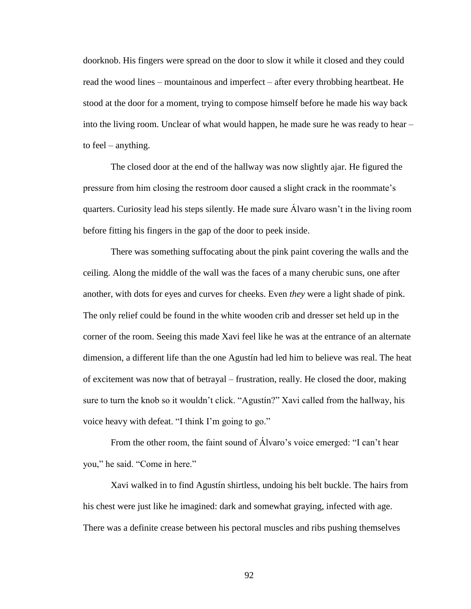doorknob. His fingers were spread on the door to slow it while it closed and they could read the wood lines – mountainous and imperfect – after every throbbing heartbeat. He stood at the door for a moment, trying to compose himself before he made his way back into the living room. Unclear of what would happen, he made sure he was ready to hear – to feel – anything.

The closed door at the end of the hallway was now slightly ajar. He figured the pressure from him closing the restroom door caused a slight crack in the roommate's quarters. Curiosity lead his steps silently. He made sure Álvaro wasn't in the living room before fitting his fingers in the gap of the door to peek inside.

There was something suffocating about the pink paint covering the walls and the ceiling. Along the middle of the wall was the faces of a many cherubic suns, one after another, with dots for eyes and curves for cheeks. Even *they* were a light shade of pink. The only relief could be found in the white wooden crib and dresser set held up in the corner of the room. Seeing this made Xavi feel like he was at the entrance of an alternate dimension, a different life than the one Agustín had led him to believe was real. The heat of excitement was now that of betrayal – frustration, really. He closed the door, making sure to turn the knob so it wouldn't click. "Agustín?" Xavi called from the hallway, his voice heavy with defeat. "I think I'm going to go."

From the other room, the faint sound of Álvaro's voice emerged: "I can't hear you," he said. "Come in here."

Xavi walked in to find Agustín shirtless, undoing his belt buckle. The hairs from his chest were just like he imagined: dark and somewhat graying, infected with age. There was a definite crease between his pectoral muscles and ribs pushing themselves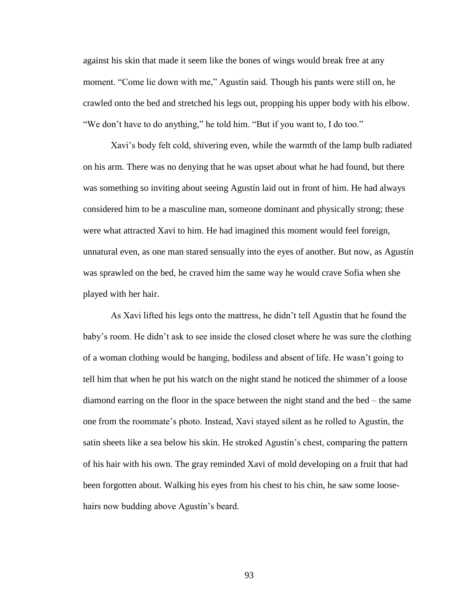against his skin that made it seem like the bones of wings would break free at any moment. "Come lie down with me," Agustín said. Though his pants were still on, he crawled onto the bed and stretched his legs out, propping his upper body with his elbow. "We don't have to do anything," he told him. "But if you want to, I do too."

Xavi's body felt cold, shivering even, while the warmth of the lamp bulb radiated on his arm. There was no denying that he was upset about what he had found, but there was something so inviting about seeing Agustín laid out in front of him. He had always considered him to be a masculine man, someone dominant and physically strong; these were what attracted Xavi to him. He had imagined this moment would feel foreign, unnatural even, as one man stared sensually into the eyes of another. But now, as Agustín was sprawled on the bed, he craved him the same way he would crave Sofia when she played with her hair.

As Xavi lifted his legs onto the mattress, he didn't tell Agustín that he found the baby's room. He didn't ask to see inside the closed closet where he was sure the clothing of a woman clothing would be hanging, bodiless and absent of life. He wasn't going to tell him that when he put his watch on the night stand he noticed the shimmer of a loose diamond earring on the floor in the space between the night stand and the bed – the same one from the roommate's photo. Instead, Xavi stayed silent as he rolled to Agustín, the satin sheets like a sea below his skin. He stroked Agustín's chest, comparing the pattern of his hair with his own. The gray reminded Xavi of mold developing on a fruit that had been forgotten about. Walking his eyes from his chest to his chin, he saw some loosehairs now budding above Agustín's beard.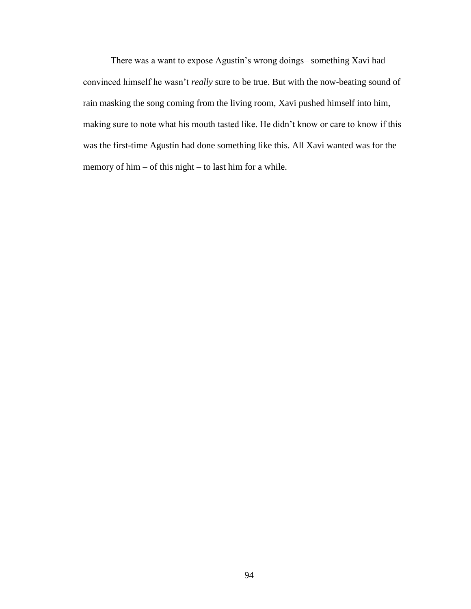There was a want to expose Agustín's wrong doings– something Xavi had convinced himself he wasn't *really* sure to be true. But with the now-beating sound of rain masking the song coming from the living room, Xavi pushed himself into him, making sure to note what his mouth tasted like. He didn't know or care to know if this was the first-time Agustín had done something like this. All Xavi wanted was for the memory of him – of this night – to last him for a while.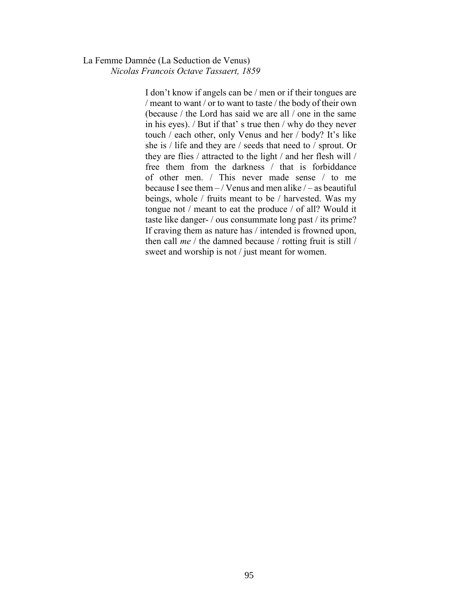# La Femme Damnée (La Seduction de Venus) *Nicolas Francois Octave Tassaert, 1859*

I don't know if angels can be / men or if their tongues are / meant to want / or to want to taste / the body of their own (because / the Lord has said we are all / one in the same in his eyes). / But if that' s true then / why do they never touch / each other, only Venus and her / body? It's like she is / life and they are / seeds that need to / sprout. Or they are flies / attracted to the light / and her flesh will / free them from the darkness / that is forbiddance of other men. / This never made sense / to me because I see them  $-$  / Venus and men alike  $/$  – as beautiful beings, whole / fruits meant to be / harvested. Was my tongue not / meant to eat the produce / of all? Would it taste like danger- / ous consummate long past / its prime? If craving them as nature has / intended is frowned upon, then call *me* / the damned because / rotting fruit is still / sweet and worship is not / just meant for women.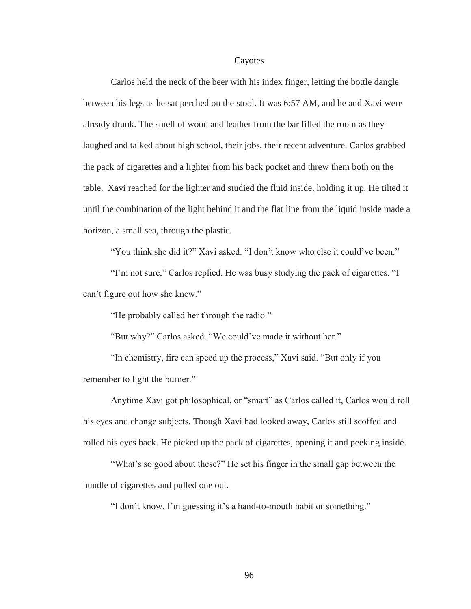### Cayotes

Carlos held the neck of the beer with his index finger, letting the bottle dangle between his legs as he sat perched on the stool. It was 6:57 AM, and he and Xavi were already drunk. The smell of wood and leather from the bar filled the room as they laughed and talked about high school, their jobs, their recent adventure. Carlos grabbed the pack of cigarettes and a lighter from his back pocket and threw them both on the table. Xavi reached for the lighter and studied the fluid inside, holding it up. He tilted it until the combination of the light behind it and the flat line from the liquid inside made a horizon, a small sea, through the plastic.

"You think she did it?" Xavi asked. "I don't know who else it could've been."

"I'm not sure," Carlos replied. He was busy studying the pack of cigarettes. "I can't figure out how she knew."

"He probably called her through the radio."

"But why?" Carlos asked. "We could've made it without her."

"In chemistry, fire can speed up the process," Xavi said. "But only if you remember to light the burner."

Anytime Xavi got philosophical, or "smart" as Carlos called it, Carlos would roll his eyes and change subjects. Though Xavi had looked away, Carlos still scoffed and rolled his eyes back. He picked up the pack of cigarettes, opening it and peeking inside.

"What's so good about these?" He set his finger in the small gap between the bundle of cigarettes and pulled one out.

"I don't know. I'm guessing it's a hand-to-mouth habit or something."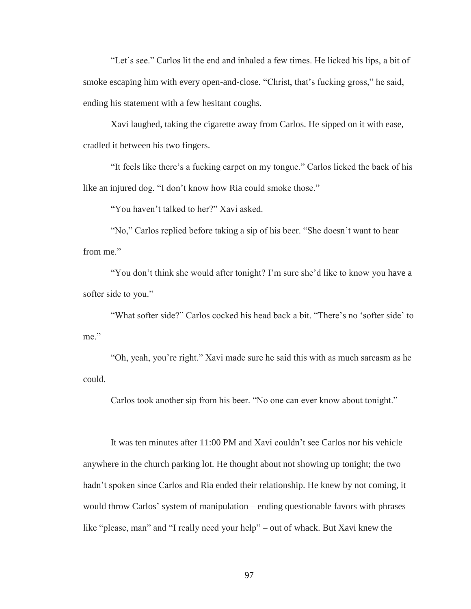"Let's see." Carlos lit the end and inhaled a few times. He licked his lips, a bit of smoke escaping him with every open-and-close. "Christ, that's fucking gross," he said, ending his statement with a few hesitant coughs.

Xavi laughed, taking the cigarette away from Carlos. He sipped on it with ease, cradled it between his two fingers.

"It feels like there's a fucking carpet on my tongue." Carlos licked the back of his like an injured dog. "I don't know how Ria could smoke those."

"You haven't talked to her?" Xavi asked.

"No," Carlos replied before taking a sip of his beer. "She doesn't want to hear from me."

"You don't think she would after tonight? I'm sure she'd like to know you have a softer side to you."

"What softer side?" Carlos cocked his head back a bit. "There's no 'softer side' to me"

"Oh, yeah, you're right." Xavi made sure he said this with as much sarcasm as he could.

Carlos took another sip from his beer. "No one can ever know about tonight."

It was ten minutes after 11:00 PM and Xavi couldn't see Carlos nor his vehicle anywhere in the church parking lot. He thought about not showing up tonight; the two hadn't spoken since Carlos and Ria ended their relationship. He knew by not coming, it would throw Carlos' system of manipulation – ending questionable favors with phrases like "please, man" and "I really need your help" – out of whack. But Xavi knew the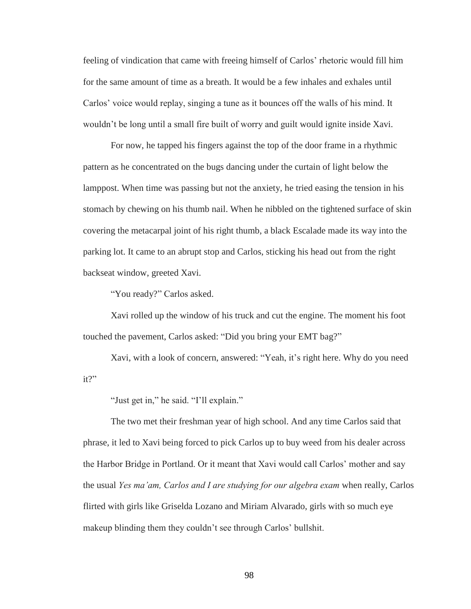feeling of vindication that came with freeing himself of Carlos' rhetoric would fill him for the same amount of time as a breath. It would be a few inhales and exhales until Carlos' voice would replay, singing a tune as it bounces off the walls of his mind. It wouldn't be long until a small fire built of worry and guilt would ignite inside Xavi.

For now, he tapped his fingers against the top of the door frame in a rhythmic pattern as he concentrated on the bugs dancing under the curtain of light below the lamppost. When time was passing but not the anxiety, he tried easing the tension in his stomach by chewing on his thumb nail. When he nibbled on the tightened surface of skin covering the metacarpal joint of his right thumb, a black Escalade made its way into the parking lot. It came to an abrupt stop and Carlos, sticking his head out from the right backseat window, greeted Xavi.

"You ready?" Carlos asked.

Xavi rolled up the window of his truck and cut the engine. The moment his foot touched the pavement, Carlos asked: "Did you bring your EMT bag?"

Xavi, with a look of concern, answered: "Yeah, it's right here. Why do you need it?"

"Just get in," he said. "I'll explain."

The two met their freshman year of high school. And any time Carlos said that phrase, it led to Xavi being forced to pick Carlos up to buy weed from his dealer across the Harbor Bridge in Portland. Or it meant that Xavi would call Carlos' mother and say the usual *Yes ma'am, Carlos and I are studying for our algebra exam* when really, Carlos flirted with girls like Griselda Lozano and Miriam Alvarado, girls with so much eye makeup blinding them they couldn't see through Carlos' bullshit.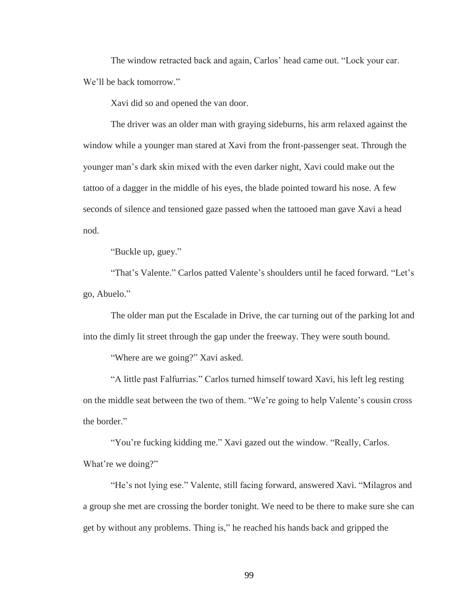The window retracted back and again, Carlos' head came out. "Lock your car. We'll be back tomorrow."

Xavi did so and opened the van door.

The driver was an older man with graying sideburns, his arm relaxed against the window while a younger man stared at Xavi from the front-passenger seat. Through the younger man's dark skin mixed with the even darker night, Xavi could make out the tattoo of a dagger in the middle of his eyes, the blade pointed toward his nose. A few seconds of silence and tensioned gaze passed when the tattooed man gave Xavi a head nod.

"Buckle up, guey."

"That's Valente." Carlos patted Valente's shoulders until he faced forward. "Let's go, Abuelo."

The older man put the Escalade in Drive, the car turning out of the parking lot and into the dimly lit street through the gap under the freeway. They were south bound.

"Where are we going?" Xavi asked.

"A little past Falfurrias." Carlos turned himself toward Xavi, his left leg resting on the middle seat between the two of them. "We're going to help Valente's cousin cross the border."

"You're fucking kidding me." Xavi gazed out the window. "Really, Carlos.

What're we doing?"

"He's not lying ese." Valente, still facing forward, answered Xavi. "Milagros and a group she met are crossing the border tonight. We need to be there to make sure she can get by without any problems. Thing is," he reached his hands back and gripped the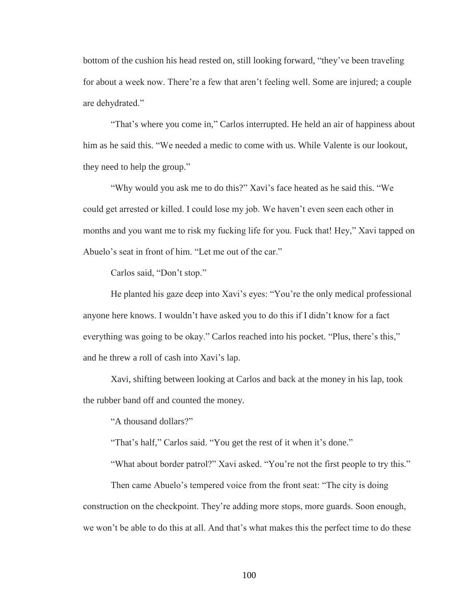bottom of the cushion his head rested on, still looking forward, "they've been traveling for about a week now. There're a few that aren't feeling well. Some are injured; a couple are dehydrated."

"That's where you come in," Carlos interrupted. He held an air of happiness about him as he said this. "We needed a medic to come with us. While Valente is our lookout, they need to help the group."

"Why would you ask me to do this?" Xavi's face heated as he said this. "We could get arrested or killed. I could lose my job. We haven't even seen each other in months and you want me to risk my fucking life for you. Fuck that! Hey," Xavi tapped on Abuelo's seat in front of him. "Let me out of the car."

Carlos said, "Don't stop."

He planted his gaze deep into Xavi's eyes: "You're the only medical professional anyone here knows. I wouldn't have asked you to do this if I didn't know for a fact everything was going to be okay." Carlos reached into his pocket. "Plus, there's this," and he threw a roll of cash into Xavi's lap.

Xavi, shifting between looking at Carlos and back at the money in his lap, took the rubber band off and counted the money.

"A thousand dollars?"

"That's half," Carlos said. "You get the rest of it when it's done."

"What about border patrol?" Xavi asked. "You're not the first people to try this."

Then came Abuelo's tempered voice from the front seat: "The city is doing construction on the checkpoint. They're adding more stops, more guards. Soon enough, we won't be able to do this at all. And that's what makes this the perfect time to do these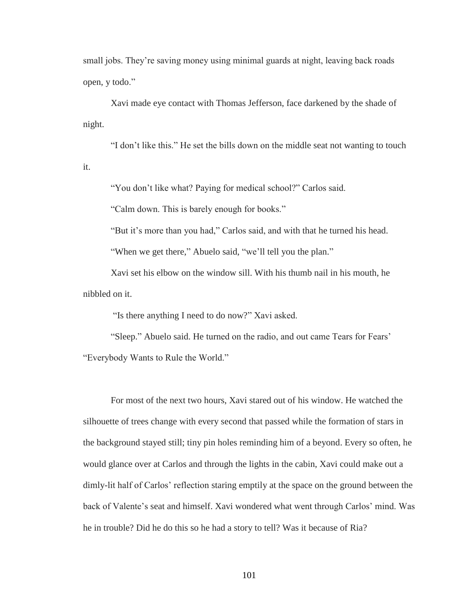small jobs. They're saving money using minimal guards at night, leaving back roads open, y todo."

Xavi made eye contact with Thomas Jefferson, face darkened by the shade of night.

"I don't like this." He set the bills down on the middle seat not wanting to touch it.

"You don't like what? Paying for medical school?" Carlos said.

"Calm down. This is barely enough for books."

"But it's more than you had," Carlos said, and with that he turned his head.

"When we get there," Abuelo said, "we'll tell you the plan."

Xavi set his elbow on the window sill. With his thumb nail in his mouth, he nibbled on it.

"Is there anything I need to do now?" Xavi asked.

"Sleep." Abuelo said. He turned on the radio, and out came Tears for Fears' "Everybody Wants to Rule the World."

For most of the next two hours, Xavi stared out of his window. He watched the silhouette of trees change with every second that passed while the formation of stars in the background stayed still; tiny pin holes reminding him of a beyond. Every so often, he would glance over at Carlos and through the lights in the cabin, Xavi could make out a dimly-lit half of Carlos' reflection staring emptily at the space on the ground between the back of Valente's seat and himself. Xavi wondered what went through Carlos' mind. Was he in trouble? Did he do this so he had a story to tell? Was it because of Ria?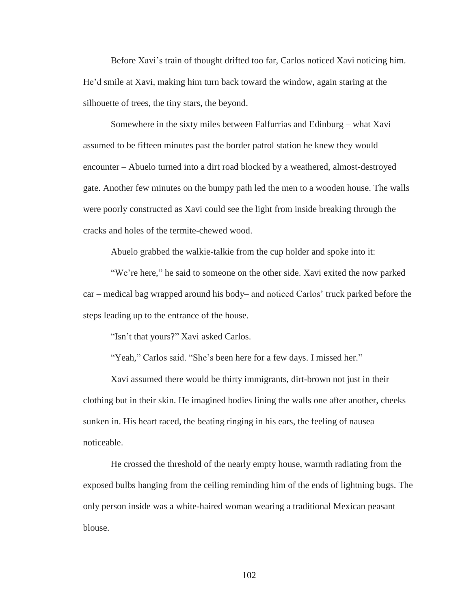Before Xavi's train of thought drifted too far, Carlos noticed Xavi noticing him. He'd smile at Xavi, making him turn back toward the window, again staring at the silhouette of trees, the tiny stars, the beyond.

Somewhere in the sixty miles between Falfurrias and Edinburg – what Xavi assumed to be fifteen minutes past the border patrol station he knew they would encounter – Abuelo turned into a dirt road blocked by a weathered, almost-destroyed gate. Another few minutes on the bumpy path led the men to a wooden house. The walls were poorly constructed as Xavi could see the light from inside breaking through the cracks and holes of the termite-chewed wood.

Abuelo grabbed the walkie-talkie from the cup holder and spoke into it:

"We're here," he said to someone on the other side. Xavi exited the now parked car – medical bag wrapped around his body– and noticed Carlos' truck parked before the steps leading up to the entrance of the house.

"Isn't that yours?" Xavi asked Carlos.

"Yeah," Carlos said. "She's been here for a few days. I missed her."

Xavi assumed there would be thirty immigrants, dirt-brown not just in their clothing but in their skin. He imagined bodies lining the walls one after another, cheeks sunken in. His heart raced, the beating ringing in his ears, the feeling of nausea noticeable.

He crossed the threshold of the nearly empty house, warmth radiating from the exposed bulbs hanging from the ceiling reminding him of the ends of lightning bugs. The only person inside was a white-haired woman wearing a traditional Mexican peasant blouse.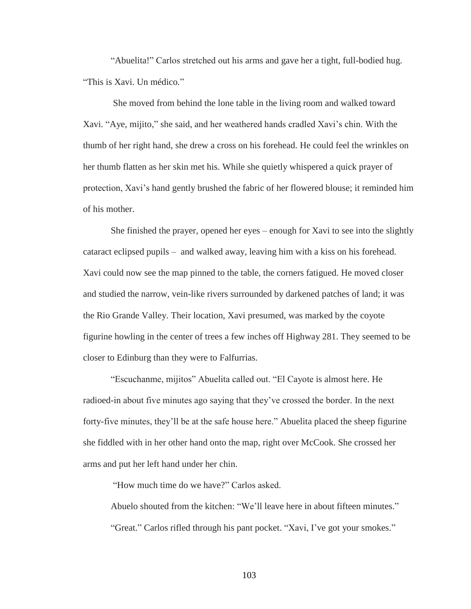"Abuelita!" Carlos stretched out his arms and gave her a tight, full-bodied hug. "This is Xavi. Un médico*.*"

She moved from behind the lone table in the living room and walked toward Xavi. "Aye, mijito," she said, and her weathered hands cradled Xavi's chin. With the thumb of her right hand, she drew a cross on his forehead. He could feel the wrinkles on her thumb flatten as her skin met his. While she quietly whispered a quick prayer of protection, Xavi's hand gently brushed the fabric of her flowered blouse; it reminded him of his mother.

She finished the prayer, opened her eyes – enough for Xavi to see into the slightly cataract eclipsed pupils – and walked away, leaving him with a kiss on his forehead. Xavi could now see the map pinned to the table, the corners fatigued. He moved closer and studied the narrow, vein-like rivers surrounded by darkened patches of land; it was the Rio Grande Valley. Their location, Xavi presumed, was marked by the coyote figurine howling in the center of trees a few inches off Highway 281. They seemed to be closer to Edinburg than they were to Falfurrias.

"Escuchanme, mijitos" Abuelita called out. "El Cayote is almost here. He radioed-in about five minutes ago saying that they've crossed the border. In the next forty-five minutes, they'll be at the safe house here." Abuelita placed the sheep figurine she fiddled with in her other hand onto the map, right over McCook. She crossed her arms and put her left hand under her chin.

"How much time do we have?" Carlos asked.

Abuelo shouted from the kitchen: "We'll leave here in about fifteen minutes." "Great." Carlos rifled through his pant pocket. "Xavi, I've got your smokes."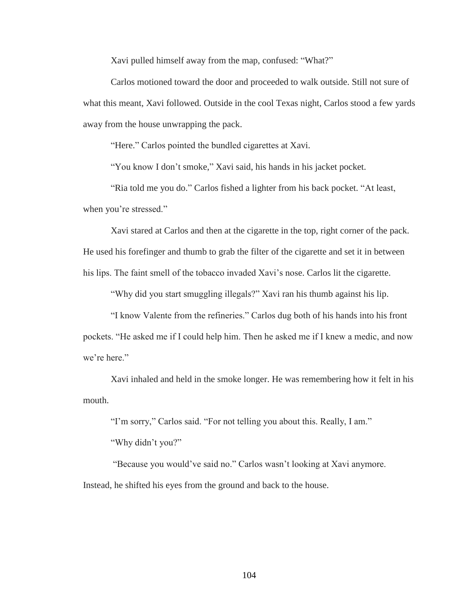Xavi pulled himself away from the map, confused: "What?"

Carlos motioned toward the door and proceeded to walk outside. Still not sure of what this meant, Xavi followed. Outside in the cool Texas night, Carlos stood a few yards away from the house unwrapping the pack.

"Here." Carlos pointed the bundled cigarettes at Xavi.

"You know I don't smoke," Xavi said, his hands in his jacket pocket.

"Ria told me you do." Carlos fished a lighter from his back pocket. "At least, when you're stressed."

Xavi stared at Carlos and then at the cigarette in the top, right corner of the pack. He used his forefinger and thumb to grab the filter of the cigarette and set it in between his lips. The faint smell of the tobacco invaded Xavi's nose. Carlos lit the cigarette.

"Why did you start smuggling illegals?" Xavi ran his thumb against his lip.

"I know Valente from the refineries." Carlos dug both of his hands into his front pockets. "He asked me if I could help him. Then he asked me if I knew a medic, and now we're here."

Xavi inhaled and held in the smoke longer. He was remembering how it felt in his mouth.

"I'm sorry," Carlos said. "For not telling you about this. Really, I am."

"Why didn't you?"

"Because you would've said no." Carlos wasn't looking at Xavi anymore. Instead, he shifted his eyes from the ground and back to the house.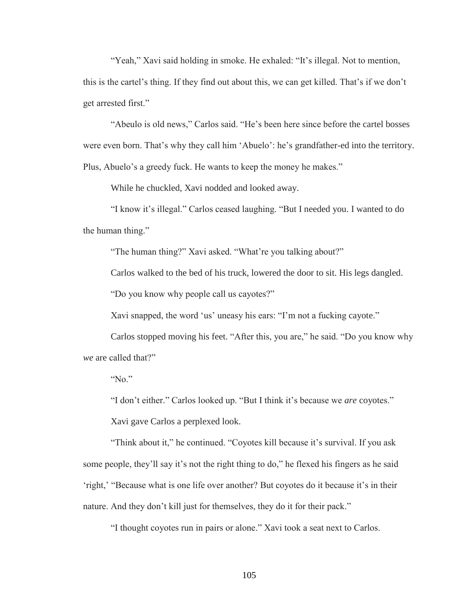"Yeah," Xavi said holding in smoke. He exhaled: "It's illegal. Not to mention, this is the cartel's thing. If they find out about this, we can get killed. That's if we don't get arrested first."

"Abeulo is old news," Carlos said. "He's been here since before the cartel bosses were even born. That's why they call him 'Abuelo': he's grandfather-ed into the territory. Plus, Abuelo's a greedy fuck. He wants to keep the money he makes."

While he chuckled, Xavi nodded and looked away.

"I know it's illegal." Carlos ceased laughing. "But I needed you. I wanted to do the human thing."

"The human thing?" Xavi asked. "What're you talking about?"

Carlos walked to the bed of his truck, lowered the door to sit. His legs dangled.

"Do you know why people call us cayotes?"

Xavi snapped, the word 'us' uneasy his ears: "I'm not a fucking cayote."

Carlos stopped moving his feet. "After this, you are," he said. "Do you know why *we* are called that?"

"No."

"I don't either." Carlos looked up. "But I think it's because we *are* coyotes."

Xavi gave Carlos a perplexed look.

"Think about it," he continued. "Coyotes kill because it's survival. If you ask some people, they'll say it's not the right thing to do," he flexed his fingers as he said 'right,' "Because what is one life over another? But coyotes do it because it's in their nature. And they don't kill just for themselves, they do it for their pack."

"I thought coyotes run in pairs or alone." Xavi took a seat next to Carlos.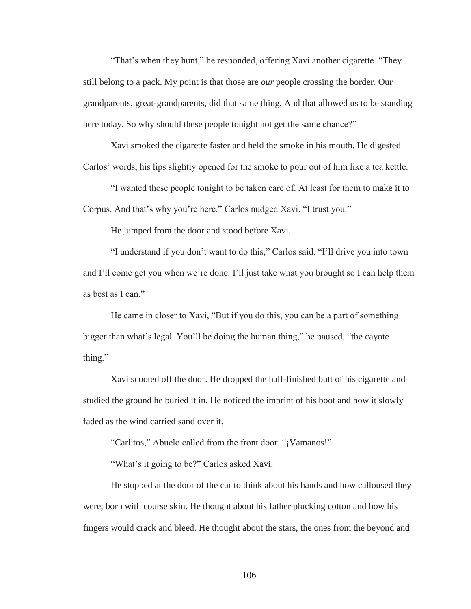"That's when they hunt," he responded, offering Xavi another cigarette. "They still belong to a pack. My point is that those are *our* people crossing the border. Our grandparents, great-grandparents, did that same thing. And that allowed us to be standing here today. So why should these people tonight not get the same chance?"

Xavi smoked the cigarette faster and held the smoke in his mouth. He digested Carlos' words, his lips slightly opened for the smoke to pour out of him like a tea kettle.

"I wanted these people tonight to be taken care of. At least for them to make it to Corpus. And that's why you're here." Carlos nudged Xavi. "I trust you."

He jumped from the door and stood before Xavi.

"I understand if you don't want to do this," Carlos said. "I'll drive you into town and I'll come get you when we're done. I'll just take what you brought so I can help them as best as I can."

He came in closer to Xavi, "But if you do this, you can be a part of something bigger than what's legal. You'll be doing the human thing," he paused, "the cayote thing."

Xavi scooted off the door. He dropped the half-finished butt of his cigarette and studied the ground he buried it in. He noticed the imprint of his boot and how it slowly faded as the wind carried sand over it.

"Carlitos," Abuelo called from the front door. "¡Vamanos!"

"What's it going to be?" Carlos asked Xavi.

He stopped at the door of the car to think about his hands and how calloused they were, born with course skin. He thought about his father plucking cotton and how his fingers would crack and bleed. He thought about the stars, the ones from the beyond and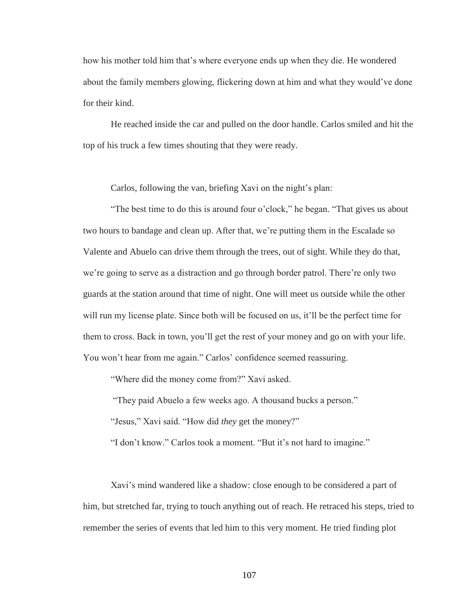how his mother told him that's where everyone ends up when they die. He wondered about the family members glowing, flickering down at him and what they would've done for their kind.

He reached inside the car and pulled on the door handle. Carlos smiled and hit the top of his truck a few times shouting that they were ready.

Carlos, following the van, briefing Xavi on the night's plan:

"The best time to do this is around four o'clock," he began. "That gives us about two hours to bandage and clean up. After that, we're putting them in the Escalade so Valente and Abuelo can drive them through the trees, out of sight. While they do that, we're going to serve as a distraction and go through border patrol. There're only two guards at the station around that time of night. One will meet us outside while the other will run my license plate. Since both will be focused on us, it'll be the perfect time for them to cross. Back in town, you'll get the rest of your money and go on with your life. You won't hear from me again." Carlos' confidence seemed reassuring.

"Where did the money come from?" Xavi asked.

"They paid Abuelo a few weeks ago. A thousand bucks a person."

"Jesus," Xavi said. "How did *they* get the money?"

"I don't know." Carlos took a moment. "But it's not hard to imagine."

Xavi's mind wandered like a shadow: close enough to be considered a part of him, but stretched far, trying to touch anything out of reach. He retraced his steps, tried to remember the series of events that led him to this very moment. He tried finding plot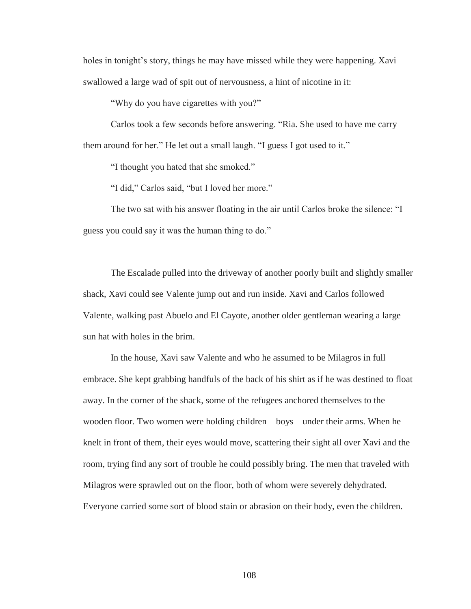holes in tonight's story, things he may have missed while they were happening. Xavi swallowed a large wad of spit out of nervousness, a hint of nicotine in it:

"Why do you have cigarettes with you?"

Carlos took a few seconds before answering. "Ria. She used to have me carry them around for her." He let out a small laugh. "I guess I got used to it."

"I thought you hated that she smoked."

"I did," Carlos said, "but I loved her more."

The two sat with his answer floating in the air until Carlos broke the silence: "I guess you could say it was the human thing to do."

The Escalade pulled into the driveway of another poorly built and slightly smaller shack, Xavi could see Valente jump out and run inside. Xavi and Carlos followed Valente, walking past Abuelo and El Cayote, another older gentleman wearing a large sun hat with holes in the brim.

In the house, Xavi saw Valente and who he assumed to be Milagros in full embrace. She kept grabbing handfuls of the back of his shirt as if he was destined to float away. In the corner of the shack, some of the refugees anchored themselves to the wooden floor. Two women were holding children – boys – under their arms. When he knelt in front of them, their eyes would move, scattering their sight all over Xavi and the room, trying find any sort of trouble he could possibly bring. The men that traveled with Milagros were sprawled out on the floor, both of whom were severely dehydrated. Everyone carried some sort of blood stain or abrasion on their body, even the children.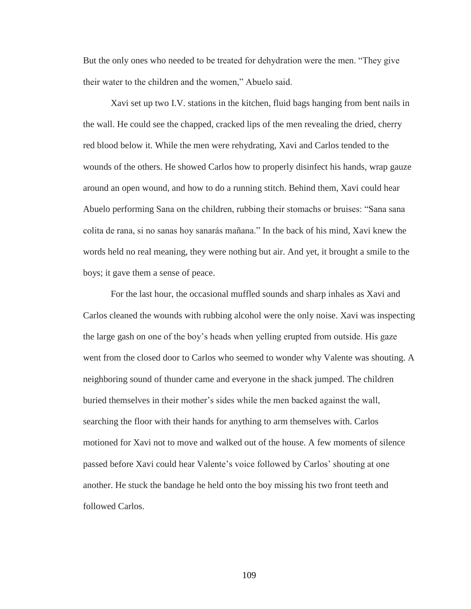But the only ones who needed to be treated for dehydration were the men. "They give their water to the children and the women," Abuelo said.

Xavi set up two I.V. stations in the kitchen, fluid bags hanging from bent nails in the wall. He could see the chapped, cracked lips of the men revealing the dried, cherry red blood below it. While the men were rehydrating, Xavi and Carlos tended to the wounds of the others. He showed Carlos how to properly disinfect his hands, wrap gauze around an open wound, and how to do a running stitch. Behind them, Xavi could hear Abuelo performing Sana on the children, rubbing their stomachs or bruises: "Sana sana colita de rana, si no sanas hoy sanarás mañana." In the back of his mind, Xavi knew the words held no real meaning, they were nothing but air. And yet, it brought a smile to the boys; it gave them a sense of peace.

For the last hour, the occasional muffled sounds and sharp inhales as Xavi and Carlos cleaned the wounds with rubbing alcohol were the only noise. Xavi was inspecting the large gash on one of the boy's heads when yelling erupted from outside. His gaze went from the closed door to Carlos who seemed to wonder why Valente was shouting. A neighboring sound of thunder came and everyone in the shack jumped. The children buried themselves in their mother's sides while the men backed against the wall, searching the floor with their hands for anything to arm themselves with. Carlos motioned for Xavi not to move and walked out of the house. A few moments of silence passed before Xavi could hear Valente's voice followed by Carlos' shouting at one another. He stuck the bandage he held onto the boy missing his two front teeth and followed Carlos.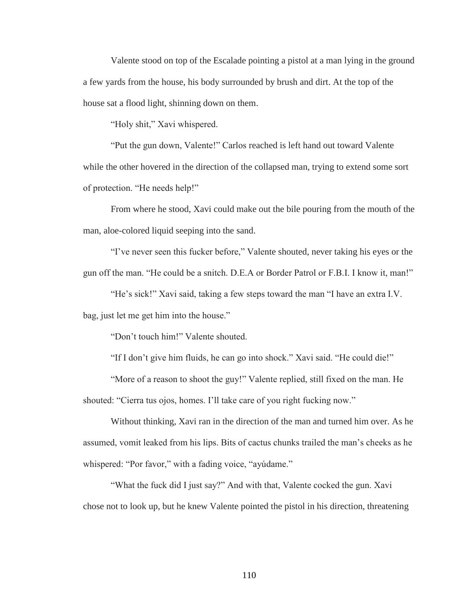Valente stood on top of the Escalade pointing a pistol at a man lying in the ground a few yards from the house, his body surrounded by brush and dirt. At the top of the house sat a flood light, shinning down on them.

"Holy shit," Xavi whispered.

"Put the gun down, Valente!" Carlos reached is left hand out toward Valente while the other hovered in the direction of the collapsed man, trying to extend some sort of protection. "He needs help!"

From where he stood, Xavi could make out the bile pouring from the mouth of the man, aloe-colored liquid seeping into the sand.

"I've never seen this fucker before," Valente shouted, never taking his eyes or the gun off the man. "He could be a snitch. D.E.A or Border Patrol or F.B.I. I know it, man!"

"He's sick!" Xavi said, taking a few steps toward the man "I have an extra I.V. bag, just let me get him into the house."

"Don't touch him!" Valente shouted.

"If I don't give him fluids, he can go into shock." Xavi said. "He could die!"

"More of a reason to shoot the guy!" Valente replied, still fixed on the man. He shouted: "Cierra tus ojos, homes. I'll take care of you right fucking now."

Without thinking, Xavi ran in the direction of the man and turned him over. As he assumed, vomit leaked from his lips. Bits of cactus chunks trailed the man's cheeks as he whispered: "Por favor," with a fading voice, "ayúdame."

"What the fuck did I just say?" And with that, Valente cocked the gun. Xavi chose not to look up, but he knew Valente pointed the pistol in his direction, threatening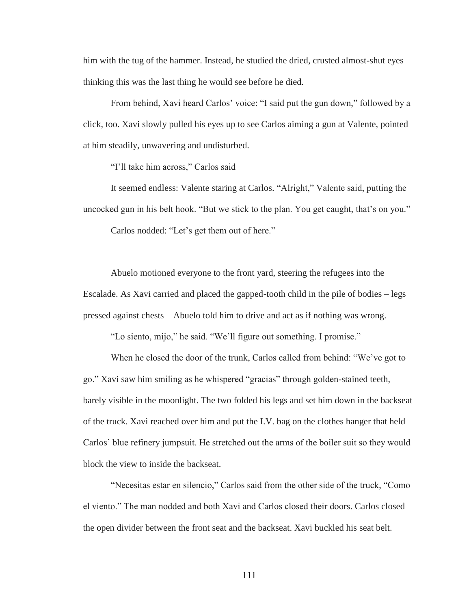him with the tug of the hammer. Instead, he studied the dried, crusted almost-shut eyes thinking this was the last thing he would see before he died.

From behind, Xavi heard Carlos' voice: "I said put the gun down," followed by a click, too. Xavi slowly pulled his eyes up to see Carlos aiming a gun at Valente, pointed at him steadily, unwavering and undisturbed.

"I'll take him across," Carlos said

It seemed endless: Valente staring at Carlos. "Alright," Valente said, putting the uncocked gun in his belt hook. "But we stick to the plan. You get caught, that's on you."

Carlos nodded: "Let's get them out of here."

Abuelo motioned everyone to the front yard, steering the refugees into the Escalade. As Xavi carried and placed the gapped-tooth child in the pile of bodies – legs pressed against chests – Abuelo told him to drive and act as if nothing was wrong.

"Lo siento, mijo," he said. "We'll figure out something. I promise."

When he closed the door of the trunk, Carlos called from behind: "We've got to go." Xavi saw him smiling as he whispered "gracias" through golden-stained teeth, barely visible in the moonlight. The two folded his legs and set him down in the backseat of the truck. Xavi reached over him and put the I.V. bag on the clothes hanger that held Carlos' blue refinery jumpsuit. He stretched out the arms of the boiler suit so they would block the view to inside the backseat.

"Necesitas estar en silencio," Carlos said from the other side of the truck, "Como el viento." The man nodded and both Xavi and Carlos closed their doors. Carlos closed the open divider between the front seat and the backseat. Xavi buckled his seat belt.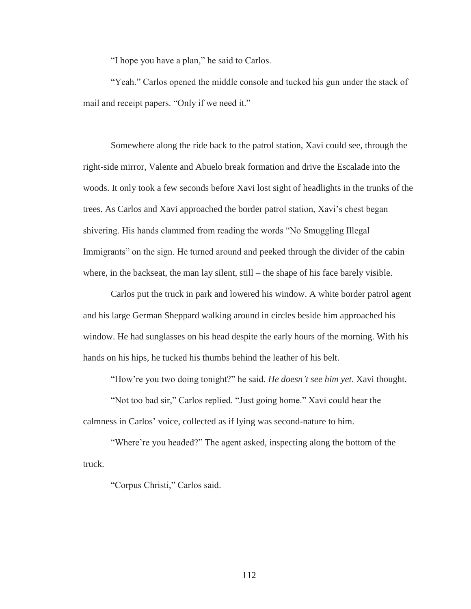"I hope you have a plan," he said to Carlos.

"Yeah." Carlos opened the middle console and tucked his gun under the stack of mail and receipt papers. "Only if we need it."

Somewhere along the ride back to the patrol station, Xavi could see, through the right-side mirror, Valente and Abuelo break formation and drive the Escalade into the woods. It only took a few seconds before Xavi lost sight of headlights in the trunks of the trees. As Carlos and Xavi approached the border patrol station, Xavi's chest began shivering. His hands clammed from reading the words "No Smuggling Illegal Immigrants" on the sign. He turned around and peeked through the divider of the cabin where, in the backseat, the man lay silent, still – the shape of his face barely visible.

Carlos put the truck in park and lowered his window. A white border patrol agent and his large German Sheppard walking around in circles beside him approached his window. He had sunglasses on his head despite the early hours of the morning. With his hands on his hips, he tucked his thumbs behind the leather of his belt.

"How're you two doing tonight?" he said. *He doesn't see him yet*. Xavi thought.

"Not too bad sir," Carlos replied. "Just going home." Xavi could hear the calmness in Carlos' voice, collected as if lying was second-nature to him.

"Where're you headed?" The agent asked, inspecting along the bottom of the truck.

"Corpus Christi," Carlos said.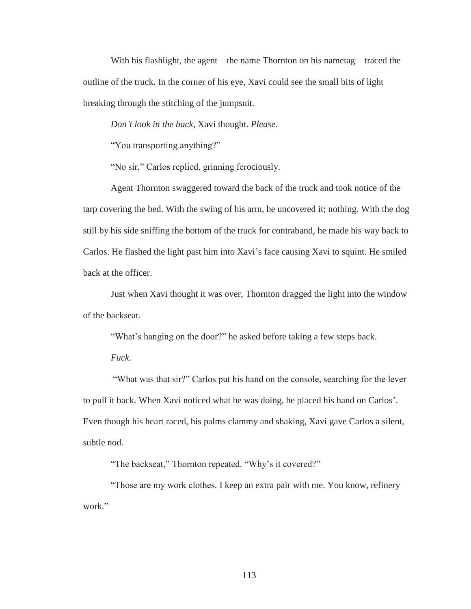With his flashlight, the agent – the name Thornton on his nametag – traced the outline of the truck. In the corner of his eye, Xavi could see the small bits of light breaking through the stitching of the jumpsuit.

*Don't look in the back*, Xavi thought. *Please.*

"You transporting anything?"

"No sir," Carlos replied, grinning ferociously.

Agent Thornton swaggered toward the back of the truck and took notice of the tarp covering the bed. With the swing of his arm, he uncovered it; nothing. With the dog still by his side sniffing the bottom of the truck for contraband, he made his way back to Carlos. He flashed the light past him into Xavi's face causing Xavi to squint. He smiled back at the officer.

Just when Xavi thought it was over, Thornton dragged the light into the window of the backseat.

"What's hanging on the door?" he asked before taking a few steps back.

### *Fuck*.

"What was that sir?" Carlos put his hand on the console, searching for the lever to pull it back. When Xavi noticed what he was doing, he placed his hand on Carlos'. Even though his heart raced, his palms clammy and shaking, Xavi gave Carlos a silent, subtle nod.

"The backseat," Thornton repeated. "Why's it covered?"

"Those are my work clothes. I keep an extra pair with me. You know, refinery work."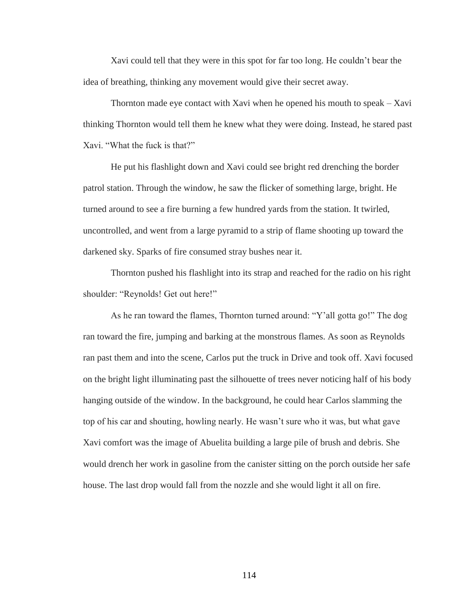Xavi could tell that they were in this spot for far too long. He couldn't bear the idea of breathing, thinking any movement would give their secret away.

Thornton made eye contact with Xavi when he opened his mouth to speak  $-$  Xavi thinking Thornton would tell them he knew what they were doing. Instead, he stared past Xavi. "What the fuck is that?"

He put his flashlight down and Xavi could see bright red drenching the border patrol station. Through the window, he saw the flicker of something large, bright. He turned around to see a fire burning a few hundred yards from the station. It twirled, uncontrolled, and went from a large pyramid to a strip of flame shooting up toward the darkened sky. Sparks of fire consumed stray bushes near it.

Thornton pushed his flashlight into its strap and reached for the radio on his right shoulder: "Reynolds! Get out here!"

As he ran toward the flames, Thornton turned around: "Y'all gotta go!" The dog ran toward the fire, jumping and barking at the monstrous flames. As soon as Reynolds ran past them and into the scene, Carlos put the truck in Drive and took off. Xavi focused on the bright light illuminating past the silhouette of trees never noticing half of his body hanging outside of the window. In the background, he could hear Carlos slamming the top of his car and shouting, howling nearly. He wasn't sure who it was, but what gave Xavi comfort was the image of Abuelita building a large pile of brush and debris. She would drench her work in gasoline from the canister sitting on the porch outside her safe house. The last drop would fall from the nozzle and she would light it all on fire.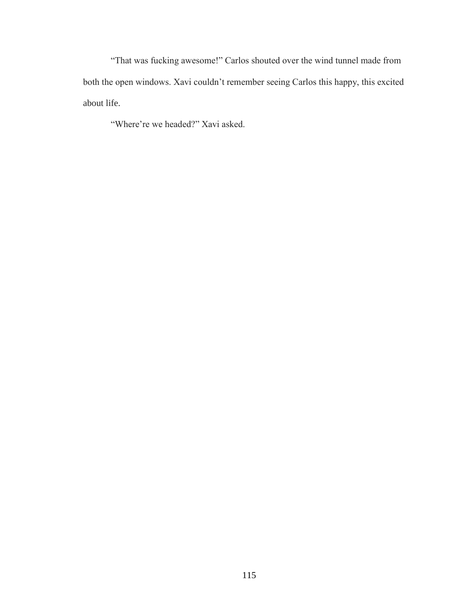"That was fucking awesome!" Carlos shouted over the wind tunnel made from both the open windows. Xavi couldn't remember seeing Carlos this happy, this excited about life.

"Where're we headed?" Xavi asked.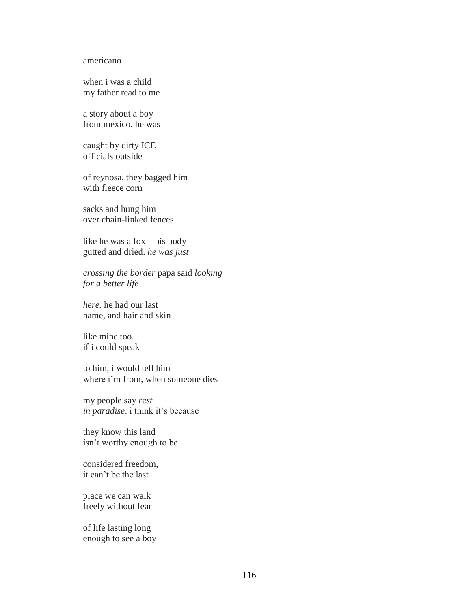## americano

when i was a child my father read to me

a story about a boy from mexico. he was

caught by dirty ICE officials outside

of reynosa. they bagged him with fleece corn

sacks and hung him over chain-linked fences

like he was a fox – his body gutted and dried. *he was just*

*crossing the border* papa said *looking for a better life* 

*here.* he had our last name, and hair and skin

like mine too. if i could speak

to him, i would tell him where i'm from, when someone dies

my people say *rest in paradise*. i think it's because

they know this land isn't worthy enough to be

considered freedom, it can't be the last

place we can walk freely without fear

of life lasting long enough to see a boy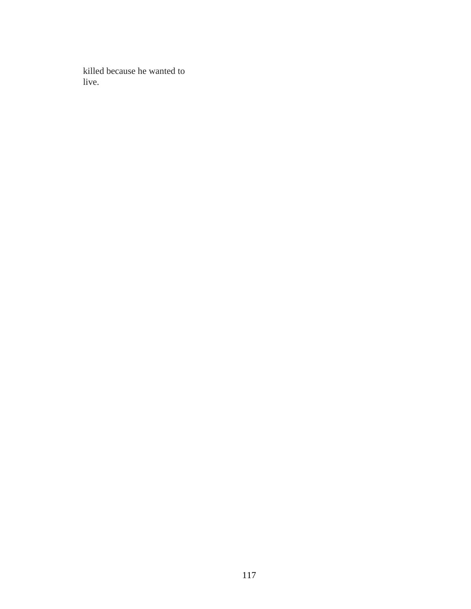killed because he wanted to live.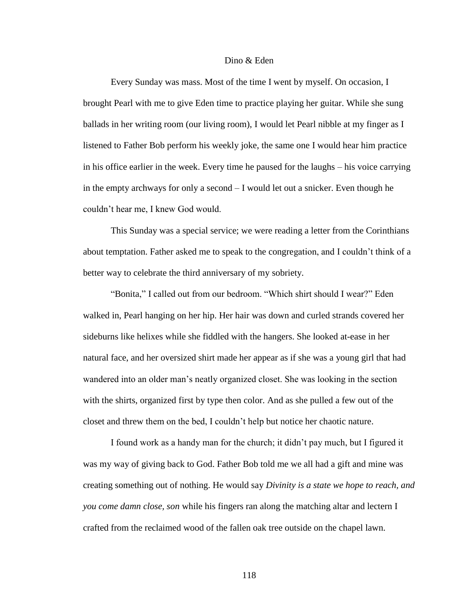### Dino & Eden

Every Sunday was mass. Most of the time I went by myself. On occasion, I brought Pearl with me to give Eden time to practice playing her guitar. While she sung ballads in her writing room (our living room), I would let Pearl nibble at my finger as I listened to Father Bob perform his weekly joke, the same one I would hear him practice in his office earlier in the week. Every time he paused for the laughs – his voice carrying in the empty archways for only a second – I would let out a snicker. Even though he couldn't hear me, I knew God would.

This Sunday was a special service; we were reading a letter from the Corinthians about temptation. Father asked me to speak to the congregation, and I couldn't think of a better way to celebrate the third anniversary of my sobriety.

"Bonita," I called out from our bedroom. "Which shirt should I wear?" Eden walked in, Pearl hanging on her hip. Her hair was down and curled strands covered her sideburns like helixes while she fiddled with the hangers. She looked at-ease in her natural face, and her oversized shirt made her appear as if she was a young girl that had wandered into an older man's neatly organized closet. She was looking in the section with the shirts, organized first by type then color. And as she pulled a few out of the closet and threw them on the bed, I couldn't help but notice her chaotic nature.

I found work as a handy man for the church; it didn't pay much, but I figured it was my way of giving back to God. Father Bob told me we all had a gift and mine was creating something out of nothing. He would say *Divinity is a state we hope to reach, and you come damn close, son* while his fingers ran along the matching altar and lectern I crafted from the reclaimed wood of the fallen oak tree outside on the chapel lawn.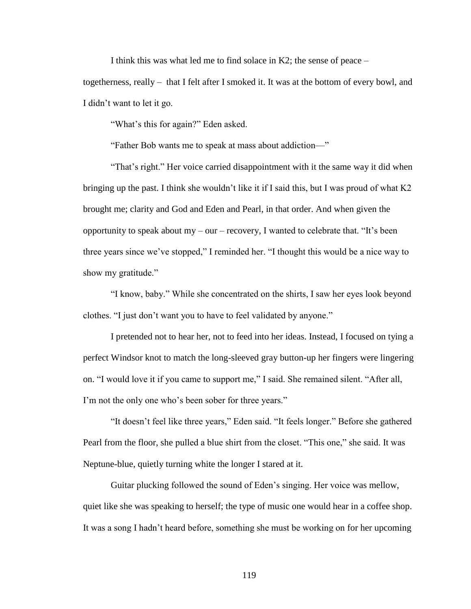I think this was what led me to find solace in K2; the sense of peace –

togetherness, really – that I felt after I smoked it. It was at the bottom of every bowl, and I didn't want to let it go.

"What's this for again?" Eden asked.

"Father Bob wants me to speak at mass about addiction—"

"That's right." Her voice carried disappointment with it the same way it did when bringing up the past. I think she wouldn't like it if I said this, but I was proud of what K2 brought me; clarity and God and Eden and Pearl, in that order. And when given the opportunity to speak about  $my - our - recovery$ , I wanted to celebrate that. "It's been three years since we've stopped," I reminded her. "I thought this would be a nice way to show my gratitude."

"I know, baby." While she concentrated on the shirts, I saw her eyes look beyond clothes. "I just don't want you to have to feel validated by anyone."

I pretended not to hear her, not to feed into her ideas. Instead, I focused on tying a perfect Windsor knot to match the long-sleeved gray button-up her fingers were lingering on. "I would love it if you came to support me," I said. She remained silent. "After all, I'm not the only one who's been sober for three years."

"It doesn't feel like three years," Eden said. "It feels longer." Before she gathered Pearl from the floor, she pulled a blue shirt from the closet. "This one," she said. It was Neptune-blue, quietly turning white the longer I stared at it.

Guitar plucking followed the sound of Eden's singing. Her voice was mellow, quiet like she was speaking to herself; the type of music one would hear in a coffee shop. It was a song I hadn't heard before, something she must be working on for her upcoming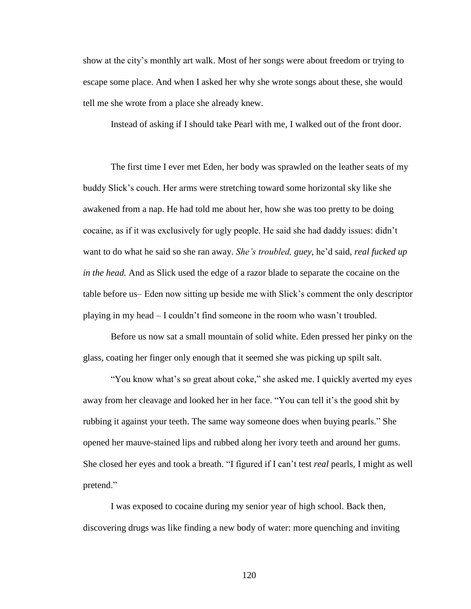show at the city's monthly art walk. Most of her songs were about freedom or trying to escape some place. And when I asked her why she wrote songs about these, she would tell me she wrote from a place she already knew.

Instead of asking if I should take Pearl with me, I walked out of the front door.

The first time I ever met Eden, her body was sprawled on the leather seats of my buddy Slick's couch. Her arms were stretching toward some horizontal sky like she awakened from a nap. He had told me about her, how she was too pretty to be doing cocaine, as if it was exclusively for ugly people. He said she had daddy issues: didn't want to do what he said so she ran away. *She's troubled, guey*, he'd said, *real fucked up in the head.* And as Slick used the edge of a razor blade to separate the cocaine on the table before us– Eden now sitting up beside me with Slick's comment the only descriptor playing in my head – I couldn't find someone in the room who wasn't troubled.

Before us now sat a small mountain of solid white. Eden pressed her pinky on the glass, coating her finger only enough that it seemed she was picking up spilt salt.

"You know what's so great about coke," she asked me. I quickly averted my eyes away from her cleavage and looked her in her face. "You can tell it's the good shit by rubbing it against your teeth. The same way someone does when buying pearls." She opened her mauve-stained lips and rubbed along her ivory teeth and around her gums. She closed her eyes and took a breath. "I figured if I can't test *real* pearls, I might as well pretend."

I was exposed to cocaine during my senior year of high school. Back then, discovering drugs was like finding a new body of water: more quenching and inviting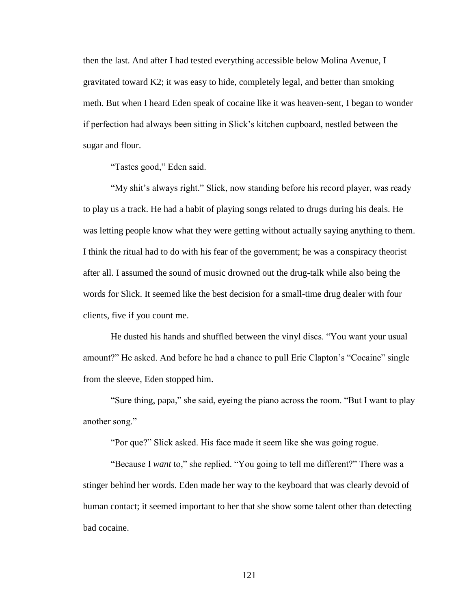then the last. And after I had tested everything accessible below Molina Avenue, I gravitated toward K2; it was easy to hide, completely legal, and better than smoking meth. But when I heard Eden speak of cocaine like it was heaven-sent, I began to wonder if perfection had always been sitting in Slick's kitchen cupboard, nestled between the sugar and flour.

"Tastes good," Eden said.

"My shit's always right." Slick, now standing before his record player, was ready to play us a track. He had a habit of playing songs related to drugs during his deals. He was letting people know what they were getting without actually saying anything to them. I think the ritual had to do with his fear of the government; he was a conspiracy theorist after all. I assumed the sound of music drowned out the drug-talk while also being the words for Slick. It seemed like the best decision for a small-time drug dealer with four clients, five if you count me.

He dusted his hands and shuffled between the vinyl discs. "You want your usual amount?" He asked. And before he had a chance to pull Eric Clapton's "Cocaine" single from the sleeve, Eden stopped him.

"Sure thing, papa," she said, eyeing the piano across the room. "But I want to play another song."

"Por que?" Slick asked. His face made it seem like she was going rogue.

"Because I *want* to," she replied. "You going to tell me different?" There was a stinger behind her words. Eden made her way to the keyboard that was clearly devoid of human contact; it seemed important to her that she show some talent other than detecting bad cocaine.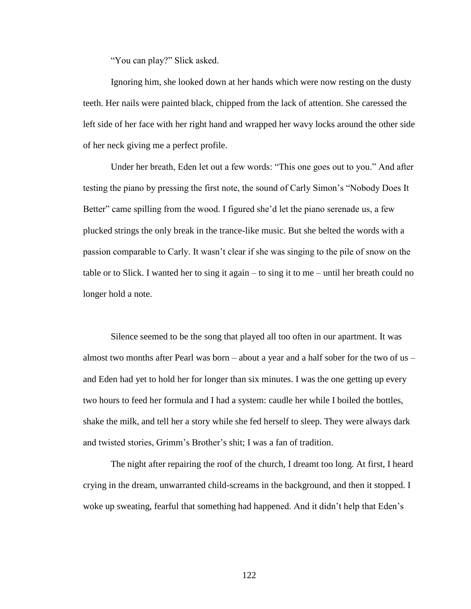"You can play?" Slick asked.

Ignoring him, she looked down at her hands which were now resting on the dusty teeth. Her nails were painted black, chipped from the lack of attention. She caressed the left side of her face with her right hand and wrapped her wavy locks around the other side of her neck giving me a perfect profile.

Under her breath, Eden let out a few words: "This one goes out to you." And after testing the piano by pressing the first note, the sound of Carly Simon's "Nobody Does It Better" came spilling from the wood. I figured she'd let the piano serenade us, a few plucked strings the only break in the trance-like music. But she belted the words with a passion comparable to Carly. It wasn't clear if she was singing to the pile of snow on the table or to Slick. I wanted her to sing it again – to sing it to me – until her breath could no longer hold a note.

Silence seemed to be the song that played all too often in our apartment. It was almost two months after Pearl was born – about a year and a half sober for the two of us – and Eden had yet to hold her for longer than six minutes. I was the one getting up every two hours to feed her formula and I had a system: caudle her while I boiled the bottles, shake the milk, and tell her a story while she fed herself to sleep. They were always dark and twisted stories, Grimm's Brother's shit; I was a fan of tradition.

The night after repairing the roof of the church, I dreamt too long. At first, I heard crying in the dream, unwarranted child-screams in the background, and then it stopped. I woke up sweating, fearful that something had happened. And it didn't help that Eden's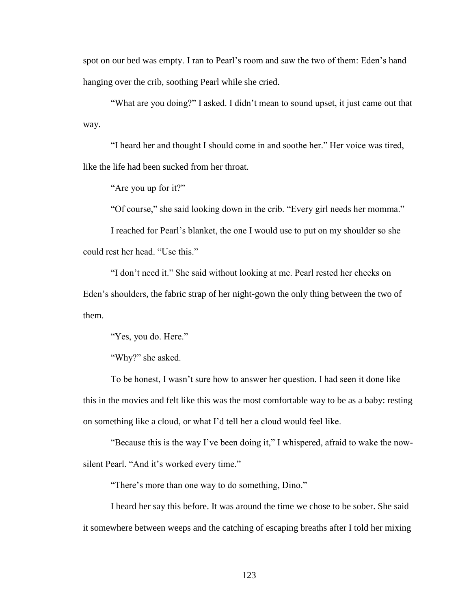spot on our bed was empty. I ran to Pearl's room and saw the two of them: Eden's hand hanging over the crib, soothing Pearl while she cried.

"What are you doing?" I asked. I didn't mean to sound upset, it just came out that way.

"I heard her and thought I should come in and soothe her." Her voice was tired, like the life had been sucked from her throat.

"Are you up for it?"

"Of course," she said looking down in the crib. "Every girl needs her momma."

I reached for Pearl's blanket, the one I would use to put on my shoulder so she could rest her head. "Use this."

"I don't need it." She said without looking at me. Pearl rested her cheeks on Eden's shoulders, the fabric strap of her night-gown the only thing between the two of them.

"Yes, you do. Here."

"Why?" she asked.

To be honest, I wasn't sure how to answer her question. I had seen it done like this in the movies and felt like this was the most comfortable way to be as a baby: resting on something like a cloud, or what I'd tell her a cloud would feel like.

"Because this is the way I've been doing it," I whispered, afraid to wake the nowsilent Pearl. "And it's worked every time."

"There's more than one way to do something, Dino."

I heard her say this before. It was around the time we chose to be sober. She said it somewhere between weeps and the catching of escaping breaths after I told her mixing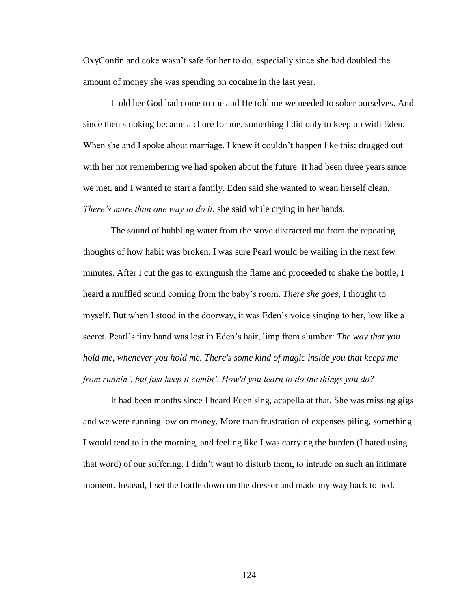OxyContin and coke wasn't safe for her to do, especially since she had doubled the amount of money she was spending on cocaine in the last year.

I told her God had come to me and He told me we needed to sober ourselves. And since then smoking became a chore for me, something I did only to keep up with Eden. When she and I spoke about marriage, I knew it couldn't happen like this: drugged out with her not remembering we had spoken about the future. It had been three years since we met, and I wanted to start a family. Eden said she wanted to wean herself clean. *There's more than one way to do it*, she said while crying in her hands.

The sound of bubbling water from the stove distracted me from the repeating thoughts of how habit was broken. I was sure Pearl would be wailing in the next few minutes. After I cut the gas to extinguish the flame and proceeded to shake the bottle, I heard a muffled sound coming from the baby's room. *There she goes*, I thought to myself. But when I stood in the doorway, it was Eden's voice singing to her, low like a secret. Pearl's tiny hand was lost in Eden's hair, limp from slumber: *The way that you hold me, whenever you hold me. There's some kind of magic inside you that keeps me from runnin', but just keep it comin'. How'd you learn to do the things you do?*

It had been months since I heard Eden sing, acapella at that. She was missing gigs and we were running low on money. More than frustration of expenses piling, something I would tend to in the morning, and feeling like I was carrying the burden (I hated using that word) of our suffering, I didn't want to disturb them, to intrude on such an intimate moment. Instead, I set the bottle down on the dresser and made my way back to bed.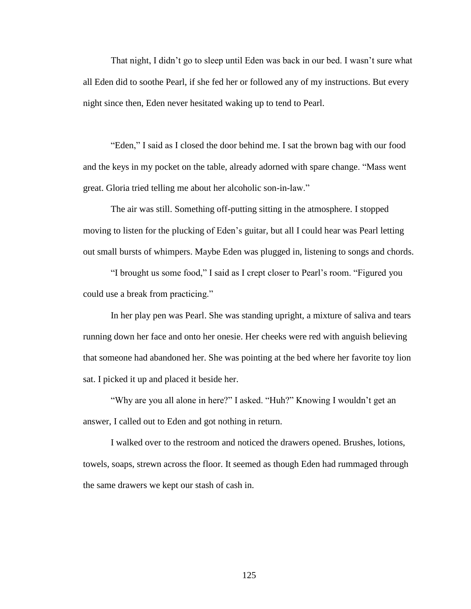That night, I didn't go to sleep until Eden was back in our bed. I wasn't sure what all Eden did to soothe Pearl, if she fed her or followed any of my instructions. But every night since then, Eden never hesitated waking up to tend to Pearl.

"Eden," I said as I closed the door behind me. I sat the brown bag with our food and the keys in my pocket on the table, already adorned with spare change. "Mass went great. Gloria tried telling me about her alcoholic son-in-law."

The air was still. Something off-putting sitting in the atmosphere. I stopped moving to listen for the plucking of Eden's guitar, but all I could hear was Pearl letting out small bursts of whimpers. Maybe Eden was plugged in, listening to songs and chords.

"I brought us some food," I said as I crept closer to Pearl's room. "Figured you could use a break from practicing."

In her play pen was Pearl. She was standing upright, a mixture of saliva and tears running down her face and onto her onesie. Her cheeks were red with anguish believing that someone had abandoned her. She was pointing at the bed where her favorite toy lion sat. I picked it up and placed it beside her.

"Why are you all alone in here?" I asked. "Huh?" Knowing I wouldn't get an answer, I called out to Eden and got nothing in return.

I walked over to the restroom and noticed the drawers opened. Brushes, lotions, towels, soaps, strewn across the floor. It seemed as though Eden had rummaged through the same drawers we kept our stash of cash in.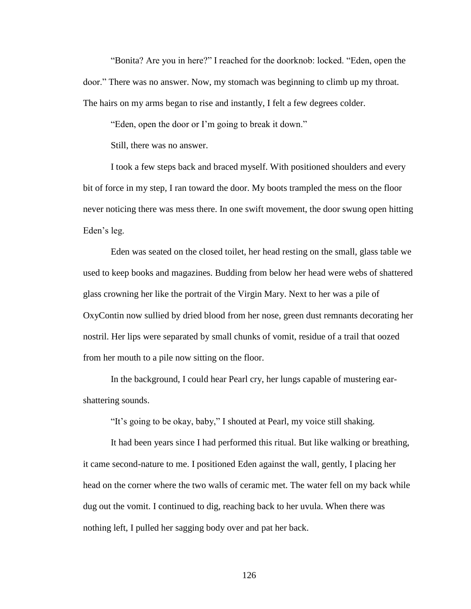"Bonita? Are you in here?" I reached for the doorknob: locked. "Eden, open the door." There was no answer. Now, my stomach was beginning to climb up my throat. The hairs on my arms began to rise and instantly, I felt a few degrees colder.

"Eden, open the door or I'm going to break it down."

Still, there was no answer.

I took a few steps back and braced myself. With positioned shoulders and every bit of force in my step, I ran toward the door. My boots trampled the mess on the floor never noticing there was mess there. In one swift movement, the door swung open hitting Eden's leg.

Eden was seated on the closed toilet, her head resting on the small, glass table we used to keep books and magazines. Budding from below her head were webs of shattered glass crowning her like the portrait of the Virgin Mary. Next to her was a pile of OxyContin now sullied by dried blood from her nose, green dust remnants decorating her nostril. Her lips were separated by small chunks of vomit, residue of a trail that oozed from her mouth to a pile now sitting on the floor.

In the background, I could hear Pearl cry, her lungs capable of mustering earshattering sounds.

"It's going to be okay, baby," I shouted at Pearl, my voice still shaking.

It had been years since I had performed this ritual. But like walking or breathing, it came second-nature to me. I positioned Eden against the wall*,* gently, I placing her head on the corner where the two walls of ceramic met. The water fell on my back while dug out the vomit. I continued to dig, reaching back to her uvula. When there was nothing left, I pulled her sagging body over and pat her back.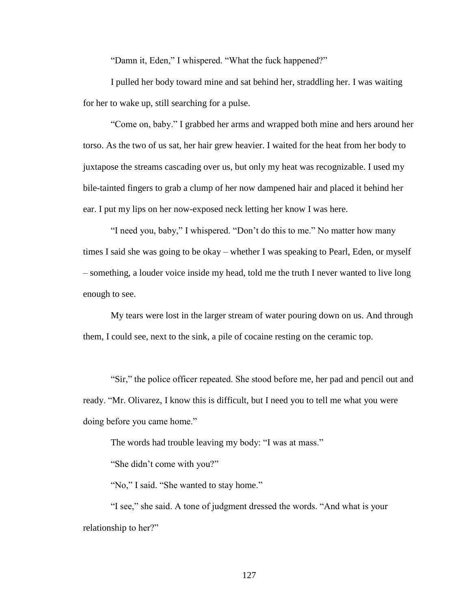"Damn it, Eden," I whispered. "What the fuck happened?"

I pulled her body toward mine and sat behind her, straddling her. I was waiting for her to wake up, still searching for a pulse.

"Come on, baby." I grabbed her arms and wrapped both mine and hers around her torso. As the two of us sat, her hair grew heavier. I waited for the heat from her body to juxtapose the streams cascading over us, but only my heat was recognizable. I used my bile-tainted fingers to grab a clump of her now dampened hair and placed it behind her ear. I put my lips on her now-exposed neck letting her know I was here.

"I need you, baby," I whispered. "Don't do this to me." No matter how many times I said she was going to be okay – whether I was speaking to Pearl, Eden, or myself – something, a louder voice inside my head, told me the truth I never wanted to live long enough to see.

My tears were lost in the larger stream of water pouring down on us. And through them, I could see, next to the sink, a pile of cocaine resting on the ceramic top.

"Sir," the police officer repeated. She stood before me, her pad and pencil out and ready. "Mr. Olivarez, I know this is difficult, but I need you to tell me what you were doing before you came home."

The words had trouble leaving my body: "I was at mass."

"She didn't come with you?"

"No," I said. "She wanted to stay home."

"I see," she said. A tone of judgment dressed the words. "And what is your relationship to her?"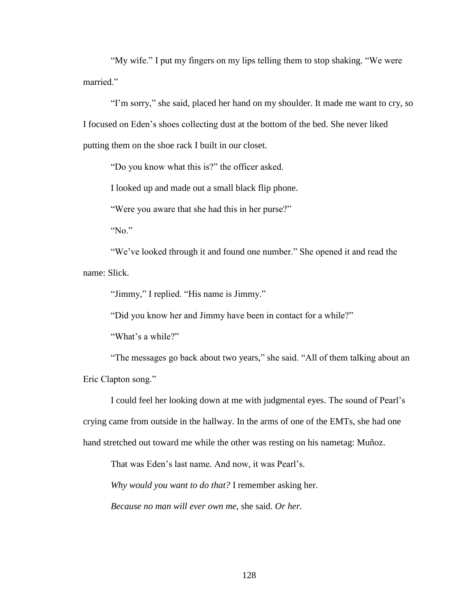"My wife." I put my fingers on my lips telling them to stop shaking. "We were married."

"I'm sorry," she said, placed her hand on my shoulder. It made me want to cry, so I focused on Eden's shoes collecting dust at the bottom of the bed. She never liked putting them on the shoe rack I built in our closet.

"Do you know what this is?" the officer asked.

I looked up and made out a small black flip phone.

"Were you aware that she had this in her purse?"

"No."

"We've looked through it and found one number." She opened it and read the name: Slick.

"Jimmy," I replied. "His name is Jimmy."

"Did you know her and Jimmy have been in contact for a while?"

"What's a while?"

"The messages go back about two years," she said. "All of them talking about an Eric Clapton song."

I could feel her looking down at me with judgmental eyes. The sound of Pearl's crying came from outside in the hallway. In the arms of one of the EMTs, she had one hand stretched out toward me while the other was resting on his nametag: Muñoz.

That was Eden's last name. And now, it was Pearl's.

*Why would you want to do that?* I remember asking her.

*Because no man will ever own me,* she said. *Or her.*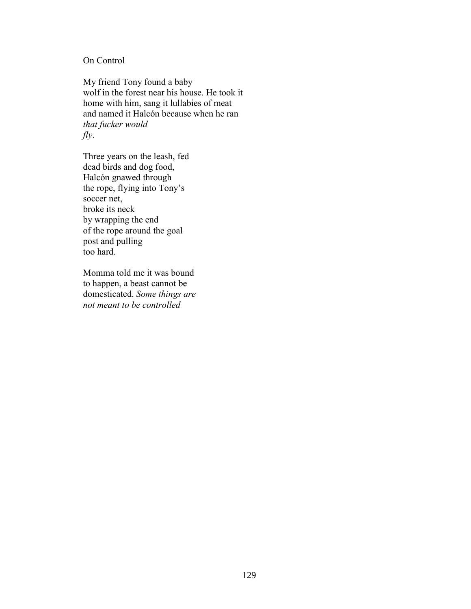# On Control

My friend Tony found a baby wolf in the forest near his house. He took it home with him, sang it lullabies of meat and named it Halcón because when he ran *that fucker would fly*.

Three years on the leash, fed dead birds and dog food, Halcón gnawed through the rope, flying into Tony's soccer net, broke its neck by wrapping the end of the rope around the goal post and pulling too hard.

Momma told me it was bound to happen, a beast cannot be domesticated. *Some things are not meant to be controlled*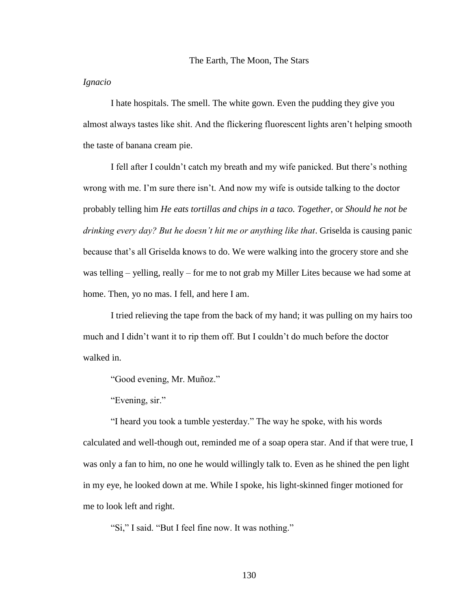### *Ignacio*

I hate hospitals. The smell. The white gown. Even the pudding they give you almost always tastes like shit. And the flickering fluorescent lights aren't helping smooth the taste of banana cream pie.

I fell after I couldn't catch my breath and my wife panicked. But there's nothing wrong with me. I'm sure there isn't. And now my wife is outside talking to the doctor probably telling him *He eats tortillas and chips in a taco. Together,* or *Should he not be drinking every day? But he doesn't hit me or anything like that*. Griselda is causing panic because that's all Griselda knows to do. We were walking into the grocery store and she was telling – yelling, really – for me to not grab my Miller Lites because we had some at home. Then, yo no mas. I fell, and here I am.

I tried relieving the tape from the back of my hand; it was pulling on my hairs too much and I didn't want it to rip them off. But I couldn't do much before the doctor walked in.

"Good evening, Mr. Muñoz."

"Evening, sir."

"I heard you took a tumble yesterday." The way he spoke, with his words calculated and well-though out, reminded me of a soap opera star. And if that were true, I was only a fan to him, no one he would willingly talk to. Even as he shined the pen light in my eye, he looked down at me. While I spoke, his light-skinned finger motioned for me to look left and right.

"Si," I said. "But I feel fine now. It was nothing."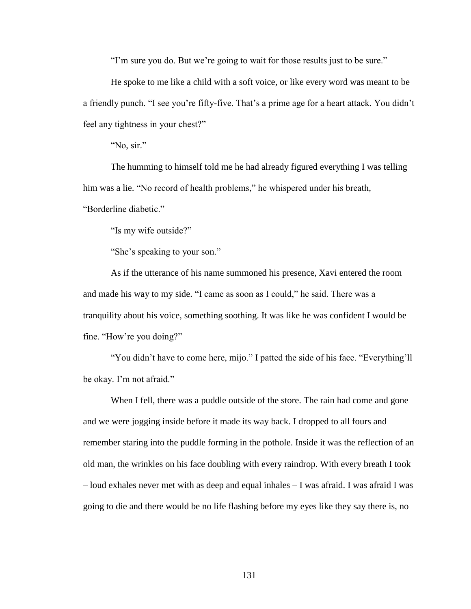"I'm sure you do. But we're going to wait for those results just to be sure."

He spoke to me like a child with a soft voice, or like every word was meant to be a friendly punch. "I see you're fifty-five. That's a prime age for a heart attack. You didn't feel any tightness in your chest?"

"No, sir."

The humming to himself told me he had already figured everything I was telling him was a lie. "No record of health problems," he whispered under his breath,

"Borderline diabetic."

"Is my wife outside?"

"She's speaking to your son."

As if the utterance of his name summoned his presence, Xavi entered the room and made his way to my side. "I came as soon as I could," he said. There was a tranquility about his voice, something soothing. It was like he was confident I would be fine. "How're you doing?"

"You didn't have to come here, mijo." I patted the side of his face. "Everything'll be okay. I'm not afraid."

When I fell, there was a puddle outside of the store. The rain had come and gone and we were jogging inside before it made its way back. I dropped to all fours and remember staring into the puddle forming in the pothole. Inside it was the reflection of an old man, the wrinkles on his face doubling with every raindrop. With every breath I took – loud exhales never met with as deep and equal inhales – I was afraid. I was afraid I was going to die and there would be no life flashing before my eyes like they say there is, no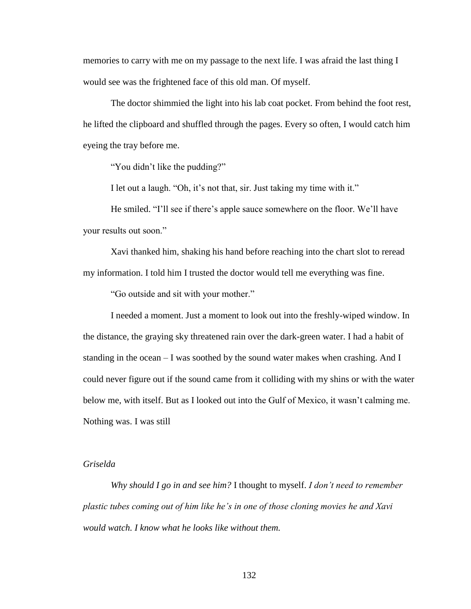memories to carry with me on my passage to the next life. I was afraid the last thing I would see was the frightened face of this old man. Of myself.

The doctor shimmied the light into his lab coat pocket. From behind the foot rest, he lifted the clipboard and shuffled through the pages. Every so often, I would catch him eyeing the tray before me.

"You didn't like the pudding?"

I let out a laugh. "Oh, it's not that, sir. Just taking my time with it."

He smiled. "I'll see if there's apple sauce somewhere on the floor. We'll have your results out soon."

Xavi thanked him, shaking his hand before reaching into the chart slot to reread my information. I told him I trusted the doctor would tell me everything was fine.

"Go outside and sit with your mother."

I needed a moment. Just a moment to look out into the freshly-wiped window. In the distance, the graying sky threatened rain over the dark-green water. I had a habit of standing in the ocean – I was soothed by the sound water makes when crashing. And I could never figure out if the sound came from it colliding with my shins or with the water below me, with itself. But as I looked out into the Gulf of Mexico, it wasn't calming me. Nothing was. I was still

## *Griselda*

*Why should I go in and see him?* I thought to myself. *I don't need to remember plastic tubes coming out of him like he's in one of those cloning movies he and Xavi would watch. I know what he looks like without them.*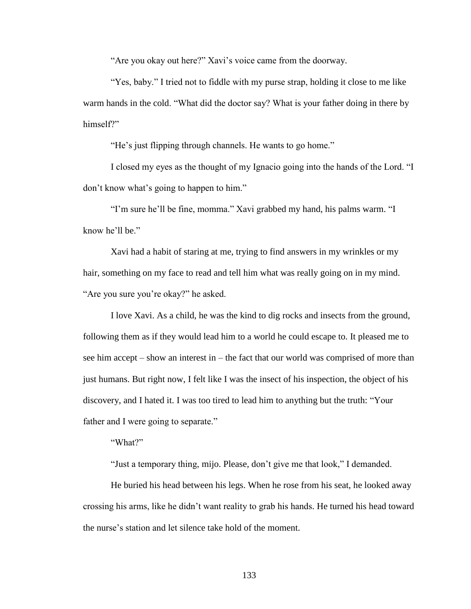"Are you okay out here?" Xavi's voice came from the doorway.

"Yes, baby." I tried not to fiddle with my purse strap, holding it close to me like warm hands in the cold. "What did the doctor say? What is your father doing in there by himself?"

"He's just flipping through channels. He wants to go home."

I closed my eyes as the thought of my Ignacio going into the hands of the Lord. "I don't know what's going to happen to him."

"I'm sure he'll be fine, momma." Xavi grabbed my hand, his palms warm. "I know he'll be."

Xavi had a habit of staring at me, trying to find answers in my wrinkles or my hair, something on my face to read and tell him what was really going on in my mind. "Are you sure you're okay?" he asked.

I love Xavi. As a child, he was the kind to dig rocks and insects from the ground, following them as if they would lead him to a world he could escape to. It pleased me to see him accept – show an interest in – the fact that our world was comprised of more than just humans. But right now, I felt like I was the insect of his inspection, the object of his discovery, and I hated it. I was too tired to lead him to anything but the truth: "Your father and I were going to separate."

"What?"

"Just a temporary thing, mijo. Please, don't give me that look," I demanded.

He buried his head between his legs. When he rose from his seat, he looked away crossing his arms, like he didn't want reality to grab his hands. He turned his head toward the nurse's station and let silence take hold of the moment.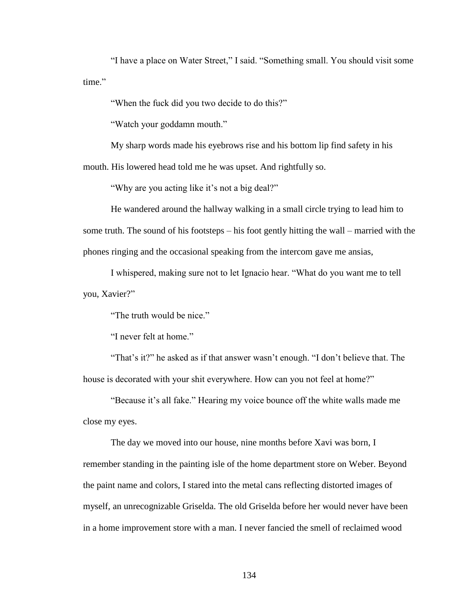"I have a place on Water Street," I said. "Something small. You should visit some time"

"When the fuck did you two decide to do this?"

"Watch your goddamn mouth."

My sharp words made his eyebrows rise and his bottom lip find safety in his mouth. His lowered head told me he was upset. And rightfully so.

"Why are you acting like it's not a big deal?"

He wandered around the hallway walking in a small circle trying to lead him to some truth. The sound of his footsteps – his foot gently hitting the wall – married with the phones ringing and the occasional speaking from the intercom gave me ansias,

I whispered, making sure not to let Ignacio hear. "What do you want me to tell you, Xavier?"

"The truth would be nice."

"I never felt at home."

"That's it?" he asked as if that answer wasn't enough. "I don't believe that. The house is decorated with your shit everywhere. How can you not feel at home?"

"Because it's all fake." Hearing my voice bounce off the white walls made me close my eyes.

The day we moved into our house, nine months before Xavi was born, I remember standing in the painting isle of the home department store on Weber. Beyond the paint name and colors, I stared into the metal cans reflecting distorted images of myself, an unrecognizable Griselda. The old Griselda before her would never have been in a home improvement store with a man. I never fancied the smell of reclaimed wood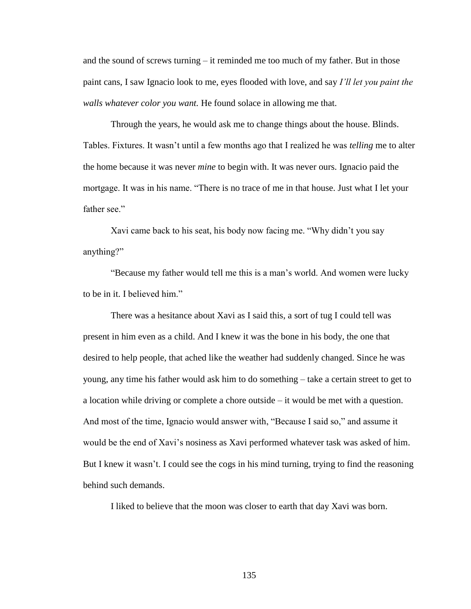and the sound of screws turning – it reminded me too much of my father. But in those paint cans, I saw Ignacio look to me, eyes flooded with love, and say *I'll let you paint the walls whatever color you want.* He found solace in allowing me that.

Through the years, he would ask me to change things about the house. Blinds. Tables. Fixtures. It wasn't until a few months ago that I realized he was *telling* me to alter the home because it was never *mine* to begin with. It was never ours. Ignacio paid the mortgage. It was in his name. "There is no trace of me in that house. Just what I let your father see."

Xavi came back to his seat, his body now facing me. "Why didn't you say anything?"

"Because my father would tell me this is a man's world. And women were lucky to be in it. I believed him."

There was a hesitance about Xavi as I said this, a sort of tug I could tell was present in him even as a child. And I knew it was the bone in his body, the one that desired to help people, that ached like the weather had suddenly changed. Since he was young, any time his father would ask him to do something – take a certain street to get to a location while driving or complete a chore outside – it would be met with a question. And most of the time, Ignacio would answer with, "Because I said so," and assume it would be the end of Xavi's nosiness as Xavi performed whatever task was asked of him. But I knew it wasn't. I could see the cogs in his mind turning, trying to find the reasoning behind such demands.

I liked to believe that the moon was closer to earth that day Xavi was born.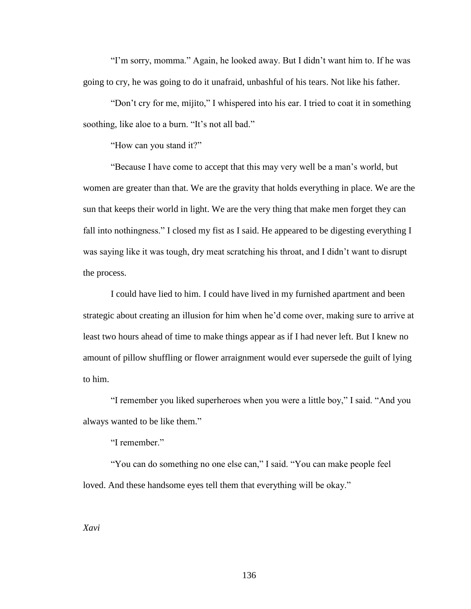"I'm sorry, momma." Again, he looked away. But I didn't want him to. If he was going to cry, he was going to do it unafraid, unbashful of his tears. Not like his father.

"Don't cry for me, mijito," I whispered into his ear. I tried to coat it in something soothing, like aloe to a burn. "It's not all bad."

"How can you stand it?"

"Because I have come to accept that this may very well be a man's world, but women are greater than that. We are the gravity that holds everything in place. We are the sun that keeps their world in light. We are the very thing that make men forget they can fall into nothingness." I closed my fist as I said. He appeared to be digesting everything I was saying like it was tough, dry meat scratching his throat, and I didn't want to disrupt the process.

I could have lied to him. I could have lived in my furnished apartment and been strategic about creating an illusion for him when he'd come over, making sure to arrive at least two hours ahead of time to make things appear as if I had never left. But I knew no amount of pillow shuffling or flower arraignment would ever supersede the guilt of lying to him.

"I remember you liked superheroes when you were a little boy," I said. "And you always wanted to be like them."

"I remember."

"You can do something no one else can," I said. "You can make people feel loved. And these handsome eyes tell them that everything will be okay."

*Xavi*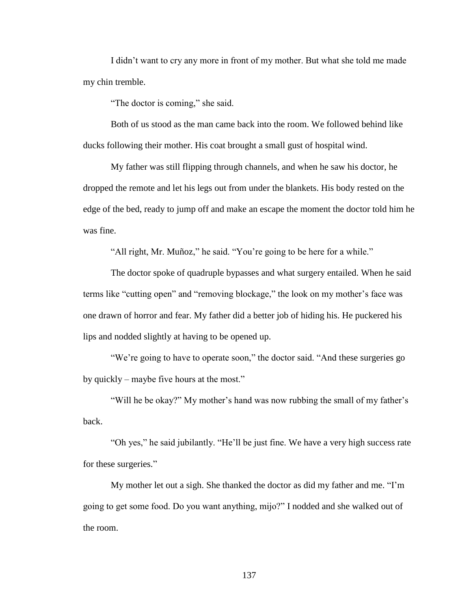I didn't want to cry any more in front of my mother. But what she told me made my chin tremble.

"The doctor is coming," she said.

Both of us stood as the man came back into the room. We followed behind like ducks following their mother. His coat brought a small gust of hospital wind.

My father was still flipping through channels, and when he saw his doctor, he dropped the remote and let his legs out from under the blankets. His body rested on the edge of the bed, ready to jump off and make an escape the moment the doctor told him he was fine.

"All right, Mr. Muñoz," he said. "You're going to be here for a while."

The doctor spoke of quadruple bypasses and what surgery entailed. When he said terms like "cutting open" and "removing blockage," the look on my mother's face was one drawn of horror and fear. My father did a better job of hiding his. He puckered his lips and nodded slightly at having to be opened up.

"We're going to have to operate soon," the doctor said. "And these surgeries go by quickly – maybe five hours at the most."

"Will he be okay?" My mother's hand was now rubbing the small of my father's back.

"Oh yes," he said jubilantly. "He'll be just fine. We have a very high success rate for these surgeries."

My mother let out a sigh. She thanked the doctor as did my father and me. "I'm going to get some food. Do you want anything, mijo?" I nodded and she walked out of the room.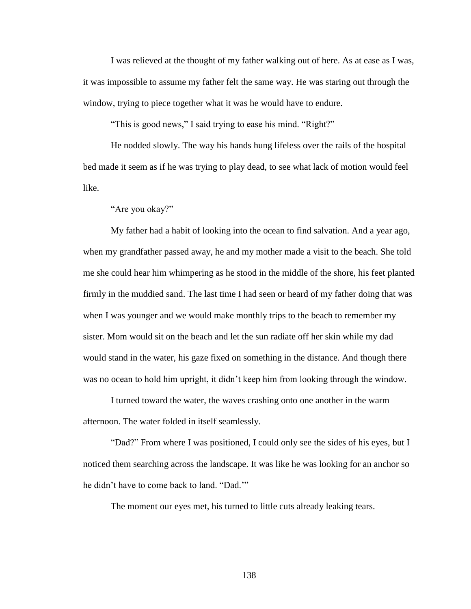I was relieved at the thought of my father walking out of here. As at ease as I was, it was impossible to assume my father felt the same way. He was staring out through the window, trying to piece together what it was he would have to endure.

"This is good news," I said trying to ease his mind. "Right?"

He nodded slowly. The way his hands hung lifeless over the rails of the hospital bed made it seem as if he was trying to play dead, to see what lack of motion would feel like.

"Are you okay?"

My father had a habit of looking into the ocean to find salvation. And a year ago, when my grandfather passed away, he and my mother made a visit to the beach. She told me she could hear him whimpering as he stood in the middle of the shore, his feet planted firmly in the muddied sand. The last time I had seen or heard of my father doing that was when I was younger and we would make monthly trips to the beach to remember my sister. Mom would sit on the beach and let the sun radiate off her skin while my dad would stand in the water, his gaze fixed on something in the distance. And though there was no ocean to hold him upright, it didn't keep him from looking through the window.

I turned toward the water, the waves crashing onto one another in the warm afternoon. The water folded in itself seamlessly.

"Dad?" From where I was positioned, I could only see the sides of his eyes, but I noticed them searching across the landscape. It was like he was looking for an anchor so he didn't have to come back to land. "Dad.'"

The moment our eyes met, his turned to little cuts already leaking tears.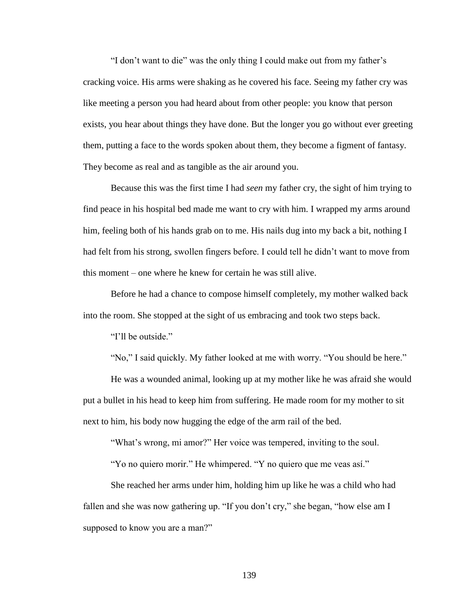"I don't want to die" was the only thing I could make out from my father's cracking voice. His arms were shaking as he covered his face. Seeing my father cry was like meeting a person you had heard about from other people: you know that person exists, you hear about things they have done. But the longer you go without ever greeting them, putting a face to the words spoken about them, they become a figment of fantasy. They become as real and as tangible as the air around you.

Because this was the first time I had *seen* my father cry, the sight of him trying to find peace in his hospital bed made me want to cry with him. I wrapped my arms around him, feeling both of his hands grab on to me. His nails dug into my back a bit, nothing I had felt from his strong, swollen fingers before. I could tell he didn't want to move from this moment – one where he knew for certain he was still alive.

Before he had a chance to compose himself completely, my mother walked back into the room. She stopped at the sight of us embracing and took two steps back.

"I'll be outside."

"No," I said quickly. My father looked at me with worry. "You should be here."

He was a wounded animal, looking up at my mother like he was afraid she would put a bullet in his head to keep him from suffering. He made room for my mother to sit next to him, his body now hugging the edge of the arm rail of the bed.

"What's wrong, mi amor?" Her voice was tempered, inviting to the soul.

"Yo no quiero morir." He whimpered. "Y no quiero que me veas así."

She reached her arms under him, holding him up like he was a child who had fallen and she was now gathering up. "If you don't cry," she began, "how else am I supposed to know you are a man?"

139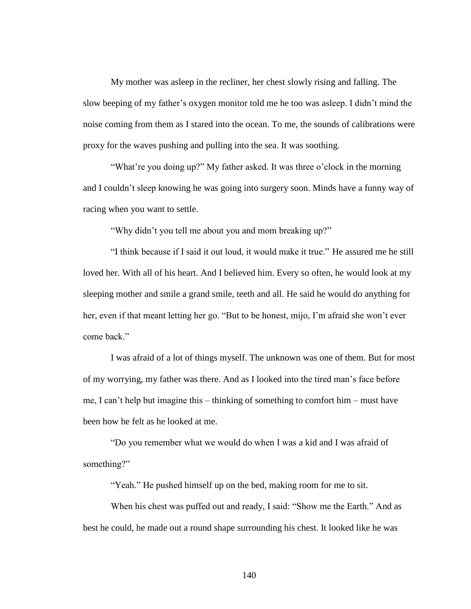My mother was asleep in the recliner, her chest slowly rising and falling. The slow beeping of my father's oxygen monitor told me he too was asleep. I didn't mind the noise coming from them as I stared into the ocean. To me, the sounds of calibrations were proxy for the waves pushing and pulling into the sea. It was soothing.

"What're you doing up?" My father asked. It was three o'clock in the morning and I couldn't sleep knowing he was going into surgery soon. Minds have a funny way of racing when you want to settle.

"Why didn't you tell me about you and mom breaking up?"

"I think because if I said it out loud, it would make it true." He assured me he still loved her. With all of his heart. And I believed him. Every so often, he would look at my sleeping mother and smile a grand smile, teeth and all. He said he would do anything for her, even if that meant letting her go. "But to be honest, mijo, I'm afraid she won't ever come back"

I was afraid of a lot of things myself. The unknown was one of them. But for most of my worrying, my father was there. And as I looked into the tired man's face before me, I can't help but imagine this – thinking of something to comfort him – must have been how he felt as he looked at me.

"Do you remember what we would do when I was a kid and I was afraid of something?"

"Yeah." He pushed himself up on the bed, making room for me to sit.

When his chest was puffed out and ready, I said: "Show me the Earth." And as best he could, he made out a round shape surrounding his chest. It looked like he was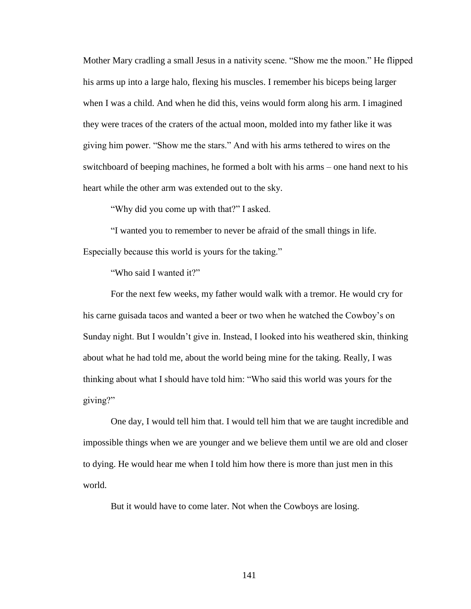Mother Mary cradling a small Jesus in a nativity scene. "Show me the moon." He flipped his arms up into a large halo, flexing his muscles. I remember his biceps being larger when I was a child. And when he did this, veins would form along his arm. I imagined they were traces of the craters of the actual moon, molded into my father like it was giving him power. "Show me the stars." And with his arms tethered to wires on the switchboard of beeping machines, he formed a bolt with his arms – one hand next to his heart while the other arm was extended out to the sky.

"Why did you come up with that?" I asked.

"I wanted you to remember to never be afraid of the small things in life. Especially because this world is yours for the taking."

"Who said I wanted it?"

For the next few weeks, my father would walk with a tremor. He would cry for his carne guisada tacos and wanted a beer or two when he watched the Cowboy's on Sunday night. But I wouldn't give in. Instead, I looked into his weathered skin, thinking about what he had told me, about the world being mine for the taking. Really, I was thinking about what I should have told him: "Who said this world was yours for the giving?"

One day, I would tell him that. I would tell him that we are taught incredible and impossible things when we are younger and we believe them until we are old and closer to dying. He would hear me when I told him how there is more than just men in this world.

But it would have to come later. Not when the Cowboys are losing.

141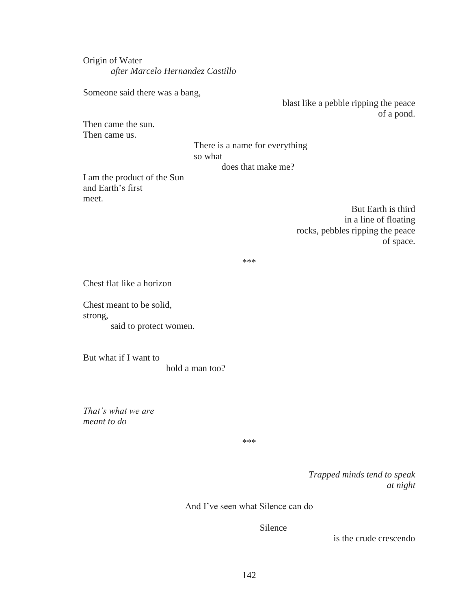Origin of Water *after Marcelo Hernandez Castillo*

Someone said there was a bang,

blast like a pebble ripping the peace of a pond.

Then came the sun. Then came us.

> There is a name for everything so what does that make me?

I am the product of the Sun and Earth's first meet.

> But Earth is third in a line of floating rocks, pebbles ripping the peace of space.

\*\*\*

Chest flat like a horizon

Chest meant to be solid, strong, said to protect women.

But what if I want to hold a man too?

*That's what we are meant to do*

\*\*\*

*Trapped minds tend to speak at night*

And I've seen what Silence can do

Silence

is the crude crescendo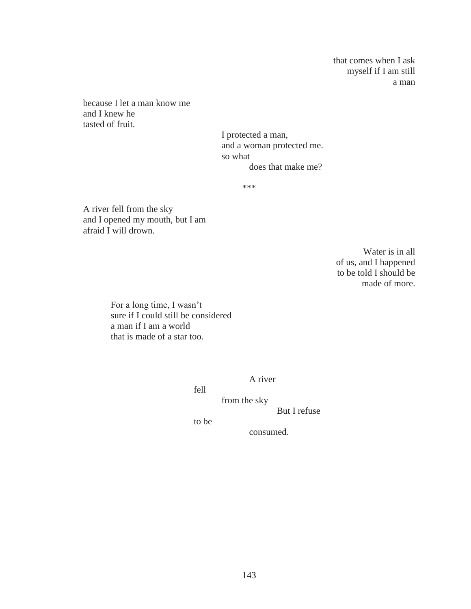that comes when I ask myself if I am still a man

because I let a man know me and I knew he tasted of fruit.

> I protected a man, and a woman protected me. so what does that make me?

> > \*\*\*

A river fell from the sky and I opened my mouth, but I am afraid I will drown.

> Water is in all of us, and I happened to be told I should be made of more.

For a long time, I wasn't sure if I could still be considered a man if I am a world that is made of a star too.

A river

fell

from the sky

But I refuse

to be

consumed.